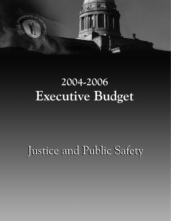

# 2004-2006 Executive Budget

## Justice and Public Safety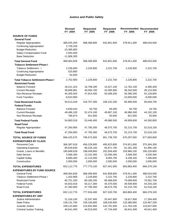## **Justice and Public Safety**

|                                         | <b>Revised</b><br>FY 2004 | <b>Requested</b><br>FY 2005 | <b>Requested</b><br>FY 2006 | Recommended<br>FY 2005 | Recommended<br>FY 2006 |
|-----------------------------------------|---------------------------|-----------------------------|-----------------------------|------------------------|------------------------|
| <b>SOURCE OF FUNDS</b>                  |                           |                             |                             |                        |                        |
| <b>General Fund</b>                     |                           |                             |                             |                        |                        |
| Regular Appropriation                   | 485,025,200               | 588,496,800                 | 642,851,600                 | 479,911,400            | 488,043,500            |
| <b>Continuing Appropriation</b>         | 2,728,328                 |                             |                             |                        |                        |
| <b>Budget Reduction</b>                 | $-10,385,800$             |                             |                             |                        |                        |
| Salary Compensation Fund                | 2,503,400                 |                             |                             |                        |                        |
| <b>Base Deduction</b>                   | $-11,806,300$             |                             |                             |                        |                        |
| <b>Total General Fund</b>               | 468,064,828               | 588,496,800                 | 642,851,600                 | 479,911,400            | 488,043,500            |
| <b>Tobacco Settlement-Phase I</b>       |                           |                             |                             |                        |                        |
| Tobacco Settlement - I                  | 2,236,600                 | 2,226,800                   | 2,222,700                   | 2,226,800              | 2,222,700              |
| Continuing Appropriation                | 520,800                   |                             |                             |                        |                        |
| <b>Budget Reduction</b>                 | $-54,500$                 |                             |                             |                        |                        |
| <b>Total Tobacco Settlement-Phase I</b> | 2,702,900                 | 2,226,800                   | 2,222,700                   | 2,226,800              | 2,222,700              |
| <b>Restricted Funds</b>                 |                           |                             |                             |                        |                        |
| <b>Balance Forward</b>                  | 18,221,323                | 16,799,200                  | 15,527,100                  | 12,762,100             | 6,395,400              |
| <b>Current Receipts</b>                 | 39,608,981                | 40,093,700                  | 42,085,900                  | 38,342,600             | 39,124,500             |
| Non-Revenue Receipts                    | 44,305,925                | 47,814,400                  | 50,489,200                  | 50,380,300             | 54,128,800             |
| <b>Fund Transfers</b>                   | $-8,622,800$              |                             |                             | $-15,500,000$          | $-9,000,000$           |
| <b>Total Restricted Funds</b>           | 93,513,429                | 104,707,300                 | 108,102,200                 | 85,985,000             | 90,648,700             |
| <b>Federal Funds</b>                    |                           |                             |                             |                        |                        |
| <b>Balance Forward</b>                  | 4,630,544                 | 50,700                      | 69,400                      | 50,700                 | 18,700                 |
| <b>Current Receipts</b>                 | 49,486,100                | 52,474,100                  | 49,867,100                  | 48,986,300             | 44,192,100             |
| Non-Revenue Receipts                    | 766,874                   | 921,600                     | 50,000                      | 921,600                | 50,000                 |
| <b>Total Federal Funds</b>              | 54,883,518                | 53,446,400                  | 49,986,500                  | 49,958,600             | 44,260,800             |
| <b>Road Fund</b>                        |                           |                             |                             |                        |                        |
| Regular Appropriation                   | 47,260,900                | 47,795,300                  | 48,575,700                  | 52,215,700             | 52,518,100             |
| <b>Total Road Fund</b>                  | 47,260,900                | 47,795,300                  | 48,575,700                  | 52,215,700             | 52,518,100             |
| <b>TOTAL SOURCE OF FUNDS</b>            | 666,425,575               | 796,672,600                 | 851,738,700                 | 670,297,500            | 677,693,800            |
| <b>EXPENDITURES BY CLASS</b>            |                           |                             |                             |                        |                        |
| Personnel Cost                          | 366,387,618               | 456,228,900                 | 495,823,800                 | 374,921,600            | 375,364,300            |
| <b>Operating Expenses</b>               | 85,629,830                | 96,234,100                  | 95,871,700                  | 81,261,300             | 81,995,100             |
| Grants, Loans or Benefits               | 185,848,628               | 198,049,800                 | 202,556,400                 | 193,966,100            | 195,226,800            |
| <b>Debt Service</b>                     | 3,566,300                 | 13,152,300                  | 22,056,300                  | 3,566,300              | 4,526,300              |
| Capital Outlay                          | 8,680,400                 | 12,110,000                  | 9,093,700                   | 8,168,100              | 7,266,600              |
| Construction                            | 2,000,000                 | 2,000,000                   | 2,000,000                   | 2,000,000              | 2,000,000              |
| <b>TOTAL EXPENDITURES</b>               | 652,112,776               | 777,775,100                 | 827,401,900                 | 663,883,400            | 666,379,100            |
| <b>EXPENDITURES BY FUND SOURCE</b>      |                           |                             |                             |                        |                        |
| <b>General Fund</b>                     | 468,064,828               | 588,496,800                 | 642,858,800                 | 479,911,400            | 488,043,500            |
| Tobacco Settlement-Phase I              | 1,202,900                 | 2,226,800                   | 2,222,700                   | 2,226,800              | 2,222,700              |
| <b>Restricted Funds</b>                 | 80,751,330                | 89,180,200                  | 89,488,000                  | 79,589,600             | 79,391,700             |
| <b>Federal Funds</b>                    | 54,832,818                | 50,217,300                  | 44,375,500                  | 49,939,900             | 44,203,100             |
| Road Fund                               | 47,260,900                | 47,795,300                  | 48,575,700                  | 52,215,700             | 52,518,100             |
| <b>TOTAL EXPENDITURES</b>               | 652,112,776               | 777,916,400                 | 827,520,700                 | 663,883,400            | 666,379,100            |
| <b>EXPENDITURES BY UNIT</b>             |                           |                             |                             |                        |                        |
| Justice Administration                  | 21,316,100                | 22,537,400                  | 20,447,900                  | 19,617,900             | 17,294,400             |
| <b>State Police</b>                     | 139,131,700               | 159,183,800                 | 168,535,900                 | 133,386,900            | 133,467,200            |
| Juvenile Justice                        | 109,122,800               | 124,832,900                 | 132,791,500                 | 111,763,100            | 110,637,000            |
| <b>Criminal Justice Training</b>        | 40,641,400                | 44,523,600                  | 47,734,400                  | 40,641,400             | 40,641,400             |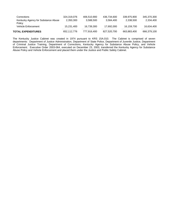| Corrections                                   | 324.319.076 | 406.510.900 | 436.734.600 | 339.975.900 | 345.370.300 |
|-----------------------------------------------|-------------|-------------|-------------|-------------|-------------|
| Kentucky Agency for Substance Abuse<br>Policy | 2,350,300   | 3.588.500   | 3.584.400   | 2.338.500   | 2,334,400   |
| Vehicle Enforcement                           | 15.231.400  | 16.739.300  | 17.692.000  | 16.159.700  | 16.634.400  |
| TOTAL EXPENDITURES                            | 652,112,776 | 777.916.400 | 827,520,700 | 663.883.400 | 666,379,100 |

The Kentucky Justice Cabinet was created in 1974 pursuant to KRS 15A.010. The Cabinet is comprised of seven departments: Department of Justice Administration, Department of State Police, Department of Juvenile Justice, Department of Criminal Justice Training, Department of Corrections, Kentucky Agency for Substance Abuse Policy, and Vehicle Enforcement. Executive Order 2003-064, executed on December 23, 2003, transferred the Kentucky Agency for Substance Abuse Policy and Vehicle Enforcement and placed them under the Justice and Public Safety Cabinet.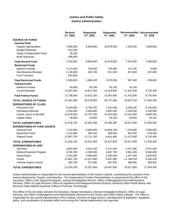## **Justice Administration Justice and Public Safety**

|                                    | <b>Revised</b><br>FY 2004 | Requested<br>FY 2005 | <b>Requested</b><br>FY 2006 | FY 2005    | Recommended Recommended<br>FY 2006 |
|------------------------------------|---------------------------|----------------------|-----------------------------|------------|------------------------------------|
| <b>SOURCE OF FUNDS</b>             |                           |                      |                             |            |                                    |
| <b>General Fund</b>                |                           |                      |                             |            |                                    |
| Regular Appropriation              | 7,826,000                 | 9,869,600            | 10,679,500                  | 7,153,500  | 7,690,600                          |
| <b>Budget Reduction</b>            | $-512,000$                |                      |                             |            |                                    |
| Salary Compensation Fund           | 36,100                    |                      |                             |            |                                    |
| <b>Base Deduction</b>              | $-196,600$                |                      |                             |            |                                    |
| <b>Total General Fund</b>          | 7,153,500                 | 9,869,600            | 10,679,500                  | 7,153,500  | 7,690,600                          |
| <b>Restricted Funds</b>            |                           |                      |                             |            |                                    |
| <b>Balance Forward</b>             | 1,114,500                 | 759,400              | 729,000                     | 124,700    | 5,800                              |
| Non-Revenue Receipts               | 1,138,600                 | 925,700              | 941,500                     | 872,600    | 872,600                            |
| <b>Fund Transfers</b>              | $-653,500$                |                      |                             |            |                                    |
| <b>Total Restricted Funds</b>      | 1,599,600                 | 1,685,100            | 1,670,500                   | 997,300    | 878,400                            |
| <b>Federal Funds</b>               |                           |                      |                             |            |                                    |
| <b>Balance Forward</b>             | 50,800                    | 50,700               | 50,700                      | 50,700     |                                    |
| <b>Current Receipts</b>            | 12,687,600                | 14,871,400           | 14,316,900                  | 11,422,200 | 8,725,400                          |
| <b>Total Federal Funds</b>         | 12,738,400                | 14,922,100           | 14,367,600                  | 11,472,900 | 8,725,400                          |
| <b>TOTAL SOURCE OF FUNDS</b>       | 21,491,500                | 26,476,800           | 26,717,600                  | 19,623,700 | 17,294,400                         |
| <b>EXPENDITURES BY CLASS</b>       |                           |                      |                             |            |                                    |
| Personnel Cost                     | 5,520,600                 | 6,708,700            | 7,231,400                   | 5,208,100  | 5,225,600                          |
| <b>Operating Expenses</b>          | 2,190,400                 | 3,050,800            | 2,803,400                   | 2,139,200  | 2,140,500                          |
| Grants, Loans or Benefits          | 13,576,500                | 12,767,200           | 10,424,400                  | 12,242,000 | 9,899,200                          |
| <b>Capital Outlay</b>              | 28,600                    | 28,600               | 29,100                      | 28,600     | 29,100                             |
| <b>TOTAL EXPENDITURES</b>          | 21,316,100                | 22,555,300           | 20,488,300                  | 19,617,900 | 17,294,400                         |
| <b>EXPENDITURES BY FUND SOURCE</b> |                           |                      |                             |            |                                    |
| <b>General Fund</b>                | 7,153,500                 | 9,869,600            | 10,686,700                  | 7,153,500  | 7,690,600                          |
| <b>Restricted Funds</b>            | 1,474,900                 | 956,100              | 946,800                     | 991,500    | 878,400                            |
| <b>Federal Funds</b>               | 12,687,700                | 11,711,700           | 8,814,400                   | 11,472,900 | 8,725,400                          |
| <b>TOTAL EXPENDITURES</b>          | 21,316,100                | 22,537,400           | 20,447,900                  | 19,617,900 | 17,294,400                         |
| <b>EXPENDITURES BY UNIT</b>        |                           |                      |                             |            |                                    |
| Secretary                          | 2,661,500                 | 3,252,100            | 3,371,400                   | 2,371,400  | 2,371,400                          |
| Medical Examiner Program           | 3,786,700                 | 4,590,500            | 4,697,700                   | 3,661,400  | 3,582,800                          |
| Parole Board                       | 1,542,500                 | 2,050,000            | 2,293,400                   | 1,447,400  | 1,630,500                          |
| Grants                             | 12,961,700                | 12,072,900           | 9,497,900                   | 11,768,200 | 9,340,200                          |
| <b>Criminal Justice Council</b>    | 363,700                   | 571,900              | 587,500                     | 369,500    | 369,500                            |
| <b>TOTAL EXPENDITURES</b>          | 21,316,100                | 22,537,400           | 20,447,900                  | 19,617,900 | 17,294,400                         |

Justice Administration is responsible for the overall administration of the Justice Cabinet, coordinating the activities of the various departments, boards, and branches. The Department of Justice Administration is comprised of the Office of the Secretary, Office of the Deputy Secretaries, Internal Investigations Branch, Office of Management and Administrative Services, Office of Legal Services, Office of Legislative and Intergovernmental Services, Kentucky State Parole Board, and Kentucky State Medical Examiner (Office of Forensic Technology).

The Office of the Secretary includes the Secretary, Deputy Secretaries, Internal Investigations Branch, Office of Legal Services, and Office of Management and Administrative Services for the Justice and Public Safety Cabinet. The Office is responsible for the overall administration of the Cabinet, provision of legal services, development of legislation, regulation, policy, and coordination of activities within and among the Cabinet departments and agencies.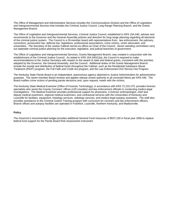The Office of Management and Administrative Services includes the Communications Division and the Office of Legislative and Intergovernmental Services that includes the Criminal Justice Council, Long Range Planning Branch, and the Grants Management Branch.

The Office of Legislative and Intergovernmental Services, Criminal Justice Council, established in KRS 15A.040, advises and recommends to the Governor and the General Assembly policies and direction for long-range planning regarding all elements of the criminal justice system. The Council is a 29-member board with representatives from: law enforcement, the judiciary, corrections, prosecution bar, defense bar, legislature, professional associations, crime victims, victim advocates, and universities. The Secretary of the Justice Cabinet serves ex-officio as Chair of the Council. Seven standing committees carry out statewide criminal justice planning for the executive, legislative, and judicial branches of government.

The Office of Legislative and Intergovernmental Services, Grants Management Branch, was created in conjunction with the establishment of the Criminal Justice Council. As stated in KRS 15A.040(1)(a), the Council is required to make recommendations to the Justice Secretary with respect to the award of state and federal grants, consistent with the priorities adopted by the Governor, the General Assembly, and the Council. Additional duties of the Grants Management Branch include the receipt and distribution of federal funds throughout the Cabinet, such as the Residential Substance Abuse Treatment (RSAT) program, the Full Faith and Credit Act program, and the Law Enforcement DUI Service Fee Program.

The Kentucky State Parole Board is an independent, autonomous agency attached to Justice Administration for administrative purposes. The seven-member Board reviews and applies release review authority to all convicted felons per KRS 439. The Board notifies crime victims of pending parole decisions and, upon request, meets with the victims.

The Kentucky State Medical Examiner (Office of Forensic Technology), in accordance with KRS 72.210-275, provides forensic specialists who assist the County Coroners' offices (120 counties) and law enforcement officials in conducting medico-legal investigations. The Medical Examiner provides professional support for physicians, a forensic anthropologist, chief and deputy medical examiners, regional medical examiners, and contractual services with the Universities of Kentucky and Louisville for facilities, equipment, histology services, radiology services, and medico-legal autopsy assistants. The staff also provides assistance to the Criminal Justice Training program with curriculum for coroners and law enforcement officers. Branch offices and autopsy facilities are operated in Frankfort, Louisville, Northern Kentucky, and Madisonville.

#### **Policy**

The Governor's recommended budget provides additional General Fund resources of \$537,100 in fiscal year 2006 to replace federal fund support for the Parole Board Risk Assessment Instrument.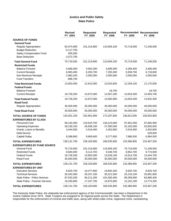## **State Police Justice and Public Safety**

|                                                                                                       | <b>Revised</b><br>FY 2004                             | <b>Requested</b><br>FY 2005 | <b>Requested</b><br>FY 2006 | FY 2005     | Recommended Recommended<br>FY 2006 |
|-------------------------------------------------------------------------------------------------------|-------------------------------------------------------|-----------------------------|-----------------------------|-------------|------------------------------------|
| <b>SOURCE OF FUNDS</b><br><b>General Fund</b>                                                         |                                                       |                             |                             |             |                                    |
| Regular Appropriation<br><b>Budget Reduction</b><br>Salary Compensation Fund<br><b>Base Deduction</b> | 82,074,900<br>$-5,117,700$<br>835,000<br>$-2,072,700$ | 101,216,800                 | 110,659,100                 | 70,719,500  | 71,248,500                         |
| <b>Total General Fund</b>                                                                             | 75,719,500                                            | 101,216,800                 | 110,659,100                 | 70,719,500  | 71,248,500                         |
| <b>Restricted Funds</b>                                                                               |                                                       |                             |                             |             |                                    |
| <b>Balance Forward</b>                                                                                | 5,808,500                                             | 4,562,300                   | 3,699,300                   | 4,269,400   | 3,406,400                          |
| <b>Current Receipts</b>                                                                               | 6,083,400                                             | 6,200,700                   | 7,293,300                   | 5,939,700   | 6,718,600                          |
| Non-Revenue Receipts<br><b>Fund Transfers</b>                                                         | 2,960,200<br>$-898,700$                               | 2,050,000                   | 2,050,000                   | 2,050,000   | 2,050,000                          |
| <b>Total Restricted Funds</b><br><b>Federal Funds</b>                                                 | 13,953,400                                            | 12,813,000                  | 13,042,600                  | 12,259,100  | 12,175,000                         |
| <b>Balance Forward</b>                                                                                |                                                       |                             | 18,700                      |             | 18,700                             |
| <b>Current Receipts</b>                                                                               | 18,728,200                                            | 13,872,000                  | 13,567,200                  | 13,833,400  | 13,483,700                         |
| <b>Total Federal Funds</b><br><b>Road Fund</b>                                                        | 18,728,200                                            | 13,872,000                  | 13,585,900                  | 13,833,400  | 13,502,400                         |
| Regular Appropriation                                                                                 | 35,000,000                                            | 35,000,000                  | 35,000,000                  | 40,000,000  | 40,000,000                         |
| <b>Total Road Fund</b>                                                                                | 35,000,000                                            | 35,000,000                  | 35,000,000                  | 40,000,000  | 40,000,000                         |
| <b>TOTAL SOURCE OF FUNDS</b><br><b>EXPENDITURES BY CLASS</b>                                          | 143,401,100                                           | 162,901,800                 | 172,287,600                 | 136,812,000 | 136,925,900                        |
| Personnel Cost                                                                                        | 99,130,300                                            | 119,919,700                 | 130,215,000                 | 97,801,500  | 97,665,900                         |
| <b>Operating Expenses</b>                                                                             | 28,158,100                                            | 26,938,100                  | 27,590,500                  | 25,182,500  | 25,835,000                         |
| Grants, Loans or Benefits<br><b>Debt Service</b>                                                      | 3,444,500                                             | 2,516,400                   | 2,452,800                   | 2,516,400   | 2,452,800<br>529,000               |
| <b>Capital Outlay</b>                                                                                 | 8,398,800                                             | 9,809,600                   | 8,277,600                   | 7,886,500   | 6,984,500                          |
| <b>TOTAL EXPENDITURES</b><br><b>EXPENDITURES BY FUND SOURCE</b>                                       | 139,131,700                                           | 159,183,800                 | 168,535,900                 | 133,386,900 | 133,467,200                        |
| <b>General Fund</b>                                                                                   | 75,719,500                                            | 101,216,800                 | 110,659,100                 | 70,719,500  | 71,248,500                         |
| <b>Restricted Funds</b>                                                                               | 9,684,000                                             | 9,113,700                   | 9,348,700                   | 8,852,700   | 8,774,000                          |
| <b>Federal Funds</b>                                                                                  | 18,728,200                                            | 13,853,300                  | 13,528,100                  | 13,814,700  | 13,444,700                         |
| Road Fund                                                                                             | 35,000,000                                            | 35,000,000                  | 35,000,000                  | 40,000,000  | 40,000,000                         |
| <b>TOTAL EXPENDITURES</b><br><b>EXPENDITURES BY UNIT</b>                                              | 139,131,700                                           | 159,183,800                 | 168,535,900                 | 133,386,900 | 133,467,200                        |
| <b>Executive Services</b>                                                                             | 8,920,700                                             | 18,477,800                  | 19,845,200                  | 8,920,700   | 8,920,700                          |
| <b>Technical Services</b>                                                                             | 26,342,000                                            | 29,247,100                  | 30,221,500                  | 25,216,100  | 25,891,900                         |
| State Police - Police Services                                                                        | 87,533,200                                            | 94,211,200                  | 101,593,400                 | 85,058,900  | 84,880,400                         |
| State Police - Forensic Services                                                                      | 16,335,800                                            | 17,247,700                  | 16,875,800                  | 14,191,200  | 13,774,200                         |
| <b>TOTAL EXPENDITURES</b>                                                                             | 139,131,700                                           | 159,183,800                 | 168,535,900                 | 133,386,900 | 133,467,200                        |

The Kentucky State Police, the statewide law enforcement agency of the Commonwealth, has been a Department in the Justice Cabinet since 1974. State Troopers are assigned to 16 regional posts across the State. The Department is responsible for the enforcement of criminal and traffic laws, along with white-collar crime, organized crime, racketeering,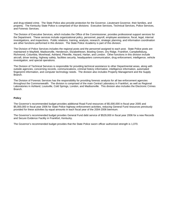and drug-related crime. The State Police also provide protection for the Governor, Lieutenant Governor, their families, and property. The Kentucky State Police is comprised of four divisions: Executive Services, Technical Services, Police Services, and Forensic Services.

The Division of Executive Services, which includes the Office of the Commissioner, provides professional support services for the Department. These services include organizational policy, personnel, payroll, employee assistance, fiscal, legal, internal investigations, and inspections. Public relations, training, analysis, research, strategic planning, and information coordination are other functions performed in this division. The State Police Academy is part of this division.

The Division of Police Services includes the regional posts and the personnel assigned to each post. State Police posts are maintained in Mayfield, Madisonville, Henderson, Elizabethtown, Bowling Green, Dry Ridge, Frankfort, Campbellsburg, Richmond, Columbia, Morehead, Ashland, Pikeville, Hazard, Harlan, and London. Other functions in this division include aircraft, driver testing, highway safety, facilities security, headquarters communication, drug enforcement, intelligence, vehicle investigation, and special operations.

The Division of Technical Services is responsible for providing technical assistance to other Departmental areas, along with outside agencies, concerning records, communications, criminal history information, intelligence information, automated fingerprint information, and computer technology needs. The division also includes Property Management and the Supply Branch.

The Division of Forensic Services has the responsibility for providing forensic analysis for all law enforcement agencies throughout the Commonwealth. The division is comprised of the main Central Laboratory in Frankfort, as well as Regional Laboratories in Ashland, Louisville, Cold Springs, London, and Madisonville. This division also includes the Electronic Crimes Branch.

#### **Policy**

The Governor's recommended budget provides additional Road Fund resources of \$5,000,000 in fiscal year 2005 and \$5,000,000 in fiscal year 2006 for State Police highway enforcement activities, reducing General Fund resources previously provided for these activities by equal amounts in each fiscal year of the 2004-2006 biennium.

The Governor's recommended budget provides General Fund debt service of \$529,000 in fiscal year 2006 for a new Records and Secure Evidence Facility in Frankfort, Kentucky.

The Governor's recommended budget provides that the State Police sworn officer authorized strength is 1,070.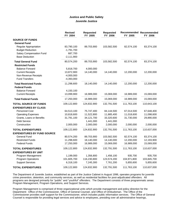## **Juvenile Justice Justice and Public Safety**

|                                    | <b>Revised</b><br>FY 2004 | <b>Requested</b><br>FY 2005 | <b>Requested</b><br>FY 2006 | Recommended<br>FY 2005 | Recommended<br>FY 2006 |
|------------------------------------|---------------------------|-----------------------------|-----------------------------|------------------------|------------------------|
| <b>SOURCE OF FUNDS</b>             |                           |                             |                             |                        |                        |
| <b>General Fund</b>                |                           |                             |                             |                        |                        |
| Regular Appropriation              | 83,790,100                | 89,703,900                  | 103,582,500                 | 82,574,100             | 83,374,100             |
| <b>Budget Reduction</b>            | $-1,791,700$              |                             |                             |                        |                        |
| Salary Compensation Fund           | 687,700                   |                             |                             |                        |                        |
| <b>Base Deduction</b>              | $-2,111,900$              |                             |                             |                        |                        |
| <b>Total General Fund</b>          | 80,574,200                | 89,703,900                  | 103,582,500                 | 82,574,100             | 83,374,100             |
| <b>Restricted Funds</b>            |                           |                             |                             |                        |                        |
| <b>Balance Forward</b>             | 5,818,700                 | 4,000,000                   |                             |                        |                        |
| <b>Current Receipts</b>            | 13,872,900                | 14,140,000                  | 14,140,000                  | 12,200,000             | 12,200,000             |
| Non-Revenue Receipts               | $-4,000,000$              |                             |                             |                        |                        |
| <b>Fund Transfers</b>              | $-4,393,000$              |                             |                             |                        |                        |
| <b>Total Restricted Funds</b>      | 11,298,600                | 18,140,000                  | 14,140,000                  | 12,200,000             | 12,200,000             |
| <b>Federal Funds</b>               |                           |                             |                             |                        |                        |
| <b>Balance Forward</b>             | 4,150,100                 |                             |                             |                        |                        |
| <b>Current Receipts</b>            | 13,099,900                | 16,989,000                  | 15,069,000                  | 16,989,000             | 15,069,000             |
| <b>Total Federal Funds</b>         | 17,250,000                | 16,989,000                  | 15,069,000                  | 16,989,000             | 15,069,000             |
| <b>TOTAL SOURCE OF FUNDS</b>       | 109,122,800               | 124,832,900                 | 132,791,500                 | 111,763,100            | 110,643,100            |
| <b>EXPENDITURES BY CLASS</b>       |                           |                             |                             |                        |                        |
| <b>Personnel Cost</b>              | 64,513,100                | 75,747,400                  | 84,144,500                  | 67,014,500             | 67,648,400             |
| <b>Operating Expenses</b>          | 10,818,600                | 11,522,800                  | 11,885,400                  | 11,018,600             | 11,098,600             |
| Grants, Loans or Benefits          | 31,791,100                | 34,121,700                  | 33,320,600                  | 31,730,000             | 29,890,000             |
| Debt Service                       |                           | 1,441,000                   | 1,441,000                   |                        |                        |
| Construction                       | 2,000,000                 | 2,000,000                   | 2,000,000                   | 2,000,000              | 2,000,000              |
| <b>TOTAL EXPENDITURES</b>          | 109,122,800               | 124,832,900                 | 132,791,500                 | 111,763,100            | 110,637,000            |
| <b>EXPENDITURES BY FUND SOURCE</b> |                           |                             |                             |                        |                        |
| <b>General Fund</b>                | 80,574,200                | 89,703,900                  | 103,582,500                 | 82,574,100             | 83,374,100             |
| <b>Restricted Funds</b>            | 11,298,600                | 18,140,000                  | 14,140,000                  | 12,200,000             | 12,193,900             |
| <b>Federal Funds</b>               | 17,250,000                | 16,989,000                  | 15,069,000                  | 16,989,000             | 15,069,000             |
| <b>TOTAL EXPENDITURES</b>          | 109,122,800               | 124,832,900                 | 132,791,500                 | 111,763,100            | 110,637,000            |
| <b>EXPENDITURES BY UNIT</b>        |                           |                             |                             |                        |                        |
| Program Management                 | 1,199,000                 | 1,356,800                   | 1,456,100                   | 935,700                | 935,700                |
| <b>Program Operations</b>          | 101,605,700               | 116,230,800                 | 123,574,200                 | 104,971,800            | 103,845,700            |
| <b>Support Services</b>            | 6,318,100                 | 7,245,300                   | 7,761,200                   | 5,855,600              | 5,855,600              |
| <b>TOTAL EXPENDITURES</b>          | 109,122,800               | 124,832,900                 | 132,791,500                 | 111,763,100            | 110,637,000            |

The Department of Juvenile Justice, established as part of the Justice Cabinet in August 1996, operates programs for juvenile crime prevention, detention, and community services, as well as residential facilities for post-adjudicated offenders. All programs are designed primarily for "public" and "youthful" offenders. The Department consists of three programmatic areas: Program Management, Program Operations, and Support Services.

Program Management is comprised of three organizational units which provide management and policy direction for the Department: Office of the Commissioner, Office of General Counsel, and Office of Ombudsman. The Office of the Commissioner provides staff support for the Commissioner, which includes public information services. The Office of General Counsel is responsible for providing legal services and advice to employees, presiding over all administrative hearings,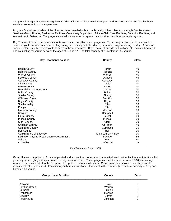and promulgating administrative regulations. The Office of Ombudsman investigates and resolves grievances filed by those receiving services from the Department.

Program Operations consists of the direct services provided to both public and youthful offenders, through Day Treatment Services, Group Homes, Residential Facilities, Community Supervision, Private Child Care Facilities, Detention Facilities, and Alternatives to Detention. The programs are administered on a regional basis, divided into three separate regions.

Day Treatment Services is comprised of 6 state-owned and 20 contract programs. These programs are the least restrictive, since the youths remain in a home setting during the evening and attend a day treatment program during the day. A court or school system usually refers a youth to serve in these programs. Day Treatment provides educational alternatives, treatment, and counseling for youths between the ages of 12 and 17. The total capacity of 26 centers is 955 youths.

| <b>Day Treatment Facilities</b>           | County              | <b>Slots</b> |
|-------------------------------------------|---------------------|--------------|
| <b>Hardin County</b>                      | Hardin              | 40           |
| <b>Hopkins County</b>                     | Hopkins             | 40           |
| <b>Warren County</b>                      | Warren              | 40           |
| Daviess County                            | Daviess             | 45           |
| <b>Calloway County</b>                    | Calloway            | 30           |
| Ohio County                               | Ohio                | 30           |
| <b>Barren County</b>                      | Barren              | 30           |
| Harrodsburg Independent                   | Mercer              | 30           |
| <b>Bullitt County</b>                     | <b>Bullitt</b>      | 50           |
| <b>Shelby County</b>                      | Shelby              | 30           |
| <b>Wilkinson Street</b>                   | Franklin            | 50           |
| <b>Boyle County</b>                       | <b>Boyle</b>        | 30           |
| <b>Shelby Valley</b>                      | Pike                | 30           |
| Phelps                                    | Pike                | 30           |
| <b>Madison County</b>                     | Madison             | 30           |
| Newport                                   | Campbell            | 45           |
| <b>Laurel County</b>                      | Laurel              | 30           |
| Pulaski County                            | Pulaski             | 30           |
| <b>Clark County</b>                       | Clark               | 30           |
| <b>Christian County</b>                   | Christian           | 40           |
| <b>Campbell County</b>                    | Campbell            | 15           |
| <b>Bell County</b>                        | Bell                | 30           |
| Corbin Board of Education                 | Knox/Laurel/Whitley | 30           |
| Lexington Fayette Urban County Government | Fayette             | 55           |
| Ashland                                   | Boyd                | 40           |
| Louisville                                | Jefferson           | 75           |

Day Treatment Slots = 955

Group Homes, comprised of 11 state-operated and two contract homes are community-based residential treatment facilities that generally serve eight youths per home, but may serve up to ten. These programs accept youths between 12-18 years of age, who have been committed to the Department as public or youthful offenders. Group home care serves as an alternative to institutionalization and aims to transition a youth from institutional placement to the community. The total capacity of 11 group homes is 88 youths.

| <b>Group Home Facilities</b> | County    | <b>Beds</b> |
|------------------------------|-----------|-------------|
| Ashland                      | Boyd      | 8           |
| <b>Bowling Green</b>         | Warren    | 8           |
| <b>Burnside</b>              | Pulaski   | 8           |
| Frenchburg                   | Menifee   | 8           |
| Glasgow                      | Barren    | 8           |
| Hopkinsville                 | Christian | 8           |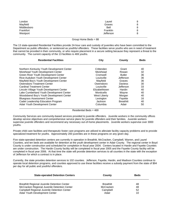| London      | Laurel    | o |
|-------------|-----------|---|
| Mayfield    | Graves    | 8 |
| Middlesboro | Bell      | 8 |
| Frankfort   | Franklin  | 8 |
| Westport    | Jefferson | 8 |
|             |           |   |

Group Home Beds = 88

The 13 state-operated Residential Facilities provide 24-hour care and custody of juveniles who have been committed to the Department as public offenders, or sentenced as youthful offenders. These facilities serve youths who are in need of treatment that cannot be provided in their community, or who require placement in a secure setting because they represent a threat to the community. The current capacity of the 13 facilities is 469 youths.

| <b>Residential Facilities</b>              | City                | County           | <b>Beds</b> |
|--------------------------------------------|---------------------|------------------|-------------|
| Northern Kentucky Youth Development Center | Crittenden          | Grant            | 40          |
| Morehead Youth Development Center          | Morehead            | Rowan            | 32          |
| Green River Youth Development Center       | Cromwell            | <b>Butler</b>    | 36          |
| Rice-Audubon Youth Development Center      | Louisville          | Jefferson        | 36          |
| Mayfield Boy's Youth Development Center    | Mayfield            | Graves           | 36          |
| <b>Owensboro Treatment Center</b>          | Owensboro           | Daviess          | 30          |
| <b>Cardinal Treatment Center</b>           | Louisville          | Jefferson        | 33          |
| Lincoln Village Youth Development Center   | Elizabethtown       | <b>Hardin</b>    | 40          |
| Lake Cumberland Youth Development Center   | Monticello          | Wayne            | 40          |
| Woodsbend Boy's Youth Development Center   | <b>West Liberty</b> | Morgan           | 40          |
| <b>Bluegrass Assessment Center</b>         | Lexington           | Fayette          | 16          |
| Cadet Leadership Education Program         | Jackson             | <b>Breathitt</b> | 40          |
| Adair Youth Development Center             | Columbia            | Adair            | 50          |

Residential Beds = 469

Community Services are community-based services provided to juvenile offenders. Juvenile workers in the community offices develop service objectives and comprehensive service plans for juvenile offenders and their families. Juvenile workers supervise juvenile offenders and recommend any necessary out-of-home placements. Juvenile workers supervise over 3000 youths.

Private child care facilities and therapeutic foster care programs are utilized to alleviate facility capacity problems and to provide specialized treatment for youths. Approximately 200 juveniles are in these programs on any given day.

Five state-operated detention centers are currently in operation in Breathitt, McCracken, Campbell, Warren, and Laurel Counties, and ten beds are available for detention at the youth development center in Adair County. The regional center in Boyd County is under construction and scheduled for completion in fiscal year 2004. Centers located in Hardin and Fayette Counties are under construction. The Hardin County facility will be completed in fiscal year 2005 and the Fayette County facility will be completed in fiscal year 2006. At that time the state will provide detention services to all counties in the state with the exception of Jefferson for which a contract is in place.

Currently, the state provides detention services to 102 counties. Jefferson, Fayette, Hardin, and Madison Counties continue to operate local detention programs, and counties approved to use these facilities receive a subsidy payment from the state of \$94 per day for all public and youthful offenders.

| <b>State-operated Detention Centers</b>                                       | County            | <b>Beds</b> |
|-------------------------------------------------------------------------------|-------------------|-------------|
| Breathitt Regional Juvenile Detention Center                                  | <b>Breathitt</b>  | 48          |
| McCracken Regional Juvenile Detention Center                                  | McCracken         | 48          |
| Campbell Regional Juvenile Detention Center<br>Adair Youth Development Center | Campbell<br>Adair | 52<br>10    |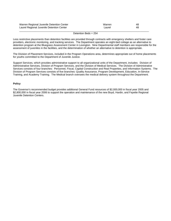| Warren Regional Juvenile Detention Center | Warren | 48 |
|-------------------------------------------|--------|----|
| Laurel Regional Juvenile Detention Center | Laurel | 48 |

#### Detention Beds = 254

Less restrictive placements than detention facilities are provided through contracts with emergency shelters and foster care providers, electronic monitoring, and tracking services. The Department operates an eight-bed cottage as an alternative to detention program at the Bluegrass Assessment Center in Lexington. Nine Departmental staff members are responsible for the assessment of juveniles in the facilities, and the determination of whether an alternative to detention is appropriate.

The Division of Placement Services, included in the Program Operations area, determines appropriate out of home placements for youths committed to the Department of Juvenile Justice.

Support Services, which provides administrative support to all organizational units of the Department, includes: Division of Administrative Services, Division of Program Services, and the Division of Medical Services. The Division of Administrative Services consists of four branches: Personnel, Fiscal, Capital Construction and Real Properties, and Information Systems. The Division of Program Services consists of five branches: Quality Assurance, Program Development, Education, In-Service Training, and Academy Training. The Medical branch oversees the medical delivery system throughout the Department.

#### **Policy**

The Governor's recommended budget provides additional General Fund resources of \$2,000,000 in fiscal year 2005 and \$2,800,000 in fiscal year 2006 to support the operation and maintenance of the new Boyd, Hardin, and Fayette Regional Juvenile Detention Centers.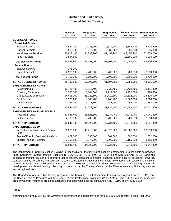## **Criminal Justice Training Justice and Public Safety**

|                                                                 | <b>Revised</b><br>FY 2004 | <b>Requested</b><br>FY 2005 | <b>Requested</b><br>FY 2006 | <b>Recommended</b><br>FY 2005 | Recommended<br>FY 2006 |
|-----------------------------------------------------------------|---------------------------|-----------------------------|-----------------------------|-------------------------------|------------------------|
| <b>SOURCE OF FUNDS</b>                                          |                           |                             |                             |                               |                        |
| <b>Restricted Funds</b>                                         |                           |                             |                             |                               |                        |
| <b>Balance Forward</b>                                          | 3,540,700                 | 7,048,900                   | 10,674,000                  | 8,142,400                     | 2,714,500              |
| <b>Current Receipts</b>                                         | 555,800                   | 610,000                     | 635,300                     | 555,800                       | 555,800                |
| Non-Revenue Receipts                                            | 43,812,100                | 44,838,700                  | 47,497,700                  | 47,457,700                    | 51,206,200             |
| <b>Fund Transfers</b>                                           | $-1,824,800$              |                             |                             | $-15,500,000$                 | $-9,000,000$           |
| <b>Total Restricted Funds</b><br><b>Federal Funds</b>           | 46,083,800                | 52,497,600                  | 58,807,000                  | 40,655,900                    | 45,476,500             |
| <b>Balance Forward</b>                                          | 176,900                   |                             |                             |                               |                        |
| <b>Current Receipts</b>                                         | 2,523,100                 | 2,700,000                   | 2,700,000                   | 2,700,000                     | 2,700,000              |
| <b>Total Federal Funds</b>                                      | 2,700,000                 | 2,700,000                   | 2,700,000                   | 2,700,000                     | 2,700,000              |
| <b>TOTAL SOURCE OF FUNDS</b>                                    | 48,783,800                | 55,197,600                  | 61,507,000                  | 43,355,900                    | 48,176,500             |
| <b>EXPENDITURES BY CLASS</b>                                    |                           |                             |                             |                               |                        |
| <b>Personnel Cost</b>                                           | 10,421,400                | 12,517,400                  | 13,839,400                  | 10,421,400                    | 10,421,400             |
| <b>Operating Expenses</b>                                       | 1,990,800                 | 3,144,600                   | 2,929,500                   | 1,990,800                     | 1,990,800              |
| Grants, Loans or Benefits                                       | 24,616,000                | 23,729,600                  | 24,410,300                  | 24,616,000                    | 24,616,000             |
| <b>Debt Service</b>                                             | 3,360,200                 | 3,360,200                   | 5,768,200                   | 3,360,200                     | 3,360,200              |
| <b>Capital Outlay</b>                                           | 253,000                   | 1,771,800                   | 787,000                     | 253,000                       | 253,000                |
| <b>TOTAL EXPENDITURES</b><br><b>EXPENDITURES BY FUND SOURCE</b> | 40,641,400                | 44,523,600                  | 47,734,400                  | 40,641,400                    | 40,641,400             |
| <b>Restricted Funds</b>                                         | 37,941,400                | 41,823,600                  | 45,034,400                  | 37,941,400                    | 37,941,400             |
| <b>Federal Funds</b>                                            | 2,700,000                 | 2,700,000                   | 2,700,000                   | 2,700,000                     | 2,700,000              |
| <b>TOTAL EXPENDITURES</b><br><b>EXPENDITURES BY UNIT</b>        | 40,641,400                | 44,523,600                  | 47,734,400                  | 40,641,400                    | 40,641,400             |
| Kentucky Law Enforcement Program<br>Fund                        | 36,883,600                | 40,718,000                  | 43,872,800                  | 36,883,600                    | 36,883,600             |
| Peace Officer Professional Standards                            | 602,000                   | 630,600                     | 661,300                     | 602,000                       | 602,000                |
| <b>Special Training Programs</b>                                | 3,155,800                 | 3,175,000                   | 3,200,300                   | 3,155,800                     | 3,155,800              |
| <b>TOTAL EXPENDITURES</b>                                       | 40,641,400                | 44,523,600                  | 47,734,400                  | 40,641,400                    | 40,641,400             |

The Department of Criminal Justice Training is responsible for the training of local law enforcement professionals as provided under Kentucky Revised Statutes, Chapters 15, 15A, 16, 70, 72, 95, and 403.785(2), along with 500 KAR 8:010. Basic and specialized training courses are offered to police officers, dispatchers, sheriffs, deputies, airport security personnel, university campus security personnel, and coroners. Course curriculum includes training in basic law enforcement, telecommunications, coroner training, AIDS, child sexual abuse, domestic violence, bias-related crimes, executive and staff training, leadership development, and breath testing. Training is conducted at the Training Center on the Eastern Kentucky University campus and at regional sites.

The Department operates two training programs: the Kentucky Law Enforcement Foundation Program Fund (KLEFPF), and the Special Training Programs with the Peace Officers Professional Standards (POPS) office. The KLEFPF agency resources are derived from insurance premium surcharge proceeds, which accrue pursuant to KRS 42.190 and KRS 136.392.

#### **Policy**

Notwithstanding KRS 15.430, the Governor's recommended budget provides for a \$15,500,000 transfer in fiscal year 2005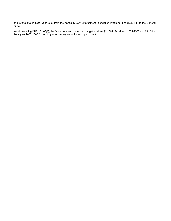and \$9,000,000 in fiscal year 2006 from the Kentucky Law Enforcement Foundation Program Fund (KLEFPF) to the General Fund.

Notwithstanding KRS 15.460(1), the Governor's recommended budget provides \$3,100 in fiscal year 2004-2005 and \$3,100 in fiscal year 2005-2006 for training incentive payments for each participant.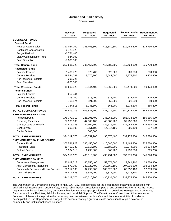## **Corrections Justice and Public Safety**

|                                                | <b>Revised</b><br>FY 2004 | <b>Requested</b><br>FY 2005 | <b>Requested</b><br>FY 2006 | Recommended<br>FY 2005 | Recommended<br>FY 2006 |
|------------------------------------------------|---------------------------|-----------------------------|-----------------------------|------------------------|------------------------|
| <b>SOURCE OF FUNDS</b>                         |                           |                             |                             |                        |                        |
| <b>General Fund</b>                            |                           |                             |                             |                        |                        |
| Regular Appropriation                          | 310,084,200               | 386,456,500                 | 416,680,500                 | 319,464,300            | 325,730,300            |
| <b>Continuing Appropriation</b>                | 2,728,328                 |                             |                             |                        |                        |
| <b>Budget Reduction</b>                        | $-2,781,400$              |                             |                             |                        |                        |
| <b>Salary Compensation Fund</b>                | 944,600                   |                             |                             |                        |                        |
| <b>Base Deduction</b>                          | $-7,393,800$              |                             |                             |                        |                        |
| <b>Total General Fund</b>                      | 303,581,928               | 386,456,500                 | 416,680,500                 | 319,464,300            | 325,730,300            |
| <b>Restricted Funds</b>                        |                           |                             |                             |                        |                        |
| <b>Balance Forward</b>                         | 1,486,723                 | 373,700                     | 326,800                     | 200,000                | 200,000                |
| <b>Current Receipts</b>                        | 18,544,081                | 18,770,700                  | 19,642,000                  | 19,274,800             | 19,274,800             |
| Non-Revenue Receipts                           | 395,025                   |                             |                             |                        |                        |
| <b>Fund Transfers</b>                          | $-823,500$                |                             |                             |                        |                        |
| <b>Total Restricted Funds</b>                  | 19,602,329                | 19,144,400                  | 19,968,800                  | 19,474,800             | 19,474,800             |
| <b>Federal Funds</b>                           |                           |                             |                             |                        |                        |
| <b>Balance Forward</b>                         | 252,744                   |                             |                             |                        |                        |
| <b>Current Receipts</b>                        | 315,200                   | 315,200                     | 315,200                     | 315,200                | 315,200                |
| Non-Revenue Receipts                           | 766,874                   | 921,600                     | 50,000                      | 921,600                | 50,000                 |
| <b>Total Federal Funds</b>                     | 1,334,818                 | 1,236,800                   | 365,200                     | 1,236,800              | 365,200                |
| <b>TOTAL SOURCE OF FUNDS</b>                   | 324,519,075               | 406,837,700                 | 437,014,500                 | 340,175,900            | 345,570,300            |
| <b>EXPENDITURES BY CLASS</b>                   |                           |                             |                             |                        |                        |
| <b>Personnel Cost</b>                          | 175,370,618               | 226,996,400                 | 245,066,900                 | 181,433,800            | 180,886,000            |
| <b>Operating Expenses</b>                      | 37,939,030                | 47,900,100                  | 46,985,200                  | 37,252,500             | 37,252,500             |
| Grants, Loans or Benefits                      | 110,803,328               | 122,604,100                 | 129,676,200                 | 121,083,500            | 126,594,700            |
| Debt Service                                   | 206,100                   | 8,351,100                   | 14,847,100                  | 206,100                | 637,100                |
| <b>Capital Outlay</b>                          |                           | 500,000                     |                             |                        |                        |
| <b>TOTAL EXPENDITURES</b>                      | 324,319,076               | 406,351,700                 | 436,575,400                 | 339,975,900            | 345,370,300            |
| <b>EXPENDITURES BY FUND SOURCE</b>             |                           |                             |                             |                        |                        |
| <b>General Fund</b>                            | 303,581,928               | 386,456,500                 | 416,680,500                 | 319,464,300            | 325,730,300            |
| <b>Restricted Funds</b>                        | 19,402,330                | 18,817,600                  | 19,688,900                  | 19,274,800             | 19,274,800             |
| <b>Federal Funds</b>                           | 1,334,818                 | 1,236,800                   | 365,200                     | 1,236,800              | 365,200                |
| <b>TOTAL EXPENDITURES</b>                      | 324,319,076               | 406,510,900                 | 436,734,600                 | 339,975,900            | 345,370,300            |
| <b>EXPENDITURES BY UNIT</b>                    |                           |                             |                             |                        |                        |
| <b>Corrections Management</b>                  | 30,019,718                | 45,250,400                  | 53,674,000                  | 29,841,200             | 29,726,300             |
| <b>Adult Correctional Institutions</b>         | 197,577,100               | 247,922,400                 | 260,562,100                 | 207,906,200            | 208,084,400            |
| <b>Community Services and Local Facilities</b> | 80,917,830                | 97,790,900                  | 106,626,600                 | 86,952,400             | 92,283,500             |
| Local Jail Support                             | 15,804,428                | 15,547,200                  | 15,871,900                  | 15,276,100             | 15,276,100             |
| <b>TOTAL EXPENDITURES</b>                      | 324,319,076               | 406,510,900                 | 436,734,600                 | 339,975,900            | 345,370,300            |

The Department of Corrections, pursuant to KRS 196 - 197, is responsible for the broad range of activities associated with adult criminal incarceration, public safety, inmate rehabilitation, probation and parole, and criminal recidivism. As the largest Department in the Justice Cabinet, Corrections has four separate appropriation units: Corrections Management, Community Services and Local Facilities, Adult Institutions, and Local Jail Support. The Department of Corrections utilizes resources from each of these units to provide the necessary balance between public safety and fiscal responsibility. In order to accomplish this, the Department is charged with accommodating a growing inmate population through a balance of community and institutional based solutions.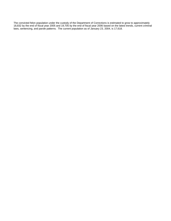The convicted felon population under the custody of the Department of Corrections is estimated to grow to approximately 18,832 by the end of fiscal year 2005 and 19,705 by the end of fiscal year 2006 based on the latest trends, current criminal laws, sentencing, and parole patterns. The current population as of January 23, 2004, is 17,618.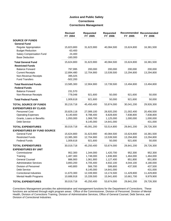## **Corrections Corrections Management Justice and Public Safety**

|                                    | <b>Revised</b><br>FY 2004 | <b>Requested</b><br>FY 2005 | <b>Requested</b><br>FY 2006 | Recommended<br>FY 2005 | Recommended<br>FY 2006 |
|------------------------------------|---------------------------|-----------------------------|-----------------------------|------------------------|------------------------|
| <b>SOURCE OF FUNDS</b>             |                           |                             |                             |                        |                        |
| <b>General Fund</b>                |                           |                             |                             |                        |                        |
| Regular Appropriation              | 15,823,800                | 31,623,900                  | 40,084,500                  | 15,624,800             | 16,381,500             |
| <b>Budget Reduction</b>            | $-63,400$                 |                             |                             |                        |                        |
| Salary Compensation Fund           | 24,400                    |                             |                             |                        |                        |
| <b>Base Deduction</b>              | $-160,000$                |                             |                             |                        |                        |
| <b>Total General Fund</b>          | 15,624,800                | 31,623,900                  | 40,084,500                  | 15,624,800             | 16,381,500             |
| <b>Restricted Funds</b>            |                           |                             |                             |                        |                        |
| <b>Balance Forward</b>             | 797,995                   | 200,000                     | 200,000                     | 200,000                | 200,000                |
| <b>Current Receipts</b>            | 12,894,480                | 12,704,900                  | 13,539,500                  | 13,294,800             | 13,294,800             |
| Non-Revenue Receipts               | 395,025                   |                             |                             |                        |                        |
| <b>Fund Transfers</b>              | $-502,200$                |                             |                             |                        |                        |
| <b>Total Restricted Funds</b>      | 13,585,300                | 12,904,900                  | 13,739,500                  | 13,494,800             | 13,494,800             |
| <b>Federal Funds</b>               |                           |                             |                             |                        |                        |
| <b>Balance Forward</b>             | 231,570                   |                             |                             |                        |                        |
| Non-Revenue Receipts               | 778,048                   | 921,600                     | 50,000                      | 921,600                | 50,000                 |
| <b>Total Federal Funds</b>         | 1,009,618                 | 921,600                     | 50,000                      | 921,600                | 50,000                 |
| <b>TOTAL SOURCE OF FUNDS</b>       | 30,219,718                | 45,450,400                  | 53,874,000                  | 30,041,200             | 29,926,300             |
| <b>EXPENDITURES BY CLASS</b>       |                           |                             |                             |                        |                        |
| <b>Personnel Cost</b>              | 20,829,118                | 27,089,100                  | 28,920,200                  | 21,002,400             | 20,456,500             |
| <b>Operating Expenses</b>          | 8,140,600                 | 8,788,400                   | 8,828,600                   | 7,838,800              | 7,838,800              |
| Grants, Loans or Benefits          | 1,050,000                 | 1,068,700                   | 1,125,000                   | 1,000,000              | 1,000,000              |
| Debt Service                       |                           | 8,145,000                   | 14,641,000                  |                        | 431,000                |
| <b>TOTAL EXPENDITURES</b>          | 30,019,718                | 45,091,200                  | 53,514,800                  | 29,841,200             | 29,726,300             |
| <b>EXPENDITURES BY FUND SOURCE</b> |                           |                             |                             |                        |                        |
| <b>General Fund</b>                | 15,624,800                | 31,623,900                  | 40,084,500                  | 15,624,800             | 16,381,500             |
| <b>Restricted Funds</b>            | 13,385,300                | 12,704,900                  | 13,539,500                  | 13,294,800             | 13,294,800             |
| <b>Federal Funds</b>               | 1,009,618                 | 921,600                     | 50,000                      | 921,600                | 50,000                 |
| <b>TOTAL EXPENDITURES</b>          | 30,019,718                | 45,250,400                  | 53,674,000                  | 29,841,200             | 29,726,300             |
| <b>EXPENDITURES BY UNIT</b>        |                           |                             |                             |                        |                        |
| Commissioner                       | 952,300                   | 1,344,000                   | 1,420,700                   | 952,300                | 952,300                |
| Training                           | 1,487,300                 | 1,748,000                   | 1,836,900                   | 1,464,000              | 1,464,000              |
| <b>General Counsel</b>             | 886,900                   | 1,061,900                   | 1,127,400                   | 851,800                | 851,800                |
| <b>Administrative Services</b>     | 3,893,200                 | 4,705,400                   | 4,932,100                   | 4,044,100              | 4,180,000              |
| Division of Personnel              | 440,800                   | 566,700                     | 599,800                     | 437,500                | 437,500                |
| Debt Service                       |                           | 8,145,000                   | 14,641,000                  |                        | 431,000                |
| Correctional Industries            | 11,670,300                | 12,339,900                  | 13,174,500                  | 11,429,800             | 11,429,800             |
| <b>Mental Health Programs</b>      | 10,688,918                | 15,339,500                  | 15,941,600                  | 10,661,700             | 9,979,900              |
| <b>TOTAL EXPENDITURES</b>          | 30,019,718                | 45,250,400                  | 53,674,000                  | 29,841,200             | 29,726,300             |

Corrections Management provides the administrative and management functions for the Department of Corrections. These functions are achieved through eight program areas: Office of the Commissioner, Division of Personnel, Division of Mental Health, Division of Corrections Training, Division of Administrative Services, Office of General Counsel, Debt Service, and Division of Correctional Industries.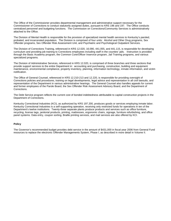The Office of the Commissioner provides departmental management and administrative support necessary for the Commissioner of Corrections to conduct statutorily assigned duties, pursuant to KRS 196 and 197. The Office conducts centralized personnel and budgeting functions. The Commission on Corrections/Community Services is administratively attached to the Office.

The Division of Mental Health is responsible for the provision of specialized mental health services to Kentucky's paroled, probated, and incarcerated population. The Division is comprised of four units: Alcohol and Other Drug programs, Sex Offender programs, Sex Offender Risk Assessment Unit, and Psychiatric and Psychological Outpatient Services.

The Division of Corrections Training, referenced in KRS 12.020, 16.090, 441.055, and 441.115, is responsible for developing curriculum and providing job training to Corrections employees including staff in the counties' jails. Instruction is provided through the Basic Academy program, the Common Core/Officer Inservice program, Jail Training programs, and various specialized programs.

The Division of Administrative Services, referenced in KRS 12.020, is comprised of three branches and three sections that provide support services to the entire Department in: accounting and purchasing, construction, building and equipment maintenance, environmental compliance, property inventory, planning, information technology, inmate information, and victim notification.

The Office of General Counsel, referenced in KRS 12.210-213 and 12.220, is responsible for providing oversight of Corrections policies and procedures, training on legal developments, legal advice and representation in all civil lawsuits, and representation of the Department in various administrative hearings. The General Counsel also handles appeals for current and former employees of the Parole Board, the Sex Offender Risk Assessment Advisory Board, and the Department of Corrections.

The Debt Service program reflects the current cost of bonded indebtedness attributable to capital construction projects in the Department of Corrections.

Kentucky Correctional Industries (KCI), as authorized by KRS 197.200, produces goods or services employing inmate labor. Kentucky Correctional Industries is a self-supporting operation, receiving only restricted funds for operations in ten of the Department's twelve institutions. Twenty-three separate plants produce products and services such as office furniture, recycling, license tags, janitorial products, printing, mattresses, ergonomic chairs, signage, furniture refurbishing, and office panel systems. Data entry, coupon sorting, Braille printing services, and mail services are also offered by KCI.

#### **Policy**

The Governor's recommended budget provides debt service in the amount of \$431,000 in fiscal year 2006 from General Fund resources to replace the electronic Offender Managements System, Phase I, as described in more detail in Volume II.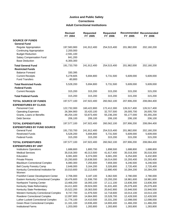## **Corrections Adult Correctional Institutions Justice and Public Safety**

|                                                                                                                                          | <b>Revised</b><br>FY 2004                                           | Requested<br>FY 2005     | <b>Requested</b><br>FY 2006 | Recommended<br>FY 2005   | Recommended<br>FY 2006   |
|------------------------------------------------------------------------------------------------------------------------------------------|---------------------------------------------------------------------|--------------------------|-----------------------------|--------------------------|--------------------------|
| <b>SOURCE OF FUNDS</b><br><b>General Fund</b>                                                                                            |                                                                     |                          |                             |                          |                          |
| Regular Appropriation<br><b>Continuing Appropriation</b><br><b>Budget Reduction</b><br>Salary Compensation Fund<br><b>Base Deduction</b> | 197,583,900<br>2,200,000<br>$-2,591,100$<br>841,200<br>$-6,300,300$ | 241,912,400              | 254,515,400                 | 201,982,000              | 202,160,200              |
| <b>Total General Fund</b>                                                                                                                | 191,733,700                                                         | 241,912,400              | 254,515,400                 | 201,982,000              | 202,160,200              |
| <b>Restricted Funds</b><br><b>Balance Forward</b><br><b>Current Receipts</b><br><b>Fund Transfers</b>                                    | 330,395<br>5,278,605<br>$-80,800$                                   | 5,694,800                | 5,731,500                   | 5,609,000                | 5,609,000                |
| <b>Total Restricted Funds</b>                                                                                                            | 5,528,200                                                           | 5,694,800                | 5,731,500                   | 5,609,000                | 5,609,000                |
| <b>Federal Funds</b><br><b>Current Receipts</b>                                                                                          | 315,200                                                             | 315,200                  | 315,200                     | 315,200                  | 315,200                  |
| <b>Total Federal Funds</b>                                                                                                               | 315,200                                                             | 315,200                  | 315,200                     | 315,200                  | 315,200                  |
| <b>TOTAL SOURCE OF FUNDS</b><br><b>EXPENDITURES BY CLASS</b>                                                                             | 197,577,100                                                         | 247,922,400              | 260,562,100                 | 207,906,200              | 208,084,400              |
| Personnel Cost                                                                                                                           | 122,732,000                                                         | 160,422,800              | 172,412,300                 | 126,517,400              | 126,517,400              |
| <b>Operating Expenses</b>                                                                                                                | 26,384,900                                                          | 33,420,100               | 32,707,500                  | 26,005,700               | 26,005,700               |
| Grants, Loans or Benefits<br>Debt Service                                                                                                | 48,254,100<br>206,100                                               | 53,873,400<br>206,100    | 55,236,200<br>206,100       | 55,177,000<br>206,100    | 55,355,200<br>206,100    |
| <b>TOTAL EXPENDITURES</b><br><b>EXPENDITURES BY FUND SOURCE</b>                                                                          | 197,577,100                                                         | 247,922,400              | 260,562,100                 | 207,906,200              | 208,084,400              |
| <b>General Fund</b>                                                                                                                      | 191,733,700                                                         | 241,912,400              | 254,515,400                 | 201,982,000              | 202,160,200              |
| <b>Restricted Funds</b>                                                                                                                  | 5,528,200                                                           | 5,694,800                | 5,731,500                   | 5,609,000                | 5,609,000                |
| <b>Federal Funds</b>                                                                                                                     | 315,200                                                             | 315,200                  | 315,200                     | 315,200                  | 315,200                  |
| <b>TOTAL EXPENDITURES</b><br><b>EXPENDITURES BY UNIT</b>                                                                                 | 197,577,100                                                         | 247,922,400              | 260,562,100                 | 207,906,200              | 208,084,400              |
| <b>Institutions Operations</b>                                                                                                           | 1,688,800                                                           | 1,800,700                | 1,898,500                   | 1,688,800                | 1,688,800                |
| <b>Medical Services</b>                                                                                                                  | 35,018,300                                                          | 40,313,500               | 41,617,400                  | 35,018,300               | 35,018,300               |
| Education                                                                                                                                | 6,081,600                                                           | 6,374,000                | 6,681,200                   | 6,254,600                | 6,432,800                |
| <b>Private Prisons</b>                                                                                                                   | 15,293,600                                                          | 15,638,500               | 16,014,000                  | 15,293,400               | 15,293,400               |
| <b>Blackburn Correctional Complex</b>                                                                                                    | 6,080,300                                                           | 7,255,600                | 7,659,300                   | 6,246,500                | 6,246,500                |
| <b>Bell County Forestry Camp</b>                                                                                                         | 2,648,000                                                           | 3,164,200                | 3,326,800                   | 2,720,400                | 2,720,400                |
| Kentucky Correctional Institution for<br>Women                                                                                           | 10,010,600                                                          | 12,213,600               | 12,880,400                  | 10,284,200               | 10,284,200               |
| Frankfort Career Development Center                                                                                                      | 2,706,000                                                           | 3,187,100                | 3,362,500                   | 2,780,000                | 2,780,000                |
| Eastern Kentucky Correctional Complex                                                                                                    | 18,476,600                                                          | 21,936,700               | 23,293,200                  | 18,981,600               | 18,981,600               |
| Northpoint Training Center                                                                                                               | 13,468,200                                                          | 16,093,100               | 17,111,100                  | 13,836,300               | 13,836,300               |
| Kentucky State Reformatory                                                                                                               | 24,411,600                                                          | 29,924,000               | 31,631,400                  | 25,079,400               | 25,079,400               |
| Kentucky State Penitentiary                                                                                                              | 15,522,200                                                          | 19,363,500               | 20,642,900                  | 15,946,500               | 15,946,500               |
| Western Kentucky Correctional Complex                                                                                                    | 9,747,700                                                           | 11,976,500               | 12,718,600                  | 10,014,100               | 10,014,100               |
| Roederer Correctional Complex<br>Luther Luckett Correctional Complex                                                                     | 12,097,800<br>11,776,100                                            | 14,664,900<br>14,410,500 | 15,528,700<br>15,331,200    | 12,428,500<br>12,098,000 | 12,428,500<br>12,098,000 |
| <b>Green River Correctional Complex</b>                                                                                                  | 11,161,100                                                          | 13,836,400               | 14,693,400                  | 11,466,200               | 11,466,200               |
| <b>Institutional Farms</b>                                                                                                               | 1,203,000                                                           | 1,283,800                | 1,283,800                   | 1,283,800                | 1,283,800                |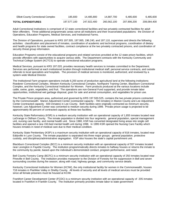| <b>Elliott County Correctional Complex</b> | 185.600     | 14.485.800  | 14.887.700  | 6.485.600   | 6.485.600   |
|--------------------------------------------|-------------|-------------|-------------|-------------|-------------|
| TOTAL EXPENDITURES                         | 197.577.100 | 247.922.400 | 260,562,100 | 207.906.200 | 208.084.400 |

Adult Correctional Institutions is comprised of 12 state correctional facilities and two privately contracted facilities for adult felon offenders. Three additional programmatic areas serve all institutions and their incarcerated populations: the Division of Operations, Education Programs, Medical Services, and Institutional Farms.

The Division of Operations, pursuant to KRS 197.505, 197.065, 196.240, and 197.110, supervises and directs the following activities: classification and placement of inmates, coordination of academic and technical programs, coordination of dietary and health programs for state owned facilities, contract compliance at the two privately contracted prisons, and coordination of security threat group information.

Education Programs consist of the educational programs and related services provided at the 12 state prison facilities, which provide offenders with opportunities to acquire various skills. The Department contracts with the Kentucky Community and Technical College System (KCTCS) to operate correctional education programs.

Medical Services, pursuant to KRS 197.020, provides necessary health services to inmates committed to the Department. Services are performed at each institutional location through institutional medical staff, personal service contracts, and outside referrals to local specialists and hospitals. The provision of medical services is monitored, authorized, and reviewed by a system-wide Medical Director.

The Institutional Farm program operations include 6,200 acres of productive agricultural land at the following institutions: Roederer Correctional Complex, Western Kentucky Correctional Complex, Northpoint Training Center, Blackburn Correctional Complex, and the Kentucky Correctional Institution for Women. Farm products produced at the various locations include cattle, swine, grain, vegetables, and fruit. The operations are non-General Fund supported, and provide inmate labor opportunities, institutional wet garbage disposal, grain for sale and animal consumption, and vegetables for prison use.

The Private Prison program area, authorized and governed by KRS 197.500-525, contains the two private prisons contracted by the Commonwealth: Marion Adjustment Center (contracted capacity - 700 inmates) in Marion County and Lee Adjustment Center (contracted capacity - 600 inmates) in Lee County. Both facilities were originally contracted as minimum security, however, Lee Adjustment Center was converted to medium security during 1999. Private prison usage is projected to be approximately 80 percent of contracted capacity at these two facilities.

Kentucky State Reformatory (KSR) is a medium security institution with an operational capacity of 1,855 inmates located near LaGrange in Oldham County. The inmate population is divided into four segments: general population, special management unit, nursing care facility, and mental health unit. Since 1980, KSR has converted designated living areas into single cell facilities and opened a new 150-bed mental health unit during 1998. In 1995 KSR opened the Nursing Care Facility which houses inmates in need of medical care due to their medical condition.

Kentucky State Penitentiary (KSP) is a maximum security institution with an operational capacity of 816 inmates, located near Eddyville in Lyon County. The inmate population is separated into three major groups: general population, protective custody, and disciplinary/administrative segregation. KSP also houses the state's capital punishment unit.

Blackburn Correctional Complex (BCC) is a minimum security institution with an operational capacity of 557 inmates located near Lexington in Fayette County. The institution programmatically directs inmates to halfway houses or returns the inmate to the community by parole, based upon the individual's demonstrated conduct, program performance, and need.

Bell County Forestry Camp (BCFC) is a minimum security institution with an operational capacity of 250 inmates located near Pineville in Bell County. The institution provides manpower to the Division of Forestry for fire suppression in Bell and seven surrounding counties during fire season, along with road, highway garage, and community service details.

Kentucky Correctional Institution for Women (KCIW), the only institutional facility for women in the Commonwealth, houses 718 inmates in PeeWee Valley in Shelby County. All levels of security and all levels of medical services must be provided since all female prisoners must be housed at KCIW.

Frankfort Career Development Center (FCDC) is a minimum security institution with an operational capacity of 205 inmates located in Frankfort in Franklin County. The institution primarily provides inmate labor to state government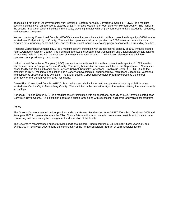agencies in Frankfort at 30 governmental work locations. Eastern Kentucky Correctional Complex (EKCC) is a medium security institution with an operational capacity of 1,674 inmates located near West Liberty in Morgan County. The facility is the second largest correctional institution in the state, providing inmates with employment opportunities, academic resources, and vocational programs.

Western Kentucky Correctional Complex (WKCC) is a medium security institution with an operational capacity of 650 inmates located near Eddyville in Lyon County. The institution operates a full farm operation on 2,500 acres, a community work program for surrounding parks and cities, and the Correctional Industries recycling program serving the surrounding counties.

Roederer Correctional Complex (RCC) is a medium security institution with an operational capacity of 1002 inmates located near LaGrange in Oldham County. The institution operates the Department's Assessment and Classification Center, serving all incoming male inmates with the exception of inmates sentenced to death. The institution also operates a full farm operation on approximately 2,800 acres.

Luther Luckett Correctional Complex (LLCC) is a medium security institution with an operational capacity of 1,075 inmates, also located near LaGrange in Oldham County. The facility houses two separate institutions: the Department of Correction's prison facility and the Health and Family Services Cabinet, Kentucky Correctional Psychiatric Center (KCPC). Due to the proximity of KCPC, the inmate population has a variety of psychological, pharmaceutical, recreational, academic, vocational, and substance abuse programs available. The Luther Luckett Correctional Complex Pharmacy serves as the central pharmacy for the Oldham County area institutions.

Green River Correctional Complex (GRCC) is a medium security institution with an operational capacity of 947 inmates located near Central City in Muhlenberg County. The institution is the newest facility in the system, utilizing the latest security technology.

Northpoint Training Center (NTC) is a medium security institution with an operational capacity of 1,226 inmates located near Danville in Boyle County. The institution operates a prison farm, along with counseling, academic, and vocational programs.

#### **Policy**

The Governor's recommended budget provides additional General Fund resources of \$6,387,500 in both fiscal year 2005 and fiscal year 2006 to open and operate the Elliott County Prison in the most cost effective manner possible which may include contracting and outsourcing the management and operation of the facility.

The Governor's recommended budget provides additional General Fund resources of \$3,860,800 in fiscal year 2005 and \$4,039,000 in fiscal year 2006 to fund the continuation of the Inmate Education Program at current service levels.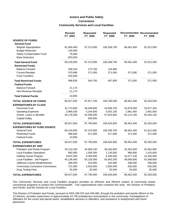## **Corrections Community Services and Local Facilities Justice and Public Safety**

|                                         | <b>Revised</b><br>FY 2004 | <b>Requested</b><br>FY 2005 | <b>Requested</b><br>FY 2006 | FY 2005    | Recommended Recommended<br>FY 2006 |
|-----------------------------------------|---------------------------|-----------------------------|-----------------------------|------------|------------------------------------|
| <b>SOURCE OF FUNDS</b>                  |                           |                             |                             |            |                                    |
| <b>General Fund</b>                     |                           |                             |                             |            |                                    |
| Regular Appropriation                   | 81,400,400                | 97,373,000                  | 106,208,700                 | 86,581,400 | 91,912,500                         |
| <b>Budget Reduction</b>                 | $-126,900$                |                             |                             |            |                                    |
| <b>Salary Compensation Fund</b>         | 79,000                    |                             |                             |            |                                    |
| <b>Base Deduction</b>                   | $-933,500$                |                             |                             |            |                                    |
| <b>Total General Fund</b>               | 80,419,000                | 97,373,000                  | 106,208,700                 | 86,581,400 | 91,912,500                         |
| <b>Restricted Funds</b>                 |                           |                             |                             |            |                                    |
| <b>Balance Forward</b>                  | 358,334                   | 173,700                     | 126,800                     |            |                                    |
| <b>Current Receipts</b>                 | 370,996                   | 371,000                     | 371,000                     | 371,000    | 371,000                            |
| <b>Fund Transfers</b>                   | $-240,500$                |                             |                             |            |                                    |
| <b>Total Restricted Funds</b>           | 488,830                   | 544,700                     | 497,800                     | 371,000    | 371,000                            |
| <b>Federal Funds</b>                    |                           |                             |                             |            |                                    |
| <b>Balance Forward</b>                  | 21,174                    |                             |                             |            |                                    |
| Non-Revenue Receipts                    | $-11,174$                 |                             |                             |            |                                    |
| <b>Total Federal Funds</b>              | 10,000                    |                             |                             |            |                                    |
| <b>TOTAL SOURCE OF FUNDS</b>            | 80,917,830                | 97,917,700                  | 106,706,500                 | 86,952,400 | 92,283,500                         |
| <b>EXPENDITURES BY CLASS</b>            |                           |                             |                             |            |                                    |
| <b>Personnel Cost</b>                   | 31,774,800                | 39,449,800                  | 43,699,700                  | 33,879,300 | 33,877,400                         |
| <b>Operating Expenses</b>               | 2,966,530                 | 5,244,600                   | 5,002,100                   | 2,961,000  | 2,961,000                          |
| Grants, Loans or Benefits               | 46,176,500                | 52,596,500                  | 57,924,800                  | 50,112,100 | 55,445,100                         |
| <b>Capital Outlay</b>                   |                           | 500,000                     |                             |            |                                    |
| <b>TOTAL EXPENDITURES</b>               | 80,917,830                | 97,790,900                  | 106,626,600                 | 86,952,400 | 92,283,500                         |
| <b>EXPENDITURES BY FUND SOURCE</b>      |                           |                             |                             |            |                                    |
| <b>General Fund</b>                     | 80,419,000                | 97,373,000                  | 106,208,700                 | 86,581,400 | 91,912,500                         |
| <b>Restricted Funds</b>                 | 488,830                   | 417,900                     | 417,900                     | 371,000    | 371,000                            |
| <b>Federal Funds</b>                    | 10,000                    |                             |                             |            |                                    |
| <b>TOTAL EXPENDITURES</b>               | 80,917,830                | 97,790,900                  | 106,626,600                 | 86,952,400 | 92,283,500                         |
| <b>EXPENDITURES BY UNIT</b>             |                           |                             |                             |            |                                    |
| Probation and Parole Program            | 25,110,330                | 34,909,100                  | 38,160,900                  | 25,462,900 | 25,462,900                         |
| <b>Local Facilities Operations</b>      | 992,900                   | 1,059,300                   | 1,135,000                   | 990,800    | 1,015,600                          |
| Halfway House Program                   | 8,623,300                 | 9,269,600                   | 9,449,500                   | 10,477,100 | 10,450,400                         |
| Local Facilities - Jail Program         | 45,138,400                | 50,135,000                  | 55,463,300                  | 49,065,600 | 54,398,600                         |
| Jefferson County Misdemeanant           | 286,000                   | 332,900                     | 332,900                     | 286,000    | 286,000                            |
| <b>Community Corrections Commission</b> | 731,900                   | 2,050,000                   | 2,050,000                   | 635,000    | 635,000                            |
| <b>Drug Testing Fees</b>                | 35,000                    | 35,000                      | 35,000                      | 35,000     | 35,000                             |
| <b>TOTAL EXPENDITURES</b>               | 80,917,830                | 97,790,900                  | 106,626,600                 | 86,952,400 | 92,283,500                         |

The Community Services and Local Facilities program provides an effective and efficient system of community based correctional programs to protect the Commonwealth. Two organizational units comprise this area: the Division of Probation and Parole, and the Division for Local Facilities.

The Division of Probation and Parole, pursuant to KRS 439.370 and 439.480, through the probation and parole officers in the 13 districts, provides supervision of approximately 24,700 probationers and parolees in the community, investigations of offenders for the courts and parole board, rehabilitative services to offenders, and assistance in employment and home placement.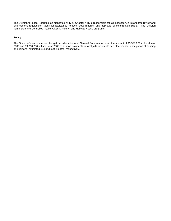The Division for Local Facilities, as mandated by KRS Chapter 441, is responsible for jail inspection, jail standards review and enforcement regulations, technical assistance to local governments, and approval of construction plans. The Division administers the Controlled Intake, Class D Felony, and Halfway House programs.

#### **Policy**

The Governor's recommended budget provides additional General Fund resources in the amount of \$3,927,200 in fiscal year 2005 and \$9,260,200 in fiscal year 2006 to support payments to local jails for inmate bed placement in anticipation of housing an additional estimated 394 and 929 inmates, respectively.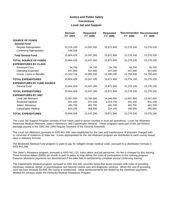## **Corrections Local Jail and Support Justice and Public Safety**

|                                    | <b>Revised</b><br>FY 2004 | <b>Requested</b><br>FY 2005 | <b>Requested</b><br>FY 2006 | Recommended<br>FY 2005 | Recommended<br>FY 2006 |
|------------------------------------|---------------------------|-----------------------------|-----------------------------|------------------------|------------------------|
| <b>SOURCE OF FUNDS</b>             |                           |                             |                             |                        |                        |
| <b>General Fund</b>                |                           |                             |                             |                        |                        |
| Regular Appropriation              | 15,276,100                | 15,547,200                  | 15,871,900                  | 15,276,100             | 15,276,100             |
| <b>Continuing Appropriation</b>    | 528,328                   |                             |                             |                        |                        |
| <b>Total General Fund</b>          | 15,804,428                | 15,547,200                  | 15,871,900                  | 15,276,100             | 15,276,100             |
| <b>TOTAL SOURCE OF FUNDS</b>       | 15,804,428                | 15,547,200                  | 15,871,900                  | 15,276,100             | 15,276,100             |
| <b>EXPENDITURES BY CLASS</b>       |                           |                             |                             |                        |                        |
| <b>Personnel Cost</b>              | 34.700                    | 34.700                      | 34.700                      | 34.700                 | 34,700                 |
| <b>Operating Expenses</b>          | 447,000                   | 447,000                     | 447,000                     | 447,000                | 447,000                |
| Grants, Loans or Benefits          | 15,322,728                | 15,065,500                  | 15,390,200                  | 14,794,400             | 14,794,400             |
| <b>TOTAL EXPENDITURES</b>          | 15,804,428                | 15,547,200                  | 15,871,900                  | 15,276,100             | 15,276,100             |
| <b>EXPENDITURES BY FUND SOURCE</b> |                           |                             |                             |                        |                        |
| <b>General Fund</b>                | 15,804,428                | 15,547,200                  | 15,871,900                  | 15,276,100             | 15,276,100             |
| <b>TOTAL EXPENDITURES</b>          | 15,804,428                | 15,547,200                  | 15,871,900                  | 15,276,100             | 15,276,100             |
| <b>EXPENDITURES BY UNIT</b>        |                           |                             |                             |                        |                        |
| Local Jail Allotment               | 13,567,400                | 13,784,500                  | 14,046,400                  | 13,567,400             | 13,567,400             |
| <b>Restricted Medical</b>          | 931,100                   | 972,100                     | 1,019,700                   | 931.100                | 931,100                |
| Jailers' Allowance                 | 481,700                   | 481,700                     | 481,700                     | 481,700                | 481,700                |
| Catastrophic Medical               | 824,228                   | 308,900                     | 324,100                     | 295,900                | 295,900                |
| <b>TOTAL EXPENDITURES</b>          | 15,804,428                | 15,547,200                  | 15,871,900                  | 15,276,100             | 15,276,100             |

The Local Jail Support Program consists of four funds used to assist counties in local jail operations: Local Jail Allotment, Restricted Medical Allotment, Jailer's Allowance, and Catastrophic Medical. These programs were part of the Jail Reform package passed in the 1982 and 1984 Regular Sessions of the General Assembly.

The Local Jail Allotment, pursuant to KRS 441.206, was established for the care and maintenance of prisoners charged with or convicted of violations of state law. Funds appropriated for the Jail Allotment program are distributed to each county based upon a statutory formula.

The Restricted Medical Fund program is used to pay for indigent inmate medical costs, pursuant to a distribution formula in KRS 441.206.

The Jailer's Allowance program, pursuant to KRS 441.115, trains jailers and jail personnel. No fee is charged for this training. Three hundred dollars (\$300) per month is paid to jailers to help defray the costs of participation in this training program. Expense allowance payments are discontinued if the jailer fails to satisfactorily complete annual continuing training.

The Catastrophic Medical program, pursuant to KRS 441.045, provides funds that assist counties with costs of providing necessary medical, dental, or psychological care beyond routine care and diagnostic services. When the cost of providing such services exceeds \$2,000, the county is reimbursed. Initial reimbursements are limited by the maximum payments allowed for services under the Kentucky Medical Assistance Program.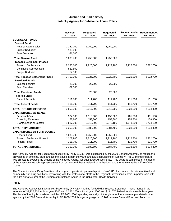## **Kentucky Agency for Substance Abuse Policy Justice and Public Safety**

|                                                                    | <b>Revised</b><br>FY 2004 | <b>Requested</b><br>FY 2005 | <b>Requested</b><br>FY 2006 | Recommended<br>FY 2005 | Recommended<br>FY 2006 |
|--------------------------------------------------------------------|---------------------------|-----------------------------|-----------------------------|------------------------|------------------------|
| <b>SOURCE OF FUNDS</b>                                             |                           |                             |                             |                        |                        |
| <b>General Fund</b>                                                |                           |                             |                             |                        |                        |
| Regular Appropriation                                              | 1,250,000                 | 1,250,000                   | 1,250,000                   |                        |                        |
| <b>Budget Reduction</b>                                            | $-183,000$                |                             |                             |                        |                        |
| <b>Base Deduction</b>                                              | $-31,300$                 |                             |                             |                        |                        |
| <b>Total General Fund</b>                                          | 1,035,700                 | 1,250,000                   | 1,250,000                   |                        |                        |
| <b>Tobacco Settlement-Phase I</b>                                  |                           |                             |                             |                        |                        |
| Tobacco Settlement - I                                             | 2,236,600                 | 2,226,800                   | 2,222,700                   | 2,226,800              | 2,222,700              |
| <b>Continuing Appropriation</b>                                    | 520,800                   |                             |                             |                        |                        |
| <b>Budget Reduction</b>                                            | $-54,500$                 |                             |                             |                        |                        |
| <b>Total Tobacco Settlement-Phase I</b><br><b>Restricted Funds</b> | 2,702,900                 | 2,226,800                   | 2,222,700                   | 2,226,800              | 2,222,700              |
| <b>Balance Forward</b>                                             | 29,300                    | 29,300                      | 29,300                      |                        |                        |
| <b>Fund Transfers</b>                                              | $-29,300$                 |                             |                             |                        |                        |
| <b>Total Restricted Funds</b>                                      |                           | 29,300                      | 29,300                      |                        |                        |
| <b>Federal Funds</b>                                               |                           |                             |                             |                        |                        |
| <b>Current Receipts</b>                                            | 111,700                   | 111,700                     | 111,700                     | 111,700                | 111,700                |
| <b>Total Federal Funds</b>                                         | 111,700                   | 111,700                     | 111,700                     | 111,700                | 111,700                |
| <b>TOTAL SOURCE OF FUNDS</b><br><b>EXPENDITURES BY CLASS</b>       | 3,850,300                 | 3,617,800                   | 3,613,700                   | 2,338,500              | 2,334,400              |
| <b>Personnel Cost</b>                                              | 574,300                   | 1,118,900                   | 1,153,500                   | 401,500                | 401,500                |
| <b>Operating Expenses</b>                                          | 158,800                   | 158,800                     | 158,800                     | 158,800                | 158,800                |
| Grants, Loans or Benefits                                          | 1,617,200                 | 2,310,800                   | 2,272,100                   | 1,778,200              | 1,774,100              |
| <b>TOTAL EXPENDITURES</b>                                          | 2,350,300                 | 3,588,500                   | 3,584,400                   | 2,338,500              | 2,334,400              |
| <b>EXPENDITURES BY FUND SOURCE</b>                                 |                           |                             |                             |                        |                        |
| <b>General Fund</b>                                                | 1,035,700                 | 1,250,000                   | 1,250,000                   |                        |                        |
| Tobacco Settlement-Phase I                                         | 1,202,900                 | 2,226,800                   | 2,222,700                   | 2,226,800              | 2,222,700              |
| <b>Federal Funds</b>                                               | 111,700                   | 111,700                     | 111,700                     | 111,700                | 111,700                |
| <b>TOTAL EXPENDITURES</b>                                          | 2,350,300                 | 3,588,500                   | 3,584,400                   | 2,338,500              | 2,334,400              |

The Kentucky Agency for Substance Abuse Policy (KRS 12.330) was established by the 2000 General Assembly to reduce the prevalence of smoking, drug, and alcohol abuse in both the youth and adult populations of Kentucky. An 18-member board was created to oversee the actions of the Kentucky Agency for Substance Abuse Policy. This board is comprised of members of the Executive Branch, representatives from of non-profit health-related organizations, and the Administrative Office of the Courts.

The Champions for a Drug Free Kentucky program operates in partnership with KY-ASAP. Its primary role is to mobilize local community anti-drug coalitions, by working with the professional staffs in the Regional Prevention Centers, in partnership with the administrative arm of the Division of Substance Abuse in the Cabinet for Health Services.

#### **Policy**

The Kentucky Agency for Substance Abuse Policy (KY ASAP) will be funded with Tobacco Settlement Phase I funds in the amounts of \$2,226,800 in fiscal year 2005 and \$2,222,700 in fiscal year 2006 and \$111,700 federal funds in each fiscal year. This level of funding is consistent with last FB 2002-2004 spending authority. Although more funds were appropriated to the agency by the 2003 General Assembly in FB 2002-2004, budget language in HB 269 requires General Fund and Tobacco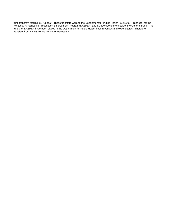fund transfers totaling \$1,725,000. Those transfers were to the Department for Public Health (\$225,000 - Tobacco) for the Kentucky All Schedule Prescription Enforcement Program (KASPER) and \$1,500,000 to the credit of the General Fund. The funds for KASPER have been placed in the Department for Public Health base revenues and expenditures. Therefore, transfers from KY ASAP are no longer necessary.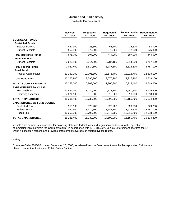## **Vehicle Enforcement Justice and Public Safety**

|                                                               | <b>Revised</b><br>FY 2004 | <b>Requested</b><br>FY 2005 | <b>Requested</b><br>FY 2006 | <b>Recommended</b><br>FY 2005 | Recommended<br>FY 2006 |
|---------------------------------------------------------------|---------------------------|-----------------------------|-----------------------------|-------------------------------|------------------------|
| <b>SOURCE OF FUNDS</b><br><b>Restricted Funds</b>             |                           |                             |                             |                               |                        |
| <b>Balance Forward</b>                                        | 422.900                   | 25,600                      | 68,700                      | 25,600                        | 68,700                 |
| <b>Current Receipts</b>                                       | 552,800                   | 372,300                     | 375,300                     | 372,300                       | 375,300                |
| <b>Total Restricted Funds</b><br><b>Federal Funds</b>         | 975,700                   | 397,900                     | 444.000                     | 397,900                       | 444,000                |
| <b>Current Receipts</b>                                       | 2,020,400                 | 3,614,800                   | 3,787,100                   | 3,614,800                     | 3,787,100              |
| <b>Total Federal Funds</b><br><b>Road Fund</b>                | 2,020,400                 | 3,614,800                   | 3,787,100                   | 3,614,800                     | 3,787,100              |
| <b>Regular Appropriation</b>                                  | 12,260,900                | 12,795,300                  | 13,575,700                  | 12,215,700                    | 12,518,100             |
| <b>Total Road Fund</b>                                        | 12,260,900                | 12,795,300                  | 13,575,700                  | 12,215,700                    | 12,518,100             |
| <b>TOTAL SOURCE OF FUNDS</b><br><b>EXPENDITURES BY CLASS</b>  | 15,257,000                | 16,808,000                  | 17,806,800                  | 16,228,400                    | 16,749,200             |
| <b>Personnel Cost</b>                                         | 10,857,300                | 13,220,400                  | 14,173,100                  | 12,640,800                    | 13,115,500             |
| <b>Operating Expenses</b>                                     | 4,374,100                 | 3,518,900                   | 3,518,900                   | 3,518,900                     | 3,518,900              |
| <b>TOTAL EXPENDITURES</b>                                     | 15,231,400                | 16,739,300                  | 17,692,000                  | 16,159,700                    | 16,634,400             |
| <b>EXPENDITURES BY FUND SOURCE</b><br><b>Restricted Funds</b> | 950,100                   | 329,200                     | 329,200                     | 329,200                       | 329,200                |
| <b>Federal Funds</b>                                          | 2,020,400                 | 3,614,800                   | 3,787,100                   | 3,614,800                     | 3,787,100              |
| Road Fund                                                     | 12,260,900                | 12,795,300                  | 13,575,700                  | 12,215,700                    | 12,518,100             |
| <b>TOTAL EXPENDITURES</b>                                     | 15,231,400                | 16,739,300                  | 17,692,000                  | 16,159,700                    | 16,634,400             |

Vehicle Enforcement is responsible for enforcing state and federal laws and regulations pertaining to the operation of commercial vehicles within the Commonwealth. In accordance with KRS 189.227, Vehicle Enforcement operates the 17 weigh / inspection stations and provides enforcement coverage on related bypass routes.

#### **Policy**

Executive Order 2003-064, dated December 23, 2003, transferred Vehicle Enforcement from the Transportation Cabinet and placed it under the Justice and Public Safety Cabinet.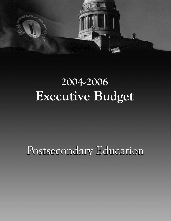

# 2004-2006 Executive Budget

## Postsecondary Education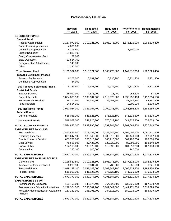## **Postsecondary Education**

|                                                                                                                                                      | <b>Revised</b><br>FY 2004                                        | <b>Requested</b><br>FY 2005  | <b>Requested</b><br>FY 2006  | Recommended<br>FY 2005       | Recommended<br>FY 2006       |
|------------------------------------------------------------------------------------------------------------------------------------------------------|------------------------------------------------------------------|------------------------------|------------------------------|------------------------------|------------------------------|
| <b>SOURCE OF FUNDS</b><br><b>General Fund</b>                                                                                                        |                                                                  |                              |                              |                              |                              |
| <b>Regular Appropriation</b><br><b>Current Year Appropriation</b>                                                                                    | 1,167,077,500<br>4,000,000                                       | 1,310,321,800                | 1,506,776,800                | 1,146,115,900<br>1,500,000   | 1,202,629,400                |
| <b>Continuing Appropriation</b><br><b>Budget Reduction</b><br><b>Salary Compensation Fund</b><br><b>Base Deduction</b><br>Reorganization Adjustments | 4,115,800<br>$-24,813,400$<br>67,600<br>$-21,524,700$<br>140,000 |                              |                              |                              |                              |
| Other                                                                                                                                                | 1,320,000                                                        |                              |                              |                              |                              |
| <b>Total General Fund</b>                                                                                                                            | 1,130,382,800                                                    | 1,310,321,800                | 1,506,776,800                | 1,147,615,900                | 1,202,629,400                |
| <b>Tobacco Settlement-Phase I</b><br>Tobacco Settlement - I<br><b>Continuing Appropriation</b>                                                       | 6,205,000<br>84,900                                              | 6,681,200                    | 6,736,200                    | 6,331,300                    | 6,321,300                    |
| <b>Total Tobacco Settlement-Phase I</b><br><b>Restricted Funds</b>                                                                                   | 6,289,900                                                        | 6,681,200                    | 6,736,200                    | 6,331,300                    | 6,321,300                    |
| <b>Balance Forward</b>                                                                                                                               | 15,090,900                                                       | 4,673,200                    | 18,400                       | 955,200                      | 57,900                       |
| <b>Current Receipts</b>                                                                                                                              | 1,854,835,100                                                    | 1,995,104,600                | 2,115,978,800                | 1,992,256,400                | 2,112,314,500                |
| Non-Revenue Receipts<br><b>Fund Transfers</b>                                                                                                        | 74,712,400<br>$-24,554,100$                                      | 81,389,600                   | 86,251,500                   | 81,684,700<br>$-9,000,000$   | 84,397,500<br>$-3,500,000$   |
| <b>Total Restricted Funds</b><br><b>Federal Funds</b>                                                                                                | 1,920,084,300                                                    | 2,081,167,400                | 2,202,248,700                | 2,065,896,300                | 2,193,269,900                |
| <b>Current Receipts</b>                                                                                                                              | 518,068,200                                                      | 541,825,800                  | 575,623,100                  | 541,825,800                  | 575,623,100                  |
| <b>Total Federal Funds</b>                                                                                                                           | 518,068,200                                                      | 541,825,800                  | 575,623,100                  | 541,825,800                  | 575,623,100                  |
| <b>TOTAL SOURCE OF FUNDS</b>                                                                                                                         | 3,574,825,200                                                    | 3,939,996,200                | 4,291,384,800                | 3,761,669,300                | 3,977,843,700                |
| <b>EXPENDITURES BY CLASS</b>                                                                                                                         |                                                                  |                              |                              |                              |                              |
| <b>Personnel Cost</b>                                                                                                                                | 1,853,855,500                                                    | 2,013,182,000                | 2,142,546,200                | 1,965,406,500                | 2,060,711,600                |
| <b>Operating Expenses</b>                                                                                                                            | 885,647,100                                                      | 980,845,000                  | 1,033,315,500                | 939,449,000                  | 992,962,900                  |
| Grants, Loans or Benefits                                                                                                                            | 651,753,800                                                      | 750,315,700                  | 880,910,600                  | 669,106,600                  | 708,880,800                  |
| Debt Service                                                                                                                                         | 78,625,500                                                       | 87,425,000                   | 122,022,000                  | 82,896,000                   | 108,140,300                  |
| <b>Capital Outlay</b><br>Construction                                                                                                                | 102,168,000<br>320,100                                           | 108,070,100<br>140,000       | 112,590,500                  | 104,613,300<br>140,000       | 107,108,600                  |
| <b>TOTAL EXPENDITURES</b>                                                                                                                            | 3,572,370,000                                                    | 3,939,977,800                | 4,291,384,800                | 3,761,611,400                | 3,977,804,200                |
| <b>EXPENDITURES BY FUND SOURCE</b>                                                                                                                   |                                                                  |                              |                              |                              |                              |
| <b>General Fund</b>                                                                                                                                  | 1,128,882,800                                                    | 1,310,321,800                | 1,506,776,800                | 1,147,615,900                | 1,202,629,400                |
| Tobacco Settlement-Phase I                                                                                                                           | 6,289,900                                                        | 6,681,200                    | 6,736,200                    | 6,331,300                    | 6,321,300                    |
| <b>Restricted Funds</b>                                                                                                                              | 1,919,129,100                                                    | 2,081,149,000                | 2,202,248,700                | 2,065,838,400                | 2,193,230,400                |
| <b>Federal Funds</b>                                                                                                                                 | 518,068,200                                                      | 541,825,800                  | 575,623,100                  | 541,825,800                  | 575,623,100                  |
| <b>TOTAL EXPENDITURES</b>                                                                                                                            | 3,572,370,000                                                    | 3,939,977,800                | 4,291,384,800                | 3,761,611,400                | 3,977,804,200                |
| <b>EXPENDITURES BY UNIT</b>                                                                                                                          |                                                                  |                              |                              |                              |                              |
| Postsecondary Education                                                                                                                              | 155,762,600                                                      | 148,578,400                  | 264,528,800                  | 138,725,100                  | 167,990,700                  |
| Postsecondary Education Institutions<br>Kentucky Higher Education Assistance<br>Authority                                                            | 3,249,374,500<br>167,232,900                                     | 3,535,302,700<br>256,096,700 | 3,742,042,800<br>284,813,200 | 3,441,971,300<br>180,915,000 | 3,613,393,600<br>196,419,900 |
| <b>TOTAL EXPENDITURES</b>                                                                                                                            | 3,572,370,000                                                    | 3,939,977,800                | 4,291,384,800                | 3,761,611,400                | 3,977,804,200                |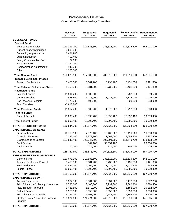## **Council on Postsecondary Education Postsecondary Education**

|                                                   | <b>Revised</b><br>FY 2004 | <b>Requested</b><br>FY 2005 | <b>Requested</b><br>FY 2006 | FY 2005     | Recommended Recommended<br>FY 2006 |
|---------------------------------------------------|---------------------------|-----------------------------|-----------------------------|-------------|------------------------------------|
| <b>SOURCE OF FUNDS</b>                            |                           |                             |                             |             |                                    |
| <b>General Fund</b>                               |                           |                             |                             |             |                                    |
| Regular Appropriation                             | 113,191,000               | 117,688,600                 | 238,618,200                 | 111,516,600 | 142,001,100                        |
| <b>Current Year Appropriation</b>                 | 4,000,000                 |                             |                             |             |                                    |
| Continuing Appropriation                          | 3,621,900                 |                             |                             |             |                                    |
| <b>Budget Reduction</b>                           | $-407,400$                |                             |                             |             |                                    |
| Salary Compensation Fund                          | 67,600                    |                             |                             |             |                                    |
| <b>Base Deduction</b>                             | $-1,260,000$              |                             |                             |             |                                    |
| Reorganization Adjustments                        | 140,000                   |                             |                             |             |                                    |
| Other                                             | 1,320,000                 |                             |                             |             |                                    |
| <b>Total General Fund</b>                         | 120,673,100               | 117,688,600                 | 238,618,200                 | 111,516,600 | 142,001,100                        |
| <b>Tobacco Settlement-Phase I</b>                 |                           |                             |                             |             |                                    |
| Tobacco Settlement - I                            | 5,455,000                 | 5,681,200                   | 5,736,200                   | 5,431,300   | 5,421,300                          |
| <b>Total Tobacco Settlement-Phase I</b>           | 5,455,000                 | 5,681,200                   | 5,736,200                   | 5,431,300   | 5,421,300                          |
| <b>Restricted Funds</b><br><b>Balance Forward</b> | 11,894,200                | 4,500,300                   |                             | 782,300     |                                    |
|                                                   |                           |                             |                             | 1,115,000   | 39,500                             |
| <b>Current Receipts</b><br>Non-Revenue Receipts   | 1,468,800<br>1,773,200    | 1,115,000<br>493,900        | 1,075,000                   |             | 1,075,000<br>393,900               |
| <b>Fund Transfers</b>                             | $-3,818,800$              |                             |                             | 820,000     |                                    |
|                                                   |                           |                             |                             |             |                                    |
| <b>Total Restricted Funds</b>                     | 11,317,400                | 6,109,200                   | 1,075,000                   | 2,717,300   | 1,508,400                          |
| <b>Federal Funds</b>                              |                           |                             |                             |             |                                    |
| <b>Current Receipts</b>                           | 19,099,400                | 19,099,400                  | 19,099,400                  | 19,099,400  | 19,099,400                         |
| <b>Total Federal Funds</b>                        | 19,099,400                | 19,099,400                  | 19,099,400                  | 19,099,400  | 19,099,400                         |
| <b>TOTAL SOURCE OF FUNDS</b>                      | 156,544,900               | 148,578,400                 | 264,528,800                 | 138,764,600 | 168,030,200                        |
| <b>EXPENDITURES BY CLASS</b>                      |                           |                             |                             |             |                                    |
| Personnel Cost                                    | 16,715,100                | 17,875,100                  | 18,400,900                  | 16,411,600  | 16,380,800                         |
| <b>Operating Expenses</b>                         | 7,297,100                 | 7,972,700                   | 7,067,600                   | 7,558,800   | 6,837,800                          |
| Grants, Loans or Benefits                         | 131,640,400               | 122,046,500                 | 202,291,200                 | 114,649,700 | 118,463,100                        |
| Debt Service                                      |                           | 569,100                     | 36,654,100                  |             | 26,204,000                         |
| <b>Capital Outlay</b>                             | 110,000                   | 115,000                     | 115,000                     | 105,000     | 105,000                            |
| <b>TOTAL EXPENDITURES</b>                         | 155,762,600               | 148,578,400                 | 264,528,800                 | 138,725,100 | 167,990,700                        |
| <b>EXPENDITURES BY FUND SOURCE</b>                |                           |                             |                             |             |                                    |
| <b>General Fund</b>                               | 120,673,100               | 117,688,600                 | 238,618,200                 | 111,516,600 | 142,001,100                        |
| Tobacco Settlement-Phase I                        | 5,455,000                 | 5,681,200                   | 5,736,200                   | 5,431,300   | 5,421,300                          |
| <b>Restricted Funds</b>                           | 10,535,100                | 6,109,200                   | 1,075,000                   | 2,677,800   | 1,468,900                          |
| <b>Federal Funds</b>                              | 19,099,400                | 19,099,400                  | 19,099,400                  | 19,099,400  | 19,099,400                         |
| <b>TOTAL EXPENDITURES</b>                         | 155,762,600               | 148,578,400                 | 264,528,800                 | 138,725,100 | 167,990,700                        |
| <b>EXPENDITURES BY UNIT</b>                       |                           |                             |                             |             |                                    |
| <b>Agency Operations</b>                          | 5,367,800                 | 6,004,600                   | 6,331,900                   | 5,172,800   | 5,202,200                          |
| Adult Education & Literacy Operations             | 2,786,300                 | 3,106,300                   | 3,239,300                   | 2,880,400   | 2,880,400                          |
| Pass Through Programs                             | 9,488,800                 | 5,579,200                   | 5,906,800                   | 5,182,900   | 10,182,900                         |
| <b>Federal Programs</b>                           | 3,950,000                 | 3,950,000                   | 3,950,000                   | 3,950,000   | 3,950,000                          |
| Kentucky Virtual University                       | 4,795,100                 | 5,663,400                   | 4,787,600                   | 5,152,900   | 4,410,100                          |
| Strategic Invest & Incentive Funding<br>Program   | 129,374,600               | 124,274,900                 | 240,313,200                 | 116,386,100 | 141,365,100                        |
| <b>TOTAL EXPENDITURES</b>                         | 155,762,600               | 148,578,400                 | 264,528,800                 | 138,725,100 | 167,990,700                        |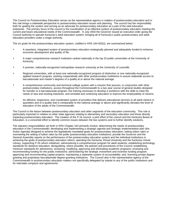The Council on Postsecondary Education serves as the representative agency in matters of postsecondary education and in this role brings a statewide perspective to postsecondary education issues and planning. The council has the responsibility both for guiding the system and serving as an advocate for postsecondary education as a part of the total education enterprise. The primary focus of the council is the coordination of an effective system of postsecondary education meeting the current and future educational needs of the Commonwealth. In July 2003 the Governor issued an executive order giving the Council authority to operate Kentucky's adult education system, bringing all of Kentucky's public postsecondary and adult education providers under a single authority.

The six goals for the postsecondary education system, codified in KRS 164.003(2), are summarized below:

- A seamless, integrated system of postsecondary education strategically planned and adequately funded to enhance economic development and quality of life.
- A major comprehensive research institution ranked nationally in the top 20 public universities at the University of Kentucky.
- A premier, nationally-recognized metropolitan research university at the University of Louisville.
- Regional universities, with at least one nationally-recognized program of distinction or one nationally-recognized applied research program, working cooperatively with other postsecondary institutions to assure statewide access to baccalaureate and master's degrees of a quality at or above the national average.
- A comprehensive community and technical college system with a mission that assures, in conjunction with other postsecondary institutions, access throughout the Commonwealth to a two year course of general studies designed for transfer to a baccalaureate program, the training necessary to develop a workforce with the skills to meet the needs of new and existing industries, and remedial and continuing education to improve the employability of citizens.
- An efficient, responsive, and coordinated system of providers that delivers educational services to all adult citizens in quantities and of a quality that is comparable to the national average or above and significantly elevates the level of education of the adults of the Commonwealth.

The Council is the liaison between postsecondary education and other segments of the education community. This role is particularly important in relation to other state agencies relating to elementary and secondary education and those directly impacting postsecondary education. The creation of the P-16 council, a joint effort of the council and the Kentucky Board of Education, is a concerted effort to identify common issues between the two systems and to further identify solutions.

The statutory responsibilities set forth in KRS Chapter 164 primarily involve: determining the needs of postsecondary education in the Commonwealth; developing and implementing a strategic agenda and strategic implementation plan (the Action Agenda) designed to achieve the legislatively mandated goals for postsecondary education; setting tuition rates or overseeing the setting of tuition rates by the public postsecondary education institutions; provide the Governor and the General Assembly reports on the performance of the postsecondary education system and the individual institutions in achieving the goals of postsecondary education reform; operating the Kentucky Virtual University and the Kentucky Virtual Library; supporting P-16 reform initiatives; administering a comprehensive program for adult students; establishing technology standards for distance education; deregulating, where possible, the policies and procedures of the Council; establishing minimum standards for admissions; reviewing, modifying, approving and eliminating academic programs; reviewing and recommending funding for the public institutions; administering the strategic investment and incentive funding program; approving and recommending capital projects; maintaining a statewide system of accountability; and, licensing private degreegranting and proprietary baccalaureate degree-granting institutions. The Council also is the representative agency of the Commonwealth in postsecondary education matters not specifically delegated by statute to any of the public institutions and for interstate compacts and agreements.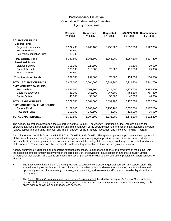## **Council on Postsecondary Education Agency Operations Postsecondary Education**

|                                    | <b>Revised</b><br>FY 2004 | Requested<br>FY 2005 | <b>Requested</b><br>FY 2006 | Recommended<br>FY 2005 | Recommended<br>FY 2006 |
|------------------------------------|---------------------------|----------------------|-----------------------------|------------------------|------------------------|
| <b>SOURCE OF FUNDS</b>             |                           |                      |                             |                        |                        |
| <b>General Fund</b>                |                           |                      |                             |                        |                        |
| Regular Appropriation              | 5,382,400                 | 5,765,100            | 6,256,900                   | 5,057,800              | 5,127,200              |
| <b>Budget Reduction</b>            | $-254,400$                |                      |                             |                        |                        |
| Salary Compensation Fund           | 39,800                    |                      |                             |                        |                        |
| <b>Total General Fund</b>          | 5,167,800                 | 5,765,100            | 6,256,900                   | 5,057,800              | 5,127,200              |
| <b>Restricted Funds</b>            |                           |                      |                             |                        |                        |
| <b>Balance Forward</b>             | 305,300                   | 124,500              |                             | 39,500                 | 39,500                 |
| <b>Current Receipts</b>            | 120,000                   | 115,000              | 75,000                      | 115,000                | 75,000                 |
| <b>Fund Transfers</b>              | $-185,800$                |                      |                             |                        |                        |
| <b>Total Restricted Funds</b>      | 239,500                   | 239,500              | 75,000                      | 154,500                | 114,500                |
| <b>TOTAL SOURCE OF FUNDS</b>       | 5,407,300                 | 6,004,600            | 6,331,900                   | 5,212,300              | 5,241,700              |
| <b>EXPENDITURES BY CLASS</b>       |                           |                      |                             |                        |                        |
| <b>Personnel Cost</b>              | 4,591,500                 | 5,201,300            | 5,514,600                   | 4,379,500              | 4,394,900              |
| <b>Operating Expenses</b>          | 731,300                   | 753,300              | 767,300                     | 753,300                | 767,300                |
| Capital Outlay                     | 45,000                    | 50,000               | 50,000                      | 40,000                 | 40,000                 |
| <b>TOTAL EXPENDITURES</b>          | 5,367,800                 | 6,004,600            | 6,331,900                   | 5,172,800              | 5,202,200              |
| <b>EXPENDITURES BY FUND SOURCE</b> |                           |                      |                             |                        |                        |
| <b>General Fund</b>                | 5,167,800                 | 5,765,100            | 6,256,900                   | 5,057,800              | 5,127,200              |
| <b>Restricted Funds</b>            | 200,000                   | 239,500              | 75,000                      | 115,000                | 75,000                 |
| <b>TOTAL EXPENDITURES</b>          | 5,367,800                 | 6,004,600            | 6,331,900                   | 5,172,800              | 5,202,200              |

The Agency Operations program is the support unit of the Council. The Agency Operations budget includes funding for operating activities in support of development and implementation of the strategic agenda and action plan, academic program review, capital and operating finances, and implementation of the Strategic Investment and Incentive Funding Program.

Authority for the council is found in KRS 164.013, 164.0203, and 164.020. The agency operations program is the support unit of the council. As such, employees included in the agency operations program provided limited direct services to students and faculty at public and private postsecondary education institutions, legislators, members of the governor's staff, and other state agencies. The council does license private postsecondary education institutions, a regulatory function.

Agency operations include staff and operating expenses necessary to manage the agency and programs of the council with the exception of those employees involved in the direct delivery of services for adult education and the Kentucky Virtual University/Virtual Library. The staff is organized into seven primary units with agency operations providing support services to all units:

- The Executive unit consists of the CPE president, executive vice president, general counsel, and support staff. The executive unit provides leadership and direction to the other units, coordinates the postsecondary education equal opportunity efforts, directs strategic planning, accountability, and assessment efforts, and, provides legal services to the agency.
- The Public Affairs, Communications, and Human Resources unit, headed by the agency's Chief of Staff, includes support staff providing governmental and legislative services, media relations, and communications planning for the entire agency as well as human resources services.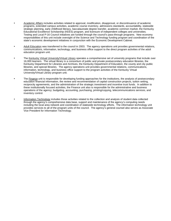- Academic Affairs includes activities related to approval, modification, disapproval, or discontinuance of academic programs, extended campus activities, academic course inventory, admissions standards, accountability, statewide strategic planning, early childhood literacy, baccalaureate degree transfer, academic common market, the Kentucky Educational Excellence Scholarship (KEES) program, and licensure of independent colleges and universities. Testing and Local P-16 Council initiatives are funded through the council's pass-through programs. New economy responsibilities of this unit include oversight of the Science and Technology funding program and coordination of the state's economic development initiatives in conjunction with the Economic Development Cabinet.
- Adult Education was transferred to the council in 2003. The agency operations unit provides governmental relations, communications, information, technology, and business office support to the direct program activities of the adult education program unit.
- The Kentucky Virtual University/Virtual Library operates a comprehensive set of university programs that include over 16,000 learners. The virtual library is a consortium of public and private postsecondary education libraries, the Kentucky Department for Libraries and Archives, the Kentucky Department of Education, the county and city public libraries, and special libraries. The agency operations unit provides governmental relations, communications, information, technology, and business office support to the program activities of the Kentucky Virtual University/Virtual Library program unit.
- The Finance unit is responsible for developing funding approaches for the institutions, the analysis of postsecondary education financial information, the review and recommendation of capital construction projects, tuition setting, reciprocity agreements, and the administration of the strategic investment and incentive trust funds. In addition to these institutionally focused activities, the Finance unit also is responsible for the administrative and business operations of the agency; budgeting, accounting, purchasing, printing/copying, telecommunications services, and inventory control.
- Information Technology includes those activities related to the collection and analysis of student data collected through the agency's comprehensive data base, support and maintenance of the agency's computing needs including the local area network and coordination of statewide technology efforts. The information technology unit provides services to all of the program units of the council. The agency's general counsel also serves as Associate Vice President for Information Technology.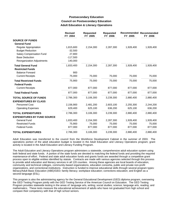## **Council on Postsecondary Education Adult Education & Literacy Operations Postsecondary Education**

|                                    | <b>Revised</b><br>FY 2004 | <b>Requested</b><br>FY 2005 | <b>Requested</b><br>FY 2006 | <b>Recommended</b><br>FY 2005 | Recommended<br>FY 2006 |
|------------------------------------|---------------------------|-----------------------------|-----------------------------|-------------------------------|------------------------|
| <b>SOURCE OF FUNDS</b>             |                           |                             |                             |                               |                        |
| <b>General Fund</b>                |                           |                             |                             |                               |                        |
| Regular Appropriation              | 1,815,600                 | 2,154,300                   | 2,287,300                   | 1,928,400                     | 1,928,400              |
| <b>Budget Reduction</b>            | $-32,500$                 |                             |                             |                               |                        |
| Salary Compensation Fund           | 27,800                    |                             |                             |                               |                        |
| <b>Base Deduction</b>              | $-117,500$                |                             |                             |                               |                        |
| Reorganization Adjustments         | 140,000                   |                             |                             |                               |                        |
| <b>Total General Fund</b>          | 1,833,400                 | 2,154,300                   | 2,287,300                   | 1,928,400                     | 1,928,400              |
| <b>Restricted Funds</b>            |                           |                             |                             |                               |                        |
| <b>Balance Forward</b>             | 900                       |                             |                             |                               |                        |
| <b>Current Receipts</b>            | 75,000                    | 75,000                      | 75,000                      | 75,000                        | 75,000                 |
| <b>Total Restricted Funds</b>      | 75,900                    | 75,000                      | 75,000                      | 75,000                        | 75,000                 |
| <b>Federal Funds</b>               |                           |                             |                             |                               |                        |
| <b>Current Receipts</b>            | 877,000                   | 877,000                     | 877,000                     | 877,000                       | 877,000                |
| <b>Total Federal Funds</b>         | 877,000                   | 877,000                     | 877,000                     | 877,000                       | 877,000                |
| <b>TOTAL SOURCE OF FUNDS</b>       | 2,786,300                 | 3,106,300                   | 3,239,300                   | 2,880,400                     | 2,880,400              |
| <b>EXPENDITURES BY CLASS</b>       |                           |                             |                             |                               |                        |
| <b>Personnel Cost</b>              | 2,156,900                 | 2,481,200                   | 2,603,100                   | 2,255,300                     | 2,244,200              |
| <b>Operating Expenses</b>          | 629,400                   | 625,100                     | 636,200                     | 625,100                       | 636,200                |
| <b>TOTAL EXPENDITURES</b>          | 2,786,300                 | 3,106,300                   | 3,239,300                   | 2,880,400                     | 2,880,400              |
| <b>EXPENDITURES BY FUND SOURCE</b> |                           |                             |                             |                               |                        |
| <b>General Fund</b>                | 1,833,400                 | 2,154,300                   | 2,287,300                   | 1,928,400                     | 1,928,400              |
| <b>Restricted Funds</b>            | 75,900                    | 75,000                      | 75,000                      | 75,000                        | 75,000                 |
| <b>Federal Funds</b>               | 877,000                   | 877,000                     | 877,000                     | 877,000                       | 877,000                |
| <b>TOTAL EXPENDITURES</b>          | 2,786,300                 | 3,106,300                   | 3,239,300                   | 2,880,400                     | 2,880,400              |

Adult Education was transferred to the council from the Workforce Development Cabinet in the summer of 2003. The operations portion of the adult education budget is located in the Adult Education and Literacy Operations program; grant activity is located in the Adult Education and Literacy Funding Program.

The Adult Education and Literacy Operations program administers a statewide, comprehensive adult education system using both federal and state funds. A portion of the state funds are devoted to matching the federal funds and providing the required maintenance-of-effort. Federal and state adult education funds and grants funds are awarded through a competitive grant process open to eligible entities identified by statute. Contracts are made with various agencies selected through this process to provide adult education and literacy services in all 120 counties. Among these agencies are local boards of education, community and technical colleges, community-based organizations, education consortia, public and private non-profit organizations, and correctional institutions. Instruction is funded to improve educational skills through several program types: literacy/Adult Basic Education (ABE)/GED; family literacy; workplace education; corrections education; and English as a second language (ESL).

This program is also the administering agency for the General Educational Development (GED) diploma program, overseeing the GED Testing Program jointly with the GED Testing Service of the American Council on Education. The GED Testing Program provides statewide testing in the areas of: language arts, writing; social studies; science; language arts, reading; and mathematics. These tests measure the educational achievement of adults who have not graduated from high school and compare their competency with that of high school seniors.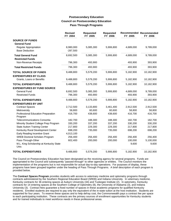## **Council on Postsecondary Education Pass Through Programs Postsecondary Education**

|                                                                 | <b>Revised</b><br>FY 2004 | <b>Requested</b><br>FY 2005 | <b>Requested</b><br>FY 2006 | FY 2005              | Recommended Recommended<br>FY 2006 |
|-----------------------------------------------------------------|---------------------------|-----------------------------|-----------------------------|----------------------|------------------------------------|
| <b>SOURCE OF FUNDS</b><br><b>General Fund</b>                   |                           |                             |                             |                      |                                    |
| Regular Appropriation<br><b>Base Deduction</b>                  | 8,980,000<br>$-287,500$   | 5,085,300                   | 5,906,800                   | 4,689,000            | 9,789,000                          |
| <b>Total General Fund</b><br><b>Restricted Funds</b>            | 8,692,500                 | 5,085,300                   | 5,906,800                   | 4,689,000            | 9,789,000                          |
| Non-Revenue Receipts                                            | 796,300                   | 493,900                     |                             | 493,900              | 393,900                            |
| <b>Total Restricted Funds</b>                                   | 796,300                   | 493,900                     |                             | 493,900              | 393,900                            |
| <b>TOTAL SOURCE OF FUNDS</b><br><b>EXPENDITURES BY CLASS</b>    | 9,488,800                 | 5,579,200                   | 5,906,800                   | 5,182,900            | 10,182,900                         |
| Grants, Loans or Benefits                                       | 9,488,800                 | 5,579,200                   | 5,906,800                   | 5,182,900            | 10,182,900                         |
| <b>TOTAL EXPENDITURES</b><br><b>EXPENDITURES BY FUND SOURCE</b> | 9,488,800                 | 5,579,200                   | 5,906,800                   | 5,182,900            | 10,182,900                         |
| <b>General Fund</b><br><b>Restricted Funds</b>                  | 8,692,500<br>796,300      | 5,085,300<br>493,900        | 5,906,800                   | 4,689,000<br>493,900 | 9,789,000<br>393,900               |
| <b>TOTAL EXPENDITURES</b>                                       | 9,488,800                 | 5,579,200                   | 5,906,800                   | 5,182,900            | 10,182,900                         |
| <b>EXPENDITURES BY UNIT</b>                                     |                           |                             |                             |                      |                                    |
| <b>Contract Spaces</b>                                          | 2,712,500                 | 3,133,800                   | 3,461,400                   | 2,912,500            | 2,912,500                          |
| Metroversity<br>Professional Education Preparation<br>Program   | 58,800<br>416,700         | 60,600<br>438,600           | 60,600<br>438,600           | 58,800<br>416,700    | 58,800<br>416,700                  |
| <b>Telecommunications Consortia</b>                             | 182,700                   | 188,300                     | 188,300                     | 182,700              | 182,700                            |
| Minority Student College Prep Program                           | 330,200                   | 337,200                     | 337,200                     | 330,200              | 330,200                            |
| <b>State Autism Training Center</b>                             | 217,800                   | 229,300                     | 229,300                     | 217,800              | 217,800                            |
| Kentucky Rural Development Center                               | 698,200                   | 735,000                     | 735,000                     | 698,200              | 698,200                            |
| Early Reading Incentive Grant                                   | 4,013,100                 |                             |                             |                      |                                    |
| <b>SREB Doctoral Scholars Program</b>                           | 256,400                   | 256,400                     | 256,400                     | 256,400              | 256,400                            |
| Pass-Through-Other                                              | 602,400                   | 200,000                     | 200,000                     | 100,000              | 5,100,000                          |
| M.L. King Scholarship at Kentucky State<br>Univ.                |                           |                             |                             | 9,600                | 9,600                              |
| <b>TOTAL EXPENDITURES</b>                                       | 9,488,800                 | 5,579,200                   | 5,906,800                   | 5,182,900            | 10,182,900                         |

The Council on Postsecondary Education has been designated as the receiving agency for several programs. Funds are appropriated to the Council and subsequently "passed-through" to other agencies or entities. The Council monitors the implementation of the programs but is not responsible for actual day-to-day operations. For purposes of display, these programs have been grouped together under the heading of Pass Through Programs. A brief description of each program is provided below.

The **Contract Spaces Program** provides students with access to veterinary medicine and optometry programs through contracts administered by the Southern Regional Education Board (SREB) and Indiana University. In veterinary medicine, Kentucky contracts for 36 entering spaces at Auburn University (34) and Tuskegee Institute (2). In optometry, Kentucky contracts for 14 entering spaces at the Southern College of Optometry (8), the University of Alabama (3), and Indiana University (3). Contract fees guarantee a fixed number of spaces in these academic programs for qualified Kentucky residents. Enrolled students are required to pay only the equivalent of the in-state tuition at the host institution. Students are supported for four years. To reserve these spaces and to help defray cost, the Commonwealth pays a contract fee per space to each participating institution. These contracts are the primary sources of enrollment opportunities for Kentucky students and for trained individuals to meet workforce needs in these professional areas.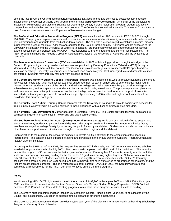Since the late 1970s, the Council has supported cooperative activities among and services to postsecondary education institutions in the Greater Louisville area through the interstate **Metroversity Consortium**. On behalf of the participating institutions, Metroversity operates the Educational Opportunity Center, a cross-registration program, student and faculty competitions and activities, and interlibrary courier service. The Consortia also maintains a cable TV channel for institutional use. State funds represent less than 10 percent of Metroversity's total budget.

The **Professional Education Preparation Program (PEPP)** was established in 1980 pursuant to KRS 164.028 through 164.0282. The program prepares students and prospective students from rural and inner-city areas medically underserved to gain admission to and graduate from medical or dental school. The students are encouraged to establish a medical practice in underserved areas of the state. All funds appropriated to the Council for the primary PEPP program are allocated to the University of Kentucky and the University of Louisville to conduct: pre-freshman workshops, undergraduate workshops; student assessment conferences, and MCAT/DAT test assistance with tutors, tutoring, and summer job placement. The PEPP Program includes the Pikeville College of Osteopathic Medicine, the University of Kentucky, and the University of Louisville.

The **Telecommunications Consortium (ETV)** was established in 1978 with funding provided through the budget of the Council. Programming and any needed staff services are provided by Kentucky Educational Television (KET) through a Memorandum of Agreement with the Council. The Consortium provides college credit course via KET's open broadcast television capability. Generally, 25 courses are broadcast each academic year. Both undergraduate and graduate courses are offered. Students may enroll by mail and view courses at home.

The **Governor's Minority Student College Preparation Program** was established in 1986 to: provide academic enrichment activities for middle and junior high school students; encourage them to stay in school and to enter college; make young African-American students aware of the benefits and value of college and make them more likely to consider college as an achievable option; and to prepare these students to be successful in college-level work. The program places emphasis on early intervention in an attempt to overcome problems at the high school level that tend to reduce the pool of minorities interested in attending and prepared to do well in college. Approximately 1,000 middle and high-school students will be enrolled in this program each year.

The **Kentucky State Autism Training Center** contracts with the University of Louisville to provide coordinated services for training individuals involved in delivering services to those diagnosed with autism or autistic related disorders.

The **Kentucky Rural Development Center** operates in Somerset, Kentucky. The Center provides technical assistance to business and governmental entities in networking and video conferencing.

The **Southern Regional Education Board (SREB) Doctoral Scholars Program** is part of a national effort to support and encourage minority students to pursue doctoral degrees. The program seeks to increase the number of minority faculty members employed as college faculty by increasing the pool of minority candidates. Students are provided scholarships and other financial support to attend institutions throughout the southern region and the Midwest.

Upon selection to the program, the scholar is expected to devote full-time attention to the completion of the academic requirements. The scholar is also expected to attend and participate in the annual Doctoral Scholars Program/Compact for Faculty Diversity Institute.

According to the SREB, as of July 2003, the program has served 507 individuals, with 250 currently matriculating scholars enrolled throughout the south. By July 2003 190 scholars had completed their Ph.D. and 12 had withdrawn. The retention rate for the program is 95 percent over the last six years of operation. Kentucky has 27 students currently enrolled with the state and is providing continuing funding for the four of the 15 graduates pursing higher degrees. National data show that only 50 percent of all Ph.D. students complete the degree and only 37 percent of minorities finish. Of the 25 Kentucky scholars who enrolled over the ten-year period, one had withdrawn, two have transferred to programs in other states, and the rest are on schedule to complete. This is a retention rate of 96 percent. By August 2001, ten Kentucky scholars had completed all requirements for the Ph.D. Currently Kentucky enrolls 15 in the program.

#### **Policy**

Notwithstanding KRS 164.7911, interest income in the amount of \$493,900 in fiscal year 2005 and \$393,900 in fiscal year 2006 is authorized to be used for the Contract Spaces, Governor's Minority Student College Preparation, SREB Doctoral Scholars, P-16 Council, and Early Math Testing programs to maintain these programs at current levels of funding.

The Governor's budget recommendation includes \$5,000,000 in General Funds in fiscal year 2006 to be allocated by the Council on Postsecondary Education to address funding disparities among the institutions.

The Governor's budget recommendation provides \$9,600 each year of the biennium for a new Martin Luther King Scholarship Program at Kentucky State University.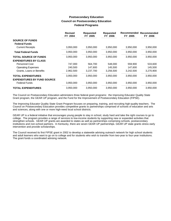## **Council on Postsecondary Education Federal Programs Postsecondary Education**

|                                                | <b>Revised</b><br>FY 2004 | <b>Requested</b><br>FY 2005 | <b>Requested</b><br>FY 2006 | Recommended<br>FY 2005 | Recommended<br>FY 2006 |
|------------------------------------------------|---------------------------|-----------------------------|-----------------------------|------------------------|------------------------|
| <b>SOURCE OF FUNDS</b><br><b>Federal Funds</b> |                           |                             |                             |                        |                        |
| <b>Current Receipts</b>                        | 3,950,000                 | 3,950,000                   | 3,950,000                   | 3,950,000              | 3,950,000              |
| <b>Total Federal Funds</b>                     | 3,950,000                 | 3,950,000                   | 3,950,000                   | 3,950,000              | 3,950,000              |
| <b>TOTAL SOURCE OF FUNDS</b>                   | 3,950,000                 | 3,950,000                   | 3,950,000                   | 3,950,000              | 3,950,000              |
| <b>EXPENDITURES BY CLASS</b>                   |                           |                             |                             |                        |                        |
| <b>Personnel Cost</b>                          | 747,000                   | 564,700                     | 548,000                     | 559,900                | 533,600                |
| <b>Operating Expenses</b>                      | 240,500                   | 147,600                     | 145.500                     | 147,600                | 145,500                |
| Grants, Loans or Benefits                      | 2,962,500                 | 3,237,700                   | 3,256,500                   | 3,242,500              | 3,270,900              |
| <b>TOTAL EXPENDITURES</b>                      | 3,950,000                 | 3,950,000                   | 3,950,000                   | 3,950,000              | 3,950,000              |
| <b>EXPENDITURES BY FUND SOURCE</b>             |                           |                             |                             |                        |                        |
| <b>Federal Funds</b>                           | 3,950,000                 | 3,950,000                   | 3,950,000                   | 3,950,000              | 3,950,000              |
| <b>TOTAL EXPENDITURES</b>                      | 3,950,000                 | 3,950,000                   | 3,950,000                   | 3,950,000              | 3,950,000              |

The Council on Postsecondary Education administers three federal grant programs: the Improving Educator Quality State Grant program, the GEAR UP program, and the Fund for the Improvement of Postsecondary Education (FIPSE).

The Improving Educator Quality State Grant Program focuses on preparing, training, and recruiting high-quality teachers. The Council on Postsecondary Education provides competitive grants to partnerships comprised of schools of education and arts and sciences, along with one or more high-need local school districts.

GEAR UP is a federal initiative that encourages young people to stay in school, study hard and take the right courses to go to college. The program provides a range of services to low-income students by supporting new or expanded activities that strengthen schools. GEAR UP grants are awarded to states as well as partnerships comprising schools, postsecondary institutions and non-school partners. In Kentucky, there are seven GEAR UP partnerships. GEAR UP state grants stress early intervention and provide scholarships.

The Council received its first FIPSE grant in 2002 to develop a statewide advising outreach network for high school students and adult learners who want to go on to college and for students who wish to transfer from two-year to four-year institutions. The grant funds a coordinated advising network.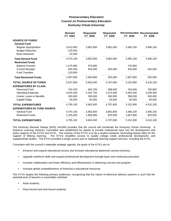## **Council on Postsecondary Education Kentucky Virtual University Postsecondary Education**

|                                    | <b>Revised</b><br>FY 2004 | <b>Requested</b><br>FY 2005 | <b>Requested</b><br>FY 2006 | <b>Recommended</b><br>FY 2005 | Recommended<br>FY 2006 |
|------------------------------------|---------------------------|-----------------------------|-----------------------------|-------------------------------|------------------------|
| <b>SOURCE OF FUNDS</b>             |                           |                             |                             |                               |                        |
| <b>General Fund</b>                |                           |                             |                             |                               |                        |
| Regular Appropriation              | 3,612,600                 | 3,862,600                   | 3,862,600                   | 3,485,100                     | 3,485,100              |
| <b>Budget Reduction</b>            | $-120,500$                |                             |                             |                               |                        |
| <b>Base Deduction</b>              | $-22,000$                 |                             |                             |                               |                        |
| <b>Total General Fund</b>          | 3,470,100                 | 3,862,600                   | 3,862,600                   | 3,485,100                     | 3,485,100              |
| <b>Restricted Funds</b>            |                           |                             |                             |                               |                        |
| <b>Balance Forward</b>             | 1,275,800                 | 875,800                     |                             | 742,800                       |                        |
| <b>Current Receipts</b>            | 925,000                   | 925,000                     | 925,000                     | 925,000                       | 925,000                |
| <b>Fund Transfers</b>              | $-133,000$                |                             |                             |                               |                        |
| <b>Total Restricted Funds</b>      | 2,067,800                 | 1,800,800                   | 925,000                     | 1,667,800                     | 925,000                |
| <b>TOTAL SOURCE OF FUNDS</b>       | 5,537,900                 | 5,663,400                   | 4,787,600                   | 5,152,900                     | 4,410,100              |
| <b>EXPENDITURES BY CLASS</b>       |                           |                             |                             |                               |                        |
| Personnel Cost                     | 763,700                   | 945,700                     | 998,000                     | 784,600                       | 785,800                |
| <b>Operating Expenses</b>          | 3,616,400                 | 4,302,700                   | 3,374,600                   | 3,953,300                     | 3,209,300              |
| Grants, Loans or Benefits          | 350,000                   | 350,000                     | 350,000                     | 350,000                       | 350,000                |
| <b>Capital Outlay</b>              | 65,000                    | 65,000                      | 65,000                      | 65,000                        | 65,000                 |
| <b>TOTAL EXPENDITURES</b>          | 4,795,100                 | 5,663,400                   | 4,787,600                   | 5,152,900                     | 4,410,100              |
| <b>EXPENDITURES BY FUND SOURCE</b> |                           |                             |                             |                               |                        |
| <b>General Fund</b>                | 3,470,100                 | 3,862,600                   | 3,862,600                   | 3,485,100                     | 3,485,100              |
| <b>Restricted Funds</b>            | 1,325,000                 | 1,800,800                   | 925,000                     | 1,667,800                     | 925,000                |
| <b>TOTAL EXPENDITURES</b>          | 4,795,100                 | 5,663,400                   | 4,787,600                   | 5,152,900                     | 4,410,100              |

The Kentucky Revised Statute (KRS) 164.800 provides that the council will coordinate the Kentucky Virtual University. A Distance Learning Advisory Committee was established by statute to provide institutional input into the development and policy aspects of the KYVU and KYVL. The mission of the KYVU is to be a student-centered, technology-based utility for the support of lifelong learning. The KYVU simplifies access to quality college credit, professional development, and supplemental studies. The KYVU provides a single access port to statewide learning support services, including the KYVL.

Consistent with the council's statewide strategic agenda, the goals of the KYVU are to:

- Enhance and expand educational access and increase educational attainment across Kentucky.
- Upgrade workforce skills and expand professional development through basic and continuing education.
- Increase collaboration and foster efficiency and effectiveness in delivering courses and program.
- Increase global competitiveness of Kentucky's educational resources.

The KYVU targets the following primary audiences, recognizing that the nature of electronic delivery systems is such that the potential pool of learners is essentially unlimited:

- Adult students;
- Place-bound and time-bound students;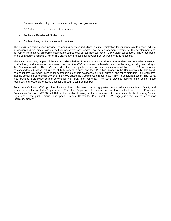- Employers and employees in business, industry, and government;
- P-12 students, teachers, and administrators;
- Traditional Residential Students; and
- Students living in other states and countries.

The KYVU is a value-added provider of learning services including: on-line registration for students, single undergraduate application and fee, single sign on (multiple passwords are needed), course management systems for the development and delivery of instructional programs, searchable course catalog, toll-free call center, 24X7 technical support, library resources, and e-commerce functionality for on-line payment of professional development courses for K-12 teachers.

The KYVL is an integral part of the KYVU. The mission of the KYVL is to provide all Kentuckians with equitable access to quality library and information resources to support the KYVU and meet the broader needs for learning, working, and living in the Commonwealth. The KYVL includes the nine public postsecondary education institutions, the 19 independent postsecondary education institutions, all K-12 school libraries, and the 111 public libraries in the Commonwealth. The KYVL has negotiated statewide licenses for searchable electronic databases, full-text journals, and other materials. It is estimated that the combined purchasing power of the KYVL saved the Commonwealth over \$5.0 million in acquisition costs. The KYVL also provides a statewide courier service for interlibrary loan activities. The KYVL provides training in the use of these resources and responds to usage questions through a toll-free number.

Both the KYVU and KYVL provide direct services to learners - including postsecondary education students, faculty and administrators, the Kentucky Department of Education, Department for Libraries and Archives, school districts, the Education Professions Standards (EPSB), all 120 adult education learning centers - both instructors and students, the Kentucky Virtual High School, local public libraries, and special libraries. Neither the KYVU nor the KYVL engage in direct law enforcement or regulatory activity.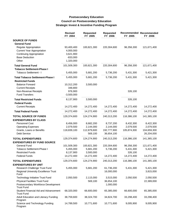# **Council on Postsecondary Education Strategic Invest & Incentive Funding Program Postsecondary Education**

|                                                                                                                                            | <b>Revised</b><br>FY 2004                                       | <b>Requested</b><br>FY 2005                         | <b>Requested</b><br>FY 2006                         | FY 2005                                          | Recommended Recommended<br>FY 2006                  |
|--------------------------------------------------------------------------------------------------------------------------------------------|-----------------------------------------------------------------|-----------------------------------------------------|-----------------------------------------------------|--------------------------------------------------|-----------------------------------------------------|
| <b>SOURCE OF FUNDS</b><br><b>General Fund</b>                                                                                              |                                                                 |                                                     |                                                     |                                                  |                                                     |
| Regular Appropriation<br><b>Current Year Appropriation</b><br><b>Continuing Appropriation</b><br><b>Base Deduction</b><br>Other            | 93,400,400<br>4,000,000<br>3,621,900<br>$-833,000$<br>1,320,000 | 100,821,300                                         | 220,304,600                                         | 96,356,300                                       | 121,671,400                                         |
| <b>Total General Fund</b>                                                                                                                  | 101,509,300                                                     | 100,821,300                                         | 220,304,600                                         | 96,356,300                                       | 121,671,400                                         |
| <b>Tobacco Settlement-Phase I</b><br>Tobacco Settlement - I                                                                                | 5,455,000                                                       | 5,681,200                                           | 5,736,200                                           | 5,431,300                                        | 5,421,300                                           |
| <b>Total Tobacco Settlement-Phase I</b><br><b>Restricted Funds</b>                                                                         | 5,455,000                                                       | 5,681,200                                           | 5,736,200                                           | 5,431,300                                        | 5,421,300                                           |
| <b>Balance Forward</b><br><b>Current Receipts</b><br>Non-Revenue Receipts<br><b>Fund Transfers</b>                                         | 10,312,200<br>348,800<br>976,900<br>$-3,500,000$                | 3,500,000                                           |                                                     | 326,100                                          |                                                     |
| <b>Total Restricted Funds</b><br><b>Federal Funds</b>                                                                                      | 8,137,900                                                       | 3,500,000                                           |                                                     | 326,100                                          |                                                     |
| <b>Current Receipts</b>                                                                                                                    | 14,272,400                                                      | 14,272,400                                          | 14,272,400                                          | 14,272,400                                       | 14,272,400                                          |
| <b>Total Federal Funds</b>                                                                                                                 | 14,272,400                                                      | 14,272,400                                          | 14,272,400                                          | 14,272,400                                       | 14,272,400                                          |
| <b>TOTAL SOURCE OF FUNDS</b><br><b>EXPENDITURES BY CLASS</b>                                                                               | 129,374,600                                                     | 124,274,900                                         | 240,313,200                                         | 116,386,100                                      | 141,365,100                                         |
| Personnel Cost<br><b>Operating Expenses</b><br>Grants, Loans or Benefits<br>Debt Service                                                   | 8,456,000<br>2,079,500<br>118,839,100                           | 8,682,200<br>2,144,000<br>112,879,600<br>569,100    | 8,737,200<br>2,144,000<br>192,777,900<br>36,654,100 | 8,432,300<br>2,079,500<br>105,874,300            | 8,422,300<br>2,079,500<br>104,659,300<br>26,204,000 |
| <b>TOTAL EXPENDITURES</b>                                                                                                                  | 129,374,600                                                     | 124,274,900                                         | 240,313,200                                         | 116,386,100                                      | 141,365,100                                         |
| <b>EXPENDITURES BY FUND SOURCE</b><br><b>General Fund</b><br>Tobacco Settlement-Phase I<br><b>Restricted Funds</b><br><b>Federal Funds</b> | 101,509,300<br>5,455,000<br>8,137,900<br>14,272,400             | 100,821,300<br>5,681,200<br>3,500,000<br>14,272,400 | 220,304,600<br>5,736,200<br>14,272,400              | 96,356,300<br>5,431,300<br>326,100<br>14,272,400 | 121,671,400<br>5,421,300<br>14,272,400              |
| <b>TOTAL EXPENDITURES</b>                                                                                                                  | 129,374,600                                                     | 124,274,900                                         | 240,313,200                                         | 116,386,100                                      | 141,365,100                                         |
| <b>EXPENDITURES BY UNIT</b><br>Research Challenge Trust Fund<br>Regional University Excellence Trust<br>Fund                               | 5,455,000                                                       | 5,681,200                                           | 61,736,200<br>16,000,000                            | 5,431,300                                        | 5,421,300<br>3,815,000                              |
| Technology Initiative Trust Fund<br><b>Physical Facilities Trust Fund</b><br>Postsecondary Workforce Development<br><b>Trust Fund</b>      | 2,050,500                                                       | 2,115,000<br>569,100                                | 3,515,000<br>36,654,100<br>1,000,000                | 2,050,500                                        | 2,050,500<br>22,389,000                             |
| Student Financial Aid and Advancement<br><b>Trust Fund</b>                                                                                 | 68,320,000                                                      | 66,600,000                                          | 65,385,000                                          | 66,600,000                                       | 65,385,000                                          |
| Adult Education and Literacy Funding<br>Program                                                                                            | 38,759,600                                                      | 38,324,700                                          | 34,824,700                                          | 33,298,400                                       | 33,298,400                                          |
| Science and Technology Funding<br>Program                                                                                                  | 14,789,500                                                      | 10,771,600                                          | 10,771,600                                          | 9,005,900                                        | 9,005,900                                           |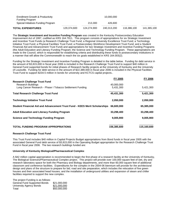| TOTAL EXPENDITURES                                  | 129.374.600 | 124.274.900 | 240.313.200 | 116.386.100 | 141,365,100 |
|-----------------------------------------------------|-------------|-------------|-------------|-------------|-------------|
| Special Initiatives Funding Program                 |             | 213.300     | 426.600     |             |             |
| Enrollment Growth & Productivity<br>Funding Program |             |             | 10.000.000  |             |             |

The **Strategic Investment and Incentive Funding Program** was created in the Kentucky Postsecondary Education Improvement Act of 1997, codified as KRS 164.7911. This program consists of appropriations for six Strategic Investment and Incentive Trust Funds (a Research Challenge Trust Fund; a Regional University Excellence Trust Fund; a Technology Initiative Trust Fund; a Physical Facilities Trust Fund; a Postsecondary Workforce Development Trust Fund; and a Student Financial Aid and Advancement Trust Fund) and appropriations for two Strategic Investment and Incentive Funding Programs (the Adult Education and Literacy Funding Program; the Science and Technology Funding Program. These appropriations are made to the Council, which is responsible for establishing criteria and distributing these funds to postsecondary institutions in a manner that will allow the Commonwealth to reach the six goals established in KRS 164.003(2).

Funding for the Strategic Investment and Incentive Funding Program is detailed in the table below. Funding for debt service in the amount of \$3,815,000 in fiscal year 2006 is included in the Research Challenge Trust Fund to support \$40 million in General Fund supported bonds for initial phases of Research facility projects at the University of Kentucky and the University of Louisville. Funding for debt service in the amount of \$22,389,000 in fiscal year 2006 is included in the Physical Facilities Trust Fund to support \$234.5 million in bonds for university and KCTCS capital projects..

|                                                                            | FY 2005     | FY 2006     |
|----------------------------------------------------------------------------|-------------|-------------|
| <b>Research Challenge Trust Fund</b>                                       |             |             |
| <b>Research Buildings</b>                                                  | 40,000,000  |             |
| Lung Cancer Research - Phase I Tobacco Settlement Funding                  | 5.431.300   | 5,421,300   |
| <b>Total Research Challenge Trust Fund</b>                                 | 45,431,300  | 5,421,300   |
| <b>Technology Initiative Trust Fund</b>                                    | 2,050,000   | 2,050,000   |
| Student Financial Aid and Advancement Trust Fund - KEES Merit Scholarships | 66.600.000  | 65,385,000  |
| <b>Adult Education and Literacy Funding Program</b>                        | 33,298,400  | 33,298,400  |
| <b>Science and Technology Funding Program</b>                              | 9,005,900   | 9,005,900   |
| <b>TOTAL FUNDING PROGRAM APPROPRIATIONS</b>                                | 156,385,600 | 115,160,600 |

## **Research Challenge Trust Fund**

This Trust Fund includes \$40 million in Capital Projects Budget appropriations from Bond funds in fiscal year 2005 with the associated General Fund debt service of \$3,815,000 in the Operating Budget appropriation for the Research Challenge Trust Fund in fiscal year 2006. The two research buildings funded are:

## **University of Kentucky Biological/Pharmaceutical Complex**

A \$42 million capital appropriation is recommended to begin the first phase of a research facility at the University of Kentucky, The Biological Sciences/Pharmaceutical Complex project. This project will provide over 100,000 square feet of wet, dry and research laboratory space for both the Pharmacy and Biology departments, and more than 60,000 square feet of additional classroom and conference facilities. Expenditures for the complex in the 2004-06 biennium will provide for the architectural design and plans of the structure to prepare for bid; road and site preparation, which includes the relocation of five green houses and their associated head houses; and the installation of underground utilities and expansion of steam and chiller facilities required to support the new complex.

| The project Funding is as follows:  |              |
|-------------------------------------|--------------|
| <b>General Fund Supported Bonds</b> | \$21,000,000 |
| University Agency Bonds             | \$21,000,000 |
| Total                               | \$50,000,000 |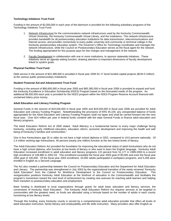## **Technology Initiatives Trust Fund**

Funding in the amount of \$2,050,000 in each year of the biennium is provided for the following subsidiary programs of the Technology Initiatives Trust Fund:

- 1. Network Infrastructure for the communications network infrastructure used by the Kentucky Commonwealth Virtual University, the Kentucky Commonwealth Virtual Library, and the institutions. This network infrastructure provides bandwidth for all postsecondary education institutions for data transmission, telecommunications and Internet access, and provides connectivity to every public university and community or technical college in the Kentucky postsecondary education system. The Governor's Office for Technology coordinates and manages the network infrastructure, while the Council on Postsecondary Education serves as the fiscal agent for the network. The funding appropriated for this purpose pays for line charges and management of the network.
- 2. Faculty Development in collaboration with one or more institutions, to sponsor statewide initiatives. These initiatives serve an agenda setting function, drawing attention to important dimensions of faculty development linked to system goals.

## **Physical Facilities Trust Fund**

Debt service in the amount of \$22,389,000 is provided in fiscal year 2006 for 17 bond funded capital projects (\$234.5 million) at the various public postsecondary institutions.

## **Student Financial Aid and Advancement Trust Fund**

Funding in the amount of \$66,600,000 in fiscal year 2005 and \$65,385,000 in fiscal year 2006 is provided to expand and fund the Kentucky Excellence in Education Scholarship (KEES) Program based on the forecasted needs of the program. An additional \$9,500,000 each year is provided for the KEES program within the KEES Program Reserve Account financed with unclaimed lottery prize money.

#### **Adult Education and Literacy Funding Program**

General Funds in the amount of \$19,026,000 in fiscal year 2005 and \$19,026,000 in fiscal year 2006 are provided for Adult Education and Literacy Funding Program. Notwithstanding the provisions of KRS 45.229, any unexpended balance of funds appropriated for the Adult Education and Literacy Funding Program shall not lapse and shall be carried forward into the next fiscal year. Over \$14 million per year in federal funds combine with the state General Funds to finance adult education and literacy programs.

The Adult Education Reform Act of 2000 stated, "Adult illiteracy is a fundamental barrier to every major challenge facing Kentucky, including early childhood education, education reform, economic development and improving the health and well being of Kentucky's families and communities."

One in four Kentuckians age 25 or older do not have a high school diploma or GED, compared to 19.6 percent nationally. Of 2.4 million working-age Kentuckians, 40 percent (nearly one million) function at the two lowest levels of literacy.

The Adult Education Reform Act provided the foundation for improving the educational status of adult Kentuckians who do not have a high school diploma, who function at low levels of literacy or who want to learn the English language. Kentucky Adult Education increased enrollment in adult education and literacy programs 115 percent from 51,177 in 1999-2000 to a record high enrollment of 109,880 in 2002-03. This enrollment exceeded the fiscal year 2003 goal of 90,000 and even the fiscal year 2004 goal of 100,000. Of the fiscal year 2003 enrollment, 43,050 adults participated in workplace programs, and 5,459 were enrolled in English as a Second Language.

The Act also created a partnership between the Council on Postsecondary Education and the Department for Adult Education and Literacy. The partnership was strengthened in July 2003 by the organizational transition of the newly renamed "Kentucky Adult Education" from the Cabinet for Workforce Development to the Council on Postsecondary Education. This reorganization positions Kentucky Adult Education at the forefront of education in the Commonwealth and facilitates the program's momentum toward the next level of achievement by creating new avenues for reaching adult learners and helping them transition to postsecondary education and employment.

Base funding is distributed to local organizations through grants for adult basic education and literacy services, the cornerstone of Kentucky Adult Education. The Kentucky Adult Education Reform Act requires services to be targeted to communities with the greatest need, so funds are allocated using a formula based on the number of adults in each county functioning at low literacy levels.

Through this funding, every Kentucky county is served by a comprehensive adult education provider that offers all levels of adult education instruction, family literacy and employability and life skills instruction. Many providers also offer English as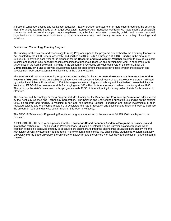a Second Language classes and workplace education. Every provider operates one or more sites throughout the county to meet the unique learning needs of its target population. Kentucky Adult Education contracts with local boards of education, community and technical colleges, community-based organizations, education consortia, public and private non-profit organizations and correctional institutions to provide adult education and literacy services in a variety of settings and locations.

#### **Science and Technology Funding Program**

The funding for the Science and Technology Funding Program supports the programs established by the Kentucky Innovation Act, enacted by the 2000 General Assembly, and codified as KRS 164.6011 through 164.6043. Funding in the amount of \$2,904,000 is provided each year of the biennium for the **Research and Development Voucher** program to provide vouchers to small and medium-size Kentucky-based companies that undertake research and development work in partnership with universities in the Commonwealth. Funding in the amount of \$726,000 is provided each year of the biennium for the **Commercialization Fund** to provide development funds for promising technologies developed through the research and development work undertaken at the universities in the Commonwealth.

The Science and Technology Funding Program includes funding for the **Experimental Program to Stimulate Competitive Research (EPSCoR)**. EPSCoR is a highly collaborative and successful federal research and development program initiated by the National Science Foundation in 1978. It leverages state matching funds to bring additional federal research dollars to Kentucky. EPSCoR has been responsible for bringing over \$36 million in federal research dollars to Kentucky since 1985. The return on the state's investment in this program equals \$2.50 of federal funding for every dollar of state funds invested in EPSCoR.

The Science and Technology Funding Program includes funding for the **Science and Engineering Foundation** administered by the Kentucky Science and Technology Corporation. The Science and Engineering Foundation, expanding on the existing EPSCoR program and funding, is modeled in part after the National Science Foundation and makes investments in peerreviewed science and engineering research, to accelerate the rate of research and development funds and work to increase the amount of federal and private sector funds for this work in Kentucky.

The EPSCoR/Science and Engineering Foundation programs are funded in the amount of \$4,375,900 in each year of the biennium.

A total of \$1,000,000 each year is provided for the **Knowledge-Based Economy Academic Programs** in engineering and information technology. The Council on Postsecondary Education directed the public universities and colleges to work together to design a statewide strategy to educate more engineers, to integrate engineering education more closely into the technology-driven New Economy, and to recruit more women and minorities into engineering. Students at Western Kentucky University, Murray State University, the University of Louisville, and the University of Kentucky are enrolled in joint engineering classes.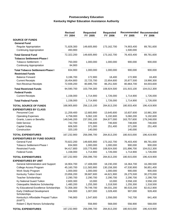# **Kentucky Higher Education Assistance Authority Postsecondary Education**

|                                                           | <b>Revised</b><br>FY 2004 | <b>Requested</b><br>FY 2005 | <b>Requested</b><br>FY 2006 | Recommended<br>FY 2005  | Recommended<br>FY 2006 |
|-----------------------------------------------------------|---------------------------|-----------------------------|-----------------------------|-------------------------|------------------------|
| <b>SOURCE OF FUNDS</b><br><b>General Fund</b>             |                           |                             |                             |                         |                        |
| Regular Appropriation<br><b>Continuing Appropriation</b>  | 71,828,300<br>493,900     | 149,605,900                 | 173,162,700                 | 74,903,400<br>1,500,000 | 89,781,600             |
| <b>Total General Fund</b>                                 | 72,322,200                | 149,605,900                 | 173,162,700                 | 76,403,400              | 89,781,600             |
| <b>Tobacco Settlement-Phase I</b>                         |                           |                             |                             |                         |                        |
| Tobacco Settlement - I<br><b>Continuing Appropriation</b> | 750,000<br>84,900         | 1,000,000                   | 1,000,000                   | 900,000                 | 900,000                |
| <b>Total Tobacco Settlement-Phase I</b>                   | 834,900                   | 1,000,000                   | 1,000,000                   | 900,000                 | 900,000                |
| <b>Restricted Funds</b>                                   |                           |                             |                             |                         |                        |
| <b>Balance Forward</b>                                    | 3,196,700                 | 172,900                     | 18,400                      | 172,900                 | 18,400                 |
| <b>Current Receipts</b>                                   | 18,454,800                | 22,725,700                  | 22,654,600                  | 20,877,500              | 19,990,300             |
| Non-Revenue Receipts                                      | 72,939,200                | 80,895,700                  | 86,251,500                  | 80,864,700              | 84,003,600             |
| <b>Total Restricted Funds</b>                             | 94,590,700                | 103,794,300                 | 108,924,500                 | 101,915,100             | 104,012,300            |
| <b>Federal Funds</b>                                      |                           |                             |                             |                         |                        |
| <b>Current Receipts</b>                                   | 1,158,000                 | 1,714,900                   | 1,726,000                   | 1,714,900               | 1,726,000              |
| <b>Total Federal Funds</b>                                | 1,158,000                 | 1,714,900                   | 1,726,000                   | 1,714,900               | 1,726,000              |
| <b>TOTAL SOURCE OF FUNDS</b>                              | 168,905,800               | 256,115,100                 | 284,813,200                 | 180,933,400             | 196,419,900            |
| <b>EXPENDITURES BY CLASS</b>                              |                           |                             |                             |                         |                        |
| <b>Personnel Cost</b>                                     | 11,259,400                | 12,683,900                  | 13,645,600                  | 10,837,600              | 10,981,300             |
| <b>Operating Expenses</b>                                 | 4,758,000                 | 5,062,100                   | 5,192,600                   | 5,060,200               | 5,192,600              |
| Grants, Loans or Benefits                                 | 149,546,200               | 237,091,100                 | 264,977,000                 | 163,757,600             | 179,248,000            |
| <b>Debt Service</b>                                       | 742,700                   | 748,600                     | 746,600                     | 748,600                 | 746,600                |
| <b>Capital Outlay</b>                                     | 606,500                   | 371,000                     | 251,400                     | 371,000                 | 251,400                |
| Construction                                              | 320,100                   | 140,000                     |                             | 140,000                 |                        |
| <b>TOTAL EXPENDITURES</b>                                 | 167,232,900               | 256,096,700                 | 284,813,200                 | 180,915,000             | 196,419,900            |
| <b>EXPENDITURES BY FUND SOURCE</b>                        |                           |                             |                             |                         |                        |
| <b>General Fund</b>                                       | 70,822,200                | 149,605,900                 | 173,162,700                 | 76,403,400              | 89,781,600             |
| Tobacco Settlement-Phase I                                | 834,900                   | 1,000,000                   | 1,000,000                   | 900,000                 | 900,000                |
| <b>Restricted Funds</b>                                   | 94,417,800                | 103,775,900                 | 108,924,500                 | 101,896,700             | 104,012,300            |
| <b>Federal Funds</b>                                      | 1,158,000                 | 1,714,900                   | 1,726,000                   | 1,714,900               | 1,726,000              |
| <b>TOTAL EXPENDITURES</b>                                 | 167,232,900               | 256,096,700                 | 284,813,200                 | 180,915,000             | 196,419,900            |
| <b>EXPENDITURES BY UNIT</b>                               |                           |                             |                             |                         |                        |
| General Administration and Support                        | 16,904,700                | 17,408,000                  | 18,230,200                  | 16,364,700              | 16,280,500             |
| College Access Program                                    | 45,160,700                | 111,583,900                 | 130,158,300                 | 47,530,900              | 56,851,400             |
| Work Study Program                                        | 1,000,000                 | 1,000,000                   | 1,000,000                   | 900,000                 | 900,000                |
| Kentucky Tuition Grant                                    | 23,856,200                | 39,687,600                  | 44,621,900                  | 26,275,500              | 30,270,000             |
| <b>Teacher Scholarships</b>                               | 2,290,700                 | 2,290,700                   | 2,290,700                   | 2,290,700               | 2,290,700              |
| Ky National Guard Tuition                                 | 2,600,300                 | 10,000                      | 10,000                      | 3,558,100               | 3,558,100              |
| Osteopathic Medicine Scholarship                          | 1,480,200                 | 1,255,300                   | 1,318,500                   | 1,255,300               | 1,318,500              |
| Ky Educational Excellence Scholarships                    | 72,358,300                | 79,749,700                  | 84,031,200                  | 80,533,200              | 82,612,900             |
| Early Childhood Development<br>Scholarships               | 834,900                   | 1,007,000                   | 1,028,400                   | 907,000                 | 928,400                |
| Kentucky's Affordable Prepaid Tuition<br>(KAPT)           | 746,900                   | 1,547,600                   | 1,556,000                   | 742,700                 | 841,400                |
| Robert C Byrd Honors Scholarship                          |                           | 556,900                     | 568,000                     | 556,900                 | 568,000                |
| <b>TOTAL EXPENDITURES</b>                                 | 167,232,900               | 256,096,700                 | 284,813,200                 | 180,915,000             | 196,419,900            |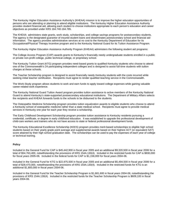The Kentucky Higher Education Assistance Authority's (KHEAA) mission is to improve the higher education opportunities of persons who are attending or planning to attend eligible institutions. The Kentucky Higher Education Assistance Authority provides student financial aid, allowing each student to choose institutions appropriate to each person's education and career objectives as provided under KRS 164.740-164.785.

The KHEAA administers state grants, work study, scholarships, and college savings programs for postsecondary students. The agency is the designated guarantor of insured student loans and disseminates postsecondary school and financial aid information. The agency provides administrative services at no cost to the Kentucky Department of Education for its Occupational/Physical Therapy Incentive program and to the Kentucky National Guard for its Tuition Assistance Program.

The Kentucky Higher Education Assistance Authority Program (KHEAA) administers the following student aid programs:

The College Access Program (CAP) awards grants to Kentucky's financially needy undergraduate students enrolled in a public or private non-profit college, public technical college, or proprietary school.

The Kentucky Tuition Grant (KTG) program provides need-based grants to qualified Kentucky students who choose to attend one of the Commonwealth's 24 participating independent colleges and is designed to assist full-time students with tuition charges at these schools.

The Teacher Scholarship program is designed to assist financially needy Kentucky students with the costs incurred while seeking initial teacher certification. Recipients must agree to render qualified teaching service in the Commonwealth.

The Work-Study program allows students to work and earn funds to apply toward college expenses while gaining valuable career-related work experience.

The Kentucky National Guard Tuition Award program provides tuition assistance to active members of the Kentucky National Guard to attend Kentucky's state-supported postsecondary educational institutions. The Department of Military Affairs selects the recipients and KHEAA forwards funds to the schools to be disbursed to the students.

The Osteopathic Medicine Scholarship program provides tuition equalization awards to eligible students who choose to attend a Kentucky school of osteopathic medicine rather than a state medical school. Recipients must agree to provide medical services in Kentucky one year for each year they receive a scholarship.

The Early Childhood Development Scholarship program provides tuition assistance to Kentucky residents pursuing a credential, certificate, or degree in early childhood education. It was established to upgrade the professional development of child-care workers and trainers who do not have access to state or federal professional development funds.

The Kentucky Educational Excellence Scholarship (KEES) program provides merit-based scholarships to eligible high school students based on their yearly grade point average and supplemental awards based on their highest ACT (or equivalent SAT) score attained by their high school graduation date. The scholarships can be used to pay the expenses of each year of college or technical training.

## **Policy**

Included in the General Fund for CAP is \$45,442,900 in fiscal year 2005 and an additional \$9,320,500 in fiscal year 2006 for a total of \$54,763,400, notwithstanding the provisions of KRS 154A.130(4). Included in the restricted funds for CAP is \$930,000 for fiscal years 2005-06. Included in the federal funds for CAP is \$1,158,000 for fiscal years 2004-06.

Included in the General Fund for KTG is \$22,975,500 in fiscal year 2005 and an additional \$5,494,500 in fiscal year 2006 for a total of \$28,470,000, notwithstanding the provisions of KRS 154A.130(4). Included in the restricted funds for KTG is an additional \$1,800,000 in fiscal years 2004-06.

Included in the General Fund for the Teacher Scholarship Program is \$1,681,600 in fiscal years 2004-06, notwithstanding the provisions of KRS 154A.130(4). Included in the restricted funds for the Teacher Scholarship Program is \$609,100 in fiscal years 2004-06.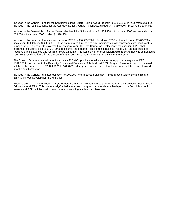Included in the General Fund for the Kentucky National Guard Tuition Award Program is \$3,558,100 in fiscal years 2004-06. Included in the restricted funds for the Kentucky National Guard Tuition Award Program is \$10,000 in fiscal years 2004-06.

Included in the General Fund for the Osteopathic Medicine Scholarships is \$1,255,300 in fiscal year 2005 and an additional \$63,200 in fiscal year 2006 totaling \$1,318,500.

Included in the restricted funds appropriation for KEES is \$80,533,200 for fiscal year 2005 and an additional \$2,079,700 in fiscal year 2006 totaling \$82,612,900. If the appropriated funding and any unanticipated lottery proceeds are insufficient to support the eligible students projected through fiscal year 2006, the Council on Postsecondary Education (CPE) shall implement measures prior to July 1, 2005 to balance the program. These measures may include, but are not limited to, reducing eligible students and reducing award amounts. The Kentucky Higher Education Assistance Authority is authorized to use KEES restricted funds in the amount of \$765,100 in fiscal years 2004-06 to administer the program.

The Governor's recommendation for fiscal years 2004-06, provides for all unclaimed lottery prize money under KRS 154A.130 to be credited to the Kentucky Educational Excellence Scholarship (KEES) Program Reserve Account to be used solely for the purposes of KRS 164.7871 to 164.7885. Moneys in this account shall not lapse and shall be carried forward into the next fiscal year.

Included in the General Fund appropriation is \$900,000 from Tobacco Settlement Funds in each year of the biennium for Early Childhood Development Scholarships.

Effective July 1, 2004, the Robert C. Byrd Honors Scholarship program will be transferred from the Kentucky Department of Education to KHEAA. This is a federally-funded merit-based program that awards scholarships to qualified high school seniors and GED recipients who demonstrate outstanding academic achievement.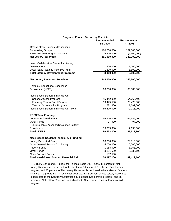| <b>Programs Funded By Lottery Receipts</b>       |                               |                        |  |  |  |  |
|--------------------------------------------------|-------------------------------|------------------------|--|--|--|--|
|                                                  | <b>Recommended</b><br>FY 2005 | Recommended<br>FY 2006 |  |  |  |  |
| <b>Gross Lottery Estimate (Consensus</b>         |                               |                        |  |  |  |  |
| Forecasting Group)                               | 160,500,000                   | 157,800,000            |  |  |  |  |
| <b>KEES Reserve Program Account</b>              | (9,500,000)                   | (9,500,000)            |  |  |  |  |
| <b>Net Lottery Revenues</b>                      | 151,000,000                   | 148,300,000            |  |  |  |  |
| Less: Collaborative Center for Literacy          |                               |                        |  |  |  |  |
| Development                                      | 1,200,000                     | 1,200,000              |  |  |  |  |
| Less: Early Reading Incentive Fund               | 1,800,000                     | 1,800,000              |  |  |  |  |
| <b>Total Literacy Development Programs</b>       | 3,000,000                     | 3,000,000              |  |  |  |  |
| <b>Net Lottery Revenues Remaining</b>            | 148,000,000                   | 145,300,000            |  |  |  |  |
| Kentucky Educational Excellence                  |                               |                        |  |  |  |  |
| Scholarship (KEES)                               | 66,600,000                    | 65,385,000             |  |  |  |  |
| Need-Based Student Financial Aid:                |                               |                        |  |  |  |  |
| College Access Program                           | 45,442,900                    | 54,763,400             |  |  |  |  |
| Kentucky Tuition Grant Program                   | 19,475,500                    | 23,470,000             |  |  |  |  |
| Teacher Scholarships Program                     | 1,681,600                     | 1,681,600              |  |  |  |  |
| Need-Based Student Financial Aid - Total         | 66,600,000                    | 79,915,000             |  |  |  |  |
| <b>KEES Total Funding:</b>                       |                               |                        |  |  |  |  |
| <b>Lottery Dedicated Funds</b>                   | 66,600,000                    | 65,385,000             |  |  |  |  |
| <b>Other Funds</b>                               | 97,900                        | 97,900                 |  |  |  |  |
| <b>KEES Reserve Account (Unclaimed Lottery</b>   |                               |                        |  |  |  |  |
| Prize funds)                                     | 13,835,300                    | 17,130,000             |  |  |  |  |
| <b>Total - KEES</b>                              | 80,533,200                    | 82,612,900             |  |  |  |  |
| <b>Need-Based Student Financial Aid Funding:</b> |                               |                        |  |  |  |  |
| <b>Lottery Dedicated Funds</b>                   | 66,600,000                    | 79,915,000             |  |  |  |  |
| Other General Funds / Continuing                 | 5,000,000                     | 5,000,000              |  |  |  |  |
| <b>Federal Funds</b>                             | 1,158,000                     | 1,158,000              |  |  |  |  |
| <b>Other Funds</b>                               | 3,181,600                     | 3,339,100              |  |  |  |  |
| <b>Carry Forward Funds</b>                       | 157,500                       |                        |  |  |  |  |
| <b>Total Need-Based Student Financial Aid</b>    | 76,097,100                    | 89,412,100             |  |  |  |  |

KRS 154A.130(3) and (4) direct that in fiscal years 2004-2005, 45 percent of Net Lottery Revenues is dedicated to the Kentucky Educational Excellence Scholarship program, and 45 percent of Net Lottery Revenues is dedicated to Need-Based Student Financial Aid programs. In fiscal year 2005-2006, 45 percent of Net Lottery Revenues is dedicated to the Kentucky Educational Excellence Scholarship program, and 55 percent of Net Lottery Revenues is dedicated to Need-Based Student Financial Aid programs.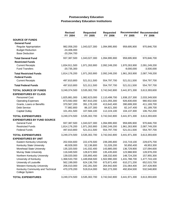# **Postsecondary Education Institutions Postsecondary Education**

|                                                    | <b>Revised</b><br>FY 2004 | <b>Requested</b><br>FY 2005 | <b>Requested</b><br>FY 2006 | Recommended<br>FY 2005 | Recommended<br>FY 2006 |
|----------------------------------------------------|---------------------------|-----------------------------|-----------------------------|------------------------|------------------------|
| <b>SOURCE OF FUNDS</b>                             |                           |                             |                             |                        |                        |
| <b>General Fund</b>                                |                           |                             |                             |                        |                        |
| Regular Appropriation                              | 982,058,200               | 1,043,027,300               | 1,094,995,900               | 959,695,900            | 970,846,700            |
| <b>Budget Reduction</b>                            | $-24,406,000$             |                             |                             |                        |                        |
| <b>Base Deduction</b>                              | $-20,264,700$             |                             |                             |                        |                        |
| <b>Total General Fund</b>                          | 937,387,500               | 1,043,027,300               | 1,094,995,900               | 959,695,900            | 970,846,700            |
| <b>Restricted Funds</b>                            |                           |                             |                             |                        |                        |
| <b>Current Receipts</b>                            | 1,834,911,500             | 1,971,263,900               | 2,092,249,200               | 1,970,263,900          | 2,091,249,200          |
| <b>Fund Transfers</b>                              | $-20,735,300$             |                             |                             | $-9,000,000$           | $-3,500,000$           |
| <b>Total Restricted Funds</b>                      | 1,814,176,200             | 1,971,263,900               | 2,092,249,200               | 1,961,263,900          | 2,087,749,200          |
| <b>Federal Funds</b>                               |                           |                             |                             |                        |                        |
| <b>Current Receipts</b>                            | 497,810,800               | 521,011,500                 | 554,797,700                 | 521,011,500            | 554,797,700            |
| <b>Total Federal Funds</b>                         | 497,810,800               | 521,011,500                 | 554,797,700                 | 521,011,500            | 554,797,700            |
| <b>TOTAL SOURCE OF FUNDS</b>                       | 3,249,374,500             | 3,535,302,700               | 3,742,042,800               | 3,441,971,300          | 3,613,393,600          |
| <b>EXPENDITURES BY CLASS</b>                       |                           |                             |                             |                        |                        |
| Personnel Cost                                     | 1,825,881,000             | 1,982,623,000               | 2,110,499,700               | 1,938,157,300          | 2,033,349,500          |
| <b>Operating Expenses</b>                          | 873,592,000               | 967,810,200                 | 1,021,055,300               | 926,830,000            | 980,932,500            |
| Grants, Loans or Benefits                          | 370,567,200               | 391,178,100                 | 413,642,400                 | 390,699,300            | 411,169,700            |
| <b>Debt Service</b>                                | 77,882,800                | 86,107,300                  | 84,621,300                  | 82,147,400             | 81,189,700             |
| <b>Capital Outlay</b>                              | 101,451,500               | 107,584,100                 | 112,224,100                 | 104,137,300            | 106,752,200            |
| <b>TOTAL EXPENDITURES</b>                          | 3,249,374,500             | 3,535,302,700               | 3,742,042,800               | 3,441,971,300          | 3,613,393,600          |
| <b>EXPENDITURES BY FUND SOURCE</b>                 |                           |                             |                             |                        |                        |
| <b>General Fund</b>                                | 937,387,500               | 1,043,027,300               | 1,094,995,900               | 959,695,900            | 970,846,700            |
| <b>Restricted Funds</b>                            | 1,814,176,200             | 1,971,263,900               | 2,092,249,200               | 1,961,263,900          | 2,087,749,200          |
| <b>Federal Funds</b>                               | 497,810,800               | 521,011,500                 | 554,797,700                 | 521,011,500            | 554,797,700            |
| <b>TOTAL EXPENDITURES</b>                          | 3,249,374,500             | 3,535,302,700               | 3,742,042,800               | 3,441,971,300          | 3,613,393,600          |
| <b>EXPENDITURES BY UNIT</b>                        |                           |                             |                             |                        |                        |
| Eastern Kentucky University                        | 202,934,600               | 222,476,500                 | 239,285,800                 | 215,719,100            | 229,675,700            |
| Kentucky State University                          | 48,928,000                | 52,136,800                  | 51,026,200                  | 50,850,400             | 49,953,300             |
| Morehead State University                          | 135,320,500               | 141,032,400                 | 143,885,000                 | 136,729,900            | 137,094,600            |
| Murray State University                            | 116,049,500               | 128,672,900                 | 135,435,600                 | 123,988,900            | 128,978,200            |
| Northern Kentucky University                       | 139,020,000               | 155,893,400                 | 168,332,600                 | 148,724,200            | 157,955,300            |
| University of Kentucky                             | 1,368,533,700             | 1,449,658,500               | 1,502,990,300               | 1,431,788,700          | 1,477,743,100          |
| University of Louisville                           | 562,199,000               | 624,136,700                 | 673,871,400                 | 610,271,200            | 652,015,700            |
| Western Kentucky University                        | 206,010,000               | 242,281,500                 | 264,942,600                 | 231,064,400            | 247,428,900            |
| Kentucky Community and Technical<br>College System | 470,379,200               | 519,014,000                 | 562,273,300                 | 492,834,500            | 532,548,800            |
| <b>TOTAL EXPENDITURES</b>                          | 3,249,374,500             | 3,535,302,700               | 3,742,042,800               | 3,441,971,300          | 3,613,393,600          |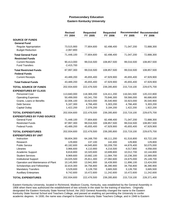## **Eastern Kentucky University Postsecondary Education**

|                                                  | <b>Revised</b><br>FY 2004  | <b>Requested</b><br>FY 2005 | <b>Requested</b><br>FY 2006 | Recommended<br>FY 2005 | Recommended<br>FY 2006 |
|--------------------------------------------------|----------------------------|-----------------------------|-----------------------------|------------------------|------------------------|
| <b>SOURCE OF FUNDS</b>                           |                            |                             |                             |                        |                        |
| <b>General Fund</b>                              |                            |                             |                             |                        |                        |
| Regular Appropriation<br><b>Budget Reduction</b> | 73,515,900<br>$-2,067,800$ | 77,804,600                  | 82,498,400                  | 71,047,200             | 72,888,300             |
| <b>Total General Fund</b>                        | 71,448,100                 | 77,804,600                  | 82,498,400                  | 71,047,200             | 72,888,300             |
| <b>Restricted Funds</b>                          |                            |                             |                             |                        |                        |
| <b>Current Receipts</b>                          | 90,413,000                 | 99,016,500                  | 108,857,500                 | 99,016,500             | 108,857,500            |
| <b>Fund Transfers</b>                            | $-2,415,700$               |                             |                             |                        |                        |
| <b>Total Restricted Funds</b>                    | 87,997,300                 | 99,016,500                  | 108,857,500                 | 99,016,500             | 108,857,500            |
| <b>Federal Funds</b>                             |                            |                             |                             |                        |                        |
| <b>Current Receipts</b>                          | 43,489,200                 | 45,655,400                  | 47,929,900                  | 45,655,400             | 47,929,900             |
| <b>Total Federal Funds</b>                       | 43,489,200                 | 45,655,400                  | 47,929,900                  | 45,655,400             | 47,929,900             |
| <b>TOTAL SOURCE OF FUNDS</b>                     | 202,934,600                | 222,476,500                 | 239,285,800                 | 215,719,100            | 229,675,700            |
| <b>EXPENDITURES BY CLASS</b>                     |                            |                             |                             |                        |                        |
| Personnel Cost                                   | 113,840,000                | 118,369,200                 | 124,411,200                 | 116,041,500            | 120,222,800            |
| <b>Operating Expenses</b>                        | 50,499,000                 | 63,341,700                  | 70,846,300                  | 59,566,000             | 66,686,600             |
| Grants, Loans or Benefits                        | 32,006,100                 | 33,923,000                  | 35,540,900                  | 33,923,000             | 35,540,900             |
| Debt Service                                     | 5,167,300                  | 4,766,400                   | 5,303,200                   | 4,766,400              | 5,303,200              |
| <b>Capital Outlay</b>                            | 1,422,200                  | 2,076,200                   | 3,184,200                   | 1,422,200              | 1,922,200              |
| <b>TOTAL EXPENDITURES</b>                        | 202,934,600                | 222,476,500                 | 239,285,800                 | 215,719,100            | 229,675,700            |
| <b>EXPENDITURES BY FUND SOURCE</b>               |                            |                             |                             |                        |                        |
| <b>General Fund</b>                              | 71,448,100                 | 77,804,600                  | 82,498,400                  | 71,047,200             | 72,888,300             |
| <b>Restricted Funds</b>                          | 87,997,300                 | 99,016,500                  | 108,857,500                 | 99,016,500             | 108,857,500            |
| <b>Federal Funds</b>                             | 43,489,200                 | 45,655,400                  | 47,929,900                  | 45,655,400             | 47,929,900             |
| <b>TOTAL EXPENDITURES</b>                        | 202,934,600                | 222,476,500                 | 239,285,800                 | 215,719,100            | 229,675,700            |
| <b>EXPENDITURES BY UNIT</b>                      |                            |                             |                             |                        |                        |
| Instruction                                      | 58,604,300                 | 64,168,700                  | 68,111,200                  | 61,516,800             | 63,722,100             |
| Research                                         | 129,800                    | 137,100                     | 142,400                     | 129,800                | 129,800                |
| <b>Public Service</b>                            | 40,182,600                 | 44,945,800                  | 50,209,700                  | 44,876,400             | 50,075,000             |
| Libraries                                        | 3,966,600                  | 4,110,900                   | 4,216,500                   | 4,017,900              | 4,058,000              |
| Academic Support                                 | 9,818,800                  | 10,320,600                  | 10,699,800                  | 10,012,700             | 10,144,800             |
| <b>Student Services</b>                          | 9,969,600                  | 10,682,100                  | 11,084,700                  | 10,236,300             | 10,369,000             |
| <b>Institutional Support</b>                     | 24,025,500                 | 25,811,300                  | 27,082,600                  | 24,675,000             | 25,149,700             |
| Operation and Maintenance of Plant               | 10,145,900                 | 13,941,900                  | 16,439,900                  | 11,896,100             | 13,424,000             |
| Scholarships and Fellowships                     | 32,819,300                 | 34,756,800                  | 36,390,900                  | 34,756,800             | 36,390,900             |
| <b>Mandatory Transfers</b>                       | 3,529,600                  | 3,128,700                   | 3,665,500                   | 3,128,700              | 3,665,500              |
| <b>Auxilliary Enterprises</b>                    | 9,742,600                  | 10,472,600                  | 11,242,600                  | 10,472,600             | 11,242,600             |
| <b>TOTAL EXPENDITURES</b>                        | 202,934,600                | 222,476,500                 | 239,285,800                 | 215,719,100            | 228,371,400            |

Eastern Kentucky University, located in Richmond, Madison County, Kentucky, was established by the General Assembly in 1906 when there was authorized the establishment of two schools in the state for the training of teachers. Originally designated the Eastern Kentucky State Normal School, the 1922 General Assembly changed the name to the Eastern Kentucky State Normal School and Teachers College, and passed an enabling act permitting the University to confer academic degrees. In 1930, the name was changed to Eastern Kentucky State Teachers College, and in 1948 to Eastern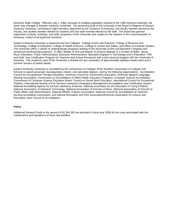Kentucky State College. Effective July 1, 1966, pursuant to enabling legislation enacted in the 1966 General Assembly, the name was changed to Eastern Kentucky University. The governing body of the University is the Board of Regents of Eastern Kentucky University, consisting of eight members appointed by the Governor of Kentucky, one faculty member elected by the Faculty, one student member elected by students and one staff member elected by the staff. The Board has general supervision of lands, buildings, and other properties of the University and, subject to the statutes of the Commonwealth of Kentucky, control of all expenses therefore.

Eastern Kentucky University is organized into five Colleges: College of Arts and Sciences, College of Business and Technology, College of Education, College of Health Sciences, College of Justice and Safety, and Office of Graduate Studies. The University offers a variety of undergraduate programs leading to the Associate of Arts and Bachelor's Degrees and several pre-professional programs. It offers Master of Arts and Master of Science degrees in a number of fields: Music, Music Education, Public Administration, Business Administration; Specialist Degrees in Technology and in Education, Fifth and Sixth Year Certification Program for Teachers and School Personnel; and a joint doctoral program with the University of Kentucky. The academic year of the University is divided into two semesters of approximately eighteen weeks each and a summer session of twelve weeks.

Eastern Kentucky University is accredited by the commission of Colleges of the Southern Association of Colleges and Schools to award associate, baccalaureate, master, and specialist degrees, and by the following organizations: Accreditation Council for Occupational Therapy Education, American Council for Construction Education, American Speech-Language-Hearing Association, Commission on Accreditation of Allied Health Education Programs, Computer Science Accreditation, Commission of Computer Science Education Board, Council on Social Work Education, International Council for Exceptional Children, International Society of Fire Services Instructors Emergency Management Accreditation and Certification System, National Accrediting Agency for Clinical Laboratory Sciences, National Association for the Education of Young Children, National Association of Industrial Technology, National Association of Schools of Music, National Association of Schools of Public Affairs and Administration, National Athletic Trainers Association, National Council for Accreditation of Teachers Nursing Accrediting Commission, and Natural Recreation and Park Association/American Association for Leisure and Recreation Joint Council on Accreditation.

## **Policy**

Additional General Funds in the amount of \$1,304,300 are provided in fiscal year 2006 for the costs associated with the maintenance and operations of three new facilities.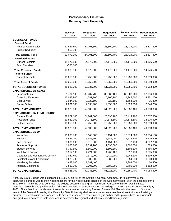## **Kentucky State University Postsecondary Education**

|                                                         | <b>Revised</b><br>FY 2004 | <b>Requested</b><br>FY 2005 | <b>Requested</b><br>FY 2006 | FY 2005    | Recommended Recommended<br>FY 2006 |
|---------------------------------------------------------|---------------------------|-----------------------------|-----------------------------|------------|------------------------------------|
| <b>SOURCE OF FUNDS</b>                                  |                           |                             |                             |            |                                    |
| <b>General Fund</b>                                     |                           |                             |                             |            |                                    |
| <b>Regular Appropriation</b><br><b>Budget Reduction</b> | 22,631,500<br>$-552,400$  | 24,701,300                  | 23,590,700                  | 23,414,900 | 22,517,800                         |
| <b>Total General Fund</b>                               | 22,079,100                | 24,701,300                  | 23,590,700                  | 23,414,900 | 22,517,800                         |
| <b>Restricted Funds</b>                                 |                           |                             |                             |            |                                    |
| <b>Current Receipts</b>                                 | 14,176,500                | 14,176,500                  | 14,176,500                  | 14,176,500 | 14,176,500                         |
| <b>Fund Transfers</b>                                   | $-586,600$                |                             |                             |            |                                    |
| <b>Total Restricted Funds</b>                           | 13,589,900                | 14,176,500                  | 14,176,500                  | 14,176,500 | 14,176,500                         |
| <b>Federal Funds</b>                                    |                           |                             |                             |            |                                    |
| <b>Current Receipts</b>                                 | 13,259,000                | 13,259,000                  | 13,259,000                  | 13,259,000 | 13,259,000                         |
| <b>Total Federal Funds</b>                              | 13,259,000                | 13,259,000                  | 13,259,000                  | 13,259,000 | 13,259,000                         |
| <b>TOTAL SOURCE OF FUNDS</b>                            | 48,928,000                | 52,136,800                  | 51,026,200                  | 50,850,400 | 49,953,300                         |
| <b>EXPENDITURES BY CLASS</b>                            |                           |                             |                             |            |                                    |
| Personnel Cost                                          | 31,784,100                | 33,287,700                  | 33,632,100                  | 32,907,700 | 32,986,800                         |
| <b>Operating Expenses</b>                               | 13,097,900                | 14,781,100                  | 15,106,700                  | 14,248,500 | 14,831,000                         |
| Debt Service                                            | 2,044,500                 | 2,029,100                   | 229,100                     | 1,664,900  | 95,300                             |
| <b>Capital Outlay</b>                                   | 2,001,500                 | 2,038,900                   | 2,058,300                   | 2,029,300  | 2,040,200                          |
| <b>TOTAL EXPENDITURES</b>                               | 48,928,000                | 52,136,800                  | 51,026,200                  | 50,850,400 | 49,953,300                         |
| <b>EXPENDITURES BY FUND SOURCE</b>                      |                           |                             |                             |            |                                    |
| <b>General Fund</b>                                     | 22,079,100                | 24,701,300                  | 23,590,700                  | 23,414,900 | 22,517,800                         |
| <b>Restricted Funds</b>                                 | 13,589,900                | 14,176,500                  | 14,176,500                  | 14,176,500 | 14,176,500                         |
| <b>Federal Funds</b>                                    | 13,259,000                | 13,259,000                  | 13,259,000                  | 13,259,000 | 13,259,000                         |
| <b>TOTAL EXPENDITURES</b>                               | 48,928,000                | 52,136,800                  | 51,026,200                  | 50,850,400 | 49,953,300                         |
| <b>EXPENDITURES BY UNIT</b>                             |                           |                             |                             |            |                                    |
| Instruction                                             | 19,005,700                | 19,143,500                  | 19,154,300                  | 19,014,600 | 18,894,100                         |
| Research                                                | 4,635,100                 | 5,545,600                   | 5,785,000                   | 5,516,200  | 5,725,600                          |
| <b>Public Service</b>                                   | 3,036,600                 | 3,910,300                   | 4,154,300                   | 3,877,100  | 4,087,200                          |
| Academic Support                                        | 1,080,200                 | 1,097,900                   | 1,098,500                   | 1,090,500  | 1,083,600                          |
| <b>Student Services</b>                                 | 6,357,500                 | 6,569,700                   | 6,592,300                   | 6,506,800  | 6,465,300                          |
| <b>Institutional Support</b>                            | 3,912,100                 | 4,224,300                   | 4,266,400                   | 3,912,100  | 3,885,300                          |
| Operation and Maintenance of Plant                      | 2,060,400                 | 2,372,000                   | 2,410,200                   | 2,064,100  | 2,239,400                          |
| Scholarships and Fellowships                            | 3,628,700                 | 3,880,900                   | 3,883,200                   | 3,854,800  | 3,830,400                          |
| <b>Mandatory Transfers</b>                              | 1,688,600                 | 1,687,400                   |                             | 1,309,000  | 60,400                             |
| <b>Auxilliary Enterprises</b>                           | 3,523,100                 | 3,705,200                   | 3,682,000                   | 3,705,200  | 3,682,000                          |
| <b>TOTAL EXPENDITURES</b>                               | 48,928,000                | 52,136,800                  | 51,026,200                  | 50,850,400 | 49,953,300                         |

Kentucky State College was established in 1886 by an Act of the Kentucky General Assembly. In its early years, the institution's purpose was to train Negro teachers for the Negro public schools in the Commonwealth. With the passage of the 1890 Morrill Act by the U.S. Congress, the college became a land-grant institution. A tripartite mission was instituted: teaching, research, and public service. The 1972 General Assembly elevated the college to university status, effective July 1, 1973. Since that time, the General Assembly has amended Kentucky Revised Statute 164.290 to further read . . ."It is the intent of the General Assembly that Kentucky State University shall serve as a four-year residential institution emphasizing a program of liberal studies appropriate to its size and resources." The University is authorized to provide both undergraduate and graduate programs of instruction and is accredited by regional and national accreditation agencies.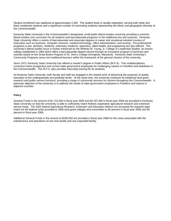Student enrollment has stabilized at approximately 2,300. The student body is racially integrated, serving both white and black residential students and a significant number of commuting students representing the ethnic and geographic diversity of the Commonwealth.

Kentucky State University is the Commonwealth's designated, small public liberal studies university providing a common liberal studies core curriculum for all students and baccalaureate programs in the traditional arts and sciences. Kentucky State University offers a variety of baccalaureate and associate degrees in career and vocational-oriented courses of instruction such as business, computer sciences, medical technology, office administration, and nursing. Pre-professional programs in law, dentistry, medicine, veterinary medicine, optometry, allied health, and engineering are also offered. The university's liberal studies focus is further enhanced by the Whitney M. Young, Jr. College of Leadership Studies, an honors college established in 1983 which offers a baccalaureate degree earned through an innovative program of seminars and tutorials based on the Great Books Program of St. John's College (Annapolis, Maryland). Kentucky State University's Community Programs serve non-traditional learners within the framework of the general mission of the university.

Since 1973, Kentucky State University has offered a master's degree in Public Affairs (M.P.A). This multidisciplinary curriculum trains prospective and current state government employees for challenging careers in Frankfort and elsewhere in the Commonwealth. The M.P.A. also provides internship training for its students.

At Kentucky State University, both faculty and staff are engaged in the shared work of advancing the purposes of quality education at the undergraduate and graduate levels. At the same time, the university continues its traditional land-grant research and public service functions, providing a range of community services for citizens throughout the Commonwealth. A particular objective of the university is to address the needs of state government employees in Frankfort and citizens in adjacent counties.

## **Policy**

General Funds in the amount of \$1,715,400 in fiscal year 2005 and \$2,197,400 in fiscal year 2006 are provided to Kentucky State University so that the University is able to sufficiently match federal cooperative agricultural research and extension service funds. The 2002 federal Agricultural Research, Extension and Education Reform Act increased the required state match for the federal funds provided to 1890 land-grant colleges and universities to 80 percent in fiscal year 2005 and 90 percent in fiscal year 2006.

Additional General Funds in the amount of \$190,500 are provided in fiscal year 2006 for the costs associated with the maintenance and operations of one new facility and one expanded facility.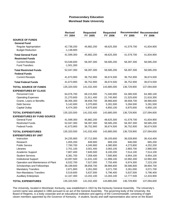## **Morehead State University Postsecondary Education**

|                                                                                | <b>Revised</b><br>FY 2004  | <b>Requested</b><br>FY 2005 | <b>Requested</b><br>FY 2006 | FY 2005     | Recommended Recommended<br>FY 2006 |
|--------------------------------------------------------------------------------|----------------------------|-----------------------------|-----------------------------|-------------|------------------------------------|
| <b>SOURCE OF FUNDS</b>                                                         |                            |                             |                             |             |                                    |
| <b>General Fund</b><br><b>Regular Appropriation</b><br><b>Budget Reduction</b> | 42,738,200<br>$-1,138,900$ | 45,882,200                  | 48,625,300                  | 41,579,700  | 41,834,900                         |
| <b>Total General Fund</b>                                                      | 41,599,300                 | 45,882,200                  | 48,625,300                  | 41,579,700  | 41,834,900                         |
| <b>Restricted Funds</b>                                                        |                            |                             |                             |             |                                    |
| <b>Current Receipts</b><br><b>Fund Transfers</b>                               | 53,548,600<br>$-1,501,300$ | 58,397,300                  | 58,585,200                  | 58,397,300  | 58,585,200                         |
| <b>Total Restricted Funds</b>                                                  | 52,047,300                 | 58,397,300                  | 58,585,200                  | 58,397,300  | 58,585,200                         |
| <b>Federal Funds</b>                                                           |                            |                             |                             |             |                                    |
| <b>Current Receipts</b>                                                        | 41,673,900                 | 36,752,900                  | 36,674,500                  | 36,752,900  | 36,674,500                         |
| <b>Total Federal Funds</b>                                                     | 41,673,900                 | 36,752,900                  | 36,674,500                  | 36,752,900  | 36,674,500                         |
| <b>TOTAL SOURCE OF FUNDS</b><br><b>EXPENDITURES BY CLASS</b>                   | 135,320,500                | 141,032,400                 | 143,885,000                 | 136,729,900 | 137,094,600                        |
| <b>Personnel Cost</b>                                                          | 64,076,700                 | 68,215,900                  | 71,040,900                  | 64,385,500  | 64,380,100                         |
| <b>Operating Expenses</b>                                                      | 21,270,600                 | 21,911,400                  | 21,745,900                  | 21,525,600  | 21,616,300                         |
| Grants, Loans or Benefits                                                      | 38,356,300                 | 38,658,700                  | 38,966,600                  | 38,658,700  | 38,966,600                         |
| <b>Debt Service</b>                                                            | 5,142,600                  | 5,370,800                   | 5,281,500                   | 5,284,500   | 5,281,500                          |
| <b>Capital Outlay</b>                                                          | 6,474,300                  | 6,875,600                   | 6,850,100                   | 6,875,600   | 6,850,100                          |
| <b>TOTAL EXPENDITURES</b>                                                      | 135,320,500                | 141,032,400                 | 143,885,000                 | 136,729,900 | 137,094,600                        |
| <b>EXPENDITURES BY FUND SOURCE</b>                                             |                            |                             |                             |             |                                    |
| <b>General Fund</b>                                                            | 41,599,300                 | 45,882,200                  | 48,625,300                  | 41,579,700  | 41,834,900                         |
| <b>Restricted Funds</b>                                                        | 52,047,300                 | 58,397,300                  | 58,585,200                  | 58,397,300  | 58,585,200                         |
| <b>Federal Funds</b>                                                           | 41,673,900                 | 36,752,900                  | 36,674,500                  | 36,752,900  | 36,674,500                         |
| <b>TOTAL EXPENDITURES</b>                                                      | 135,320,500                | 141,032,400                 | 143,885,000                 | 136,729,900 | 137,094,600                        |
| <b>EXPENDITURES BY UNIT</b><br>Instruction                                     | 34,235,900                 | 37,712,900                  | 39,193,600                  | 36,028,800  | 36,416,400                         |
| Research                                                                       | 1,055,200                  | 849,900                     | 669,100                     | 846,000     | 665,200                            |
| <b>Public Service</b>                                                          | 7,760,700                  | 4,345,900                   | 4,380,900                   | 4,273,800   | 4,252,200                          |
| Libraries                                                                      | 2,701,100                  | 3,001,400                   | 3,083,100                   | 2,883,700   | 2,880,500                          |
| Academic Support                                                               | 7,807,400                  | 7,845,500                   | 8,100,200                   | 7,514,100   | 7,514,100                          |
| <b>Student Services</b>                                                        | 6,381,700                  | 7,359,400                   | 7,585,800                   | 6,954,100   | 6,954,100                          |
| <b>Institutional Support</b>                                                   | 10,097,500                 | 11,631,100                  | 11,999,100                  | 10,992,300  | 10,992,300                         |
| Operation and Maintenance of Plant                                             | 6,532,700                  | 7,527,000                   | 7,755,400                   | 6,974,300   | 7,223,100                          |
| Scholarships and Fellowships                                                   | 38,189,600                 | 38,658,700                  | 38,966,600                  | 38,586,800  | 38,894,700                         |
| <b>Mandatory Transfers</b>                                                     | 2,871,800                  | 3,261,000                   | 3,071,700                   | 3,261,000   | 3,071,700                          |
| Non-Mandatory Transfers                                                        | 5,519,600                  | 5,637,500                   | 5,796,400                   | 5,637,500   | 5,796,400                          |
| <b>Auxilliary Enterprises</b>                                                  | 12,167,300                 | 13,202,100                  | 13,283,100                  | 12,777,500  | 12,433,900                         |
| <b>TOTAL EXPENDITURES</b>                                                      | 135,320,500                | 141,032,400                 | 143,885,000                 | 136,729,900 | 137,094,600                        |

The University, located in Morehead, Kentucky, was established in 1922 by the Kentucky General Assembly. The University's current name was adopted in 1966 pursuant to an act of the General Assembly. The governing body of the University, the Board of Regents, is a body corporate and an educational institution and agency of the Commonwealth, consisting of eight citizen members appointed by the Governor of Kentucky. A student, faculty and staff representative also serve on the Board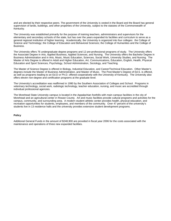and are elected by their respective peers. The government of the University is vested in the Board and the Board has general supervision of lands, buildings, and other properties of the University, subject to the statutes of the Commonwealth of Kentucky.

The University was established primarily for the purpose of training teachers, administrators and supervisors for the elementary and secondary schools of the state, but has over the years expanded its facilities and curriculum to serve as a general regional institution of higher learning. Academically, the University is organized into four colleges: the College of Science and Technology; the College of Education and Behavioral Sciences; the College of Humanities and the College of Business.

The University offers 76 undergraduate degree programs and 12 pre-professional programs of study. The University offers the Associate Degree in Arts, Applied Business, Applied Sciences, and Nursing. The University offers the Bachelor Degree in Business Administration and in Arts, Music, Music Education, Sciences, Social Work, University Studies, and Nursing. The Master of Arts Degree is offered in Adult and Higher Education, Art, Communications, Education, English, Health, Physical Education and Sport Sciences, Psychology, School Administration, Sociology, and Teaching.

The Master of Science Degree is offered in Biology, Industrial Education, and Career/Technical Education. Other Master's degrees include the Master of Business Administration, and Master of Music. The Post-Master's Degree of Ed.S. is offered, as well as programs leading to an Ed.D or Ph.D. offered cooperatively with the University of Kentucky. The University also offers eleven non-degree and certification programs at the graduate level.

The University's accreditation was reaffirmed in 1990 by the Southern Association of Colleges and School. Programs in veterinary technology, social work, radiologic technology, teacher education, nursing, and music are accredited through individual professional agencies.

The Morehead State University campus is located in the Appalachian foothills with main campus facilities in the city of Morehead and an agricultural center in Rowan County. Art and music facilities provide cultural programs and activities for the campus, community, and surrounding area. A modern student athletic center provides health, physical education, and recreation opportunities for students, employees, and members of the community. Over 47 percent of the university's students live in 13 residence halls and the university provides extensive student development programs.

## **Policy**

Additional General Funds in the amount of \$248,900 are provided in fiscal year 2006 for the costs associated with the maintenance and operations of three new expanded facilities.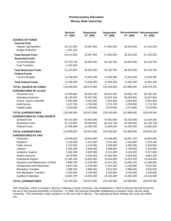## **Murray State University Postsecondary Education**

|                                              | <b>Revised</b><br>FY 2004 | <b>Requested</b><br>FY 2005 | <b>Requested</b><br>FY 2006 | FY 2005     | Recommended Recommended<br>FY 2006 |
|----------------------------------------------|---------------------------|-----------------------------|-----------------------------|-------------|------------------------------------|
| <b>SOURCE OF FUNDS</b>                       |                           |                             |                             |             |                                    |
| <b>General Fund</b><br>Regular Appropriation | 51,472,900                | 54,887,000                  | 57,891,600                  | 50,203,000  | 51,434,200                         |
| <b>Budget Reduction</b>                      | $-1,331,100$              |                             |                             |             |                                    |
| <b>Total General Fund</b>                    | 50,141,800                | 54,887,000                  | 57,891,600                  | 50,203,000  | 51,434,200                         |
| <b>Restricted Funds</b>                      |                           |                             |                             |             |                                    |
| <b>Current Receipts</b>                      | 52,743,700                | 60,392,600                  | 64,150,700                  | 60,392,600  | 64,150,700                         |
| <b>Fund Transfers</b>                        | $-1,632,900$              |                             |                             |             |                                    |
| <b>Total Restricted Funds</b>                | 51,110,800                | 60,392,600                  | 64,150,700                  | 60,392,600  | 64,150,700                         |
| <b>Federal Funds</b>                         |                           |                             |                             |             |                                    |
| <b>Current Receipts</b>                      | 14,796,900                | 13,393,300                  | 13,393,300                  | 13,393,300  | 13,393,300                         |
| <b>Total Federal Funds</b>                   | 14,796,900                | 13,393,300                  | 13,393,300                  | 13,393,300  | 13,393,300                         |
| <b>TOTAL SOURCE OF FUNDS</b>                 | 116,049,500               | 128,672,900                 | 135,435,600                 | 123,988,900 | 128,978,200                        |
| <b>EXPENDITURES BY CLASS</b>                 |                           |                             |                             |             |                                    |
| <b>Personnel Cost</b>                        | 76,436,800                | 83,005,200                  | 88,924,200                  | 80,932,700  | 84,766,100                         |
| <b>Operating Expenses</b>                    | 28,139,400                | 32,597,300                  | 33,632,100                  | 30,605,800  | 31,832,800                         |
| Grants, Loans or Benefits                    | 6,091,800                 | 6,091,800                   | 6,091,800                   | 6,091,800   | 6,091,800                          |
| <b>Debt Service</b>                          | 3,157,700                 | 3,784,800                   | 3,713,700                   | 3,784,800   | 3,713,700                          |
| <b>Capital Outlay</b>                        | 2,223,800                 | 3,193,800                   | 3,073,800                   | 2,573,800   | 2,573,800                          |
| <b>TOTAL EXPENDITURES</b>                    | 116,049,500               | 128,672,900                 | 135,435,600                 | 123,988,900 | 128,978,200                        |
| <b>EXPENDITURES BY FUND SOURCE</b>           |                           |                             |                             |             |                                    |
| <b>General Fund</b>                          | 50,141,800                | 54,887,000                  | 57,891,600                  | 50,203,000  | 51,434,200                         |
| <b>Restricted Funds</b>                      | 51,110,800                | 60,392,600                  | 64,150,700                  | 60,392,600  | 64,150,700                         |
| <b>Federal Funds</b>                         | 14,796,900                | 13,393,300                  | 13,393,300                  | 13,393,300  | 13,393,300                         |
| <b>TOTAL EXPENDITURES</b>                    | 116,049,500               | 128,672,900                 | 135,435,600                 | 123,988,900 | 128,978,200                        |
| <b>EXPENDITURES BY UNIT</b>                  |                           |                             |                             |             |                                    |
| Instruction                                  | 44,569,500                | 48,594,900                  | 52,499,900                  | 46,907,100  | 48,485,600                         |
| Research                                     | 2,132,500                 | 2,247,900                   | 2,224,200                   | 2,246,800   | 2,223,100                          |
| <b>Public Service</b>                        | 5,122,500                 | 5,413,600                   | 5,538,000                   | 5,292,400   | 5,416,800                          |
| Libraries                                    | 2,626,300                 | 2,848,300                   | 2,968,600                   | 2,795,500   | 2,915,800                          |
| Academic Support                             | 4,952,300                 | 5,587,800                   | 6,311,600                   | 5,126,200   | 5,317,600                          |
| <b>Student Services</b>                      | 8,878,900                 | 9,946,200                   | 10,302,500                  | 9,340,900   | 9,654,300                          |
| <b>Institutional Support</b>                 | 11,305,100                | 14,845,500                  | 15,045,900                  | 14,024,100  | 14,544,500                         |
| Operation and Maintenance of Plant           | 9,999,700                 | 11,525,900                  | 12,413,200                  | 10,593,100  | 12,288,800                         |
| Scholarships and Fellowships                 | 6,097,000                 | 6,249,000                   | 6,024,300                   | 6,249,000   | 6,024,300                          |
| <b>Mandatory Transfers</b>                   | 3,388,100                 | 3,986,600                   | 3,915,500                   | 3,986,600   | 3,915,500                          |
| Non-Mandatory Transfers                      | 2,026,900                 | 2,026,900                   | 2,026,900                   | 2,026,900   | 2,026,900                          |
| <b>Auxilliary Enterprises</b>                | 14,950,700                | 15,400,300                  | 16,165,000                  | 15,400,300  | 16,165,000                         |
| <b>TOTAL EXPENDITURES</b>                    | 116,049,500               | 128,672,900                 | 135,435,600                 | 123,988,900 | 128,978,200                        |

The University, which is located in Murray, Calloway County, Kentucky, was established in 1922 as Murray Normal School by the act of the General Assembly of Kentucky. In 1966, the General Assembly established its present name, Murray State University. The University's main campus is a 232-acre site in Murray. Two agricultural farms totaling 351 acres are within one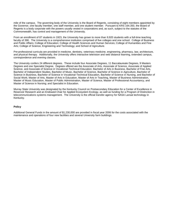mile of the campus. The governing body of the University is the Board of Regents, consisting of eight members appointed by the Governor, one faculty member, one staff member, and one student member. Pursuant to KRS 164.350, the Board of Regents is a body corporate with the powers usually vested in corporations and, as such, subject to the statutes of the Commonwealth, has control and management of the University.

From an enrollment of 87 students in 1923, the University has grown to more than 9,920 students with a full-time teaching faculty of 390. The University is a comprehensive institution comprised of five colleges and one school: College of Business and Public Affairs; College of Education; College of Health Sciences and Human Services; College of Humanities and Fine Arts; College of Science, Engineering and Technology; and School of Agriculture.

Pre-professional curricula are provided in medicine, dentistry, veterinary medicine, engineering, pharmacy, law, architecture, and physical therapy. Additionally, the University offers interactive television and web distance learning, extended campus, correspondence and evening classes.

The University confers 24 different degrees. These include four Associate Degrees, 11 Baccalaureate Degrees, 9 Masters Degrees and one Specialist Degree. Degrees offered are the Associate of Arts, Associate of Science, Associate of Applied Science, and Associate of Science in Vocational-Technical Education; Bachelor of Arts in Business, Bachelor of Fine Arts, Bachelor of Independent Studies, Bachelor of Music, Bachelor of Science, Bachelor of Science in Agriculture, Bachelor of Science in Business, Bachelor of Science in Vocational-Technical Education, Bachelor of Science in Nursing, and Bachelor of Social Work; Master of Arts, Master of Arts in Education, Master of Arts in Teaching, Master of Business Administration, Master of Music Education, Master of Public Administration, Master of Science, Master of Professional Accountancy, and Master of Science in Nursing; and Specialist in Education.

Murray State University was designated by the Kentucky Council on Postsecondary Education for a Center of Excellence in Reservoir Research and an Endowed Chair for Applied Ecosystem Ecology, as well as funding for a Program of Distinction in telecommunications systems management. The University is the official transfer agency for NASA Lansat technology in Kentucky.

#### **Policy**

Additional General Funds in the amount of \$1,230,000 are provided in fiscal year 2006 for the costs associated with the maintenance and operations of four new facilities and several University farm buildings.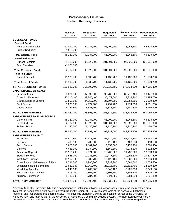## **Northern Kentucky University Postsecondary Education**

|                                                                                | <b>Revised</b><br>FY 2004  | <b>Requested</b><br>FY 2005 | <b>Requested</b><br>FY 2006 | FY 2005     | Recommended Recommended<br>FY 2006 |
|--------------------------------------------------------------------------------|----------------------------|-----------------------------|-----------------------------|-------------|------------------------------------|
| <b>SOURCE OF FUNDS</b>                                                         |                            |                             |                             |             |                                    |
| <b>General Fund</b><br><b>Regular Appropriation</b><br><b>Budget Reduction</b> | 47,092,700<br>$-1,965,400$ | 52,237,700                  | 56,200,900                  | 45,068,500  | 45,823,600                         |
|                                                                                | 45,127,300                 |                             |                             |             |                                    |
| <b>Total General Fund</b>                                                      |                            | 52,237,700                  | 56,200,900                  | 45,068,500  | 45,823,600                         |
| <b>Restricted Funds</b>                                                        | 84,713,600                 |                             | 101,001,000                 |             | 101,001,000                        |
| <b>Current Receipts</b><br><b>Fund Transfers</b>                               | $-1,951,600$               | 92,525,000                  |                             | 92,525,000  |                                    |
|                                                                                |                            |                             |                             |             |                                    |
| <b>Total Restricted Funds</b>                                                  | 82,762,000                 | 92,525,000                  | 101,001,000                 | 92,525,000  | 101,001,000                        |
| <b>Federal Funds</b>                                                           |                            |                             |                             |             |                                    |
| <b>Current Receipts</b>                                                        | 11,130,700                 | 11,130,700                  | 11,130,700                  | 11,130,700  | 11,130,700                         |
| <b>Total Federal Funds</b>                                                     | 11,130,700                 | 11,130,700                  | 11,130,700                  | 11,130,700  | 11,130,700                         |
| <b>TOTAL SOURCE OF FUNDS</b>                                                   | 139,020,000                | 155,893,400                 | 168,332,600                 | 148,724,200 | 157,955,300                        |
| <b>EXPENDITURES BY CLASS</b>                                                   |                            |                             |                             |             |                                    |
| <b>Personnel Cost</b>                                                          | 80,381,300                 | 87,898,900                  | 93,735,600                  | 85,775,400  | 90,471,300                         |
| <b>Operating Expenses</b>                                                      | 27,315,100                 | 33,345,400                  | 36,472,600                  | 29,838,300  | 32,495,700                         |
| Grants, Loans or Benefits                                                      | 21,508,500                 | 24,052,900                  | 26,507,200                  | 23,354,200  | 25,109,800                         |
| <b>Debt Service</b>                                                            | 5,033,300                  | 4,974,500                   | 4,731,700                   | 4,974,500   | 4,731,700                          |
| <b>Capital Outlay</b>                                                          | 4,781,800                  | 5,621,700                   | 6,885,500                   | 4,781,800   | 5,146,800                          |
| <b>TOTAL EXPENDITURES</b>                                                      | 139,020,000                | 155,893,400                 | 168,332,600                 | 148,724,200 | 157,955,300                        |
| <b>EXPENDITURES BY FUND SOURCE</b>                                             |                            |                             |                             |             |                                    |
| <b>General Fund</b>                                                            | 45,127,300                 | 52,237,700                  | 56,200,900                  | 45,068,500  | 45,823,600                         |
| <b>Restricted Funds</b>                                                        | 82,762,000                 | 92,525,000                  | 101,001,000                 | 92,525,000  | 101,001,000                        |
| <b>Federal Funds</b>                                                           | 11,130,700                 | 11,130,700                  | 11,130,700                  | 11,130,700  | 11,130,700                         |
| <b>TOTAL EXPENDITURES</b>                                                      | 139,020,000                | 155,893,400                 | 168,332,600                 | 148,724,200 | 157,955,300                        |
| <b>EXPENDITURES BY UNIT</b>                                                    |                            |                             |                             |             |                                    |
| Instruction                                                                    | 49,502,800                 | 54,313,600                  | 58,670,200                  | 52,619,300  | 55,753,100                         |
| Research                                                                       | 405,500                    | 408,800                     | 413,100                     | 408,800     | 413,100                            |
| <b>Public Service</b>                                                          | 5,806,700                  | 7,162,100                   | 8,556,800                   | 6,150,900   | 6,584,400                          |
| Libraries                                                                      | 4,663,300                  | 5,134,800                   | 5,562,300                   | 4,934,800   | 5,212,300                          |
| Academic Support                                                               | 11,156,200                 | 12,671,000                  | 13,702,900                  | 11,733,500  | 12,303,000                         |
| <b>Student Services</b>                                                        | 9,526,300                  | 10,043,600                  | 10,477,600                  | 9,993,600   | 10,377,600                         |
| <b>Institutional Support</b>                                                   | 15,152,300                 | 16,935,700                  | 18,129,100                  | 16,333,000  | 17,196,400                         |
| Operation and Maintenance of Plant                                             | 8,791,500                  | 11,985,800                  | 13,333,300                  | 10,061,000  | 12,075,500                         |
| Scholarships and Fellowships                                                   | 20,630,500                 | 23,362,400                  | 25,816,700                  | 22,613,700  | 24,369,300                         |
| <b>Mandatory Transfers</b>                                                     | 4,843,900                  | 5,285,900                   | 5,043,100                   | 5,285,900   | 5,043,100                          |
| Non-Mandatory Transfers                                                        | 2,805,000                  | 2,805,700                   | 2,805,700                   | 2,805,700   | 2,805,700                          |
| <b>Auxilliary Enterprises</b>                                                  | 5,736,000                  | 5,784,000                   | 5,821,800                   | 5,784,000   | 5,821,800                          |
| <b>TOTAL EXPENDITURES</b>                                                      | 139,020,000                | 155,893,400                 | 168,332,600                 | 148,724,200 | 157,955,300                        |

Northern Kentucky University (NKU) is a comprehensive institution of higher education located in a large metropolitan area. To meet the needs of the eight-county northern Kentucky region, NKU provides programs at the associate, bachelor's, master's, and first professional degree levels. The university started in 1948 as an extension center of the University of Kentucky (UK) and later as part of the University of Kentucky's Community College System. Northern Kentucky University became an autonomous senior institution in 1968 by an act of the Kentucky General Assembly. A Board of Regents was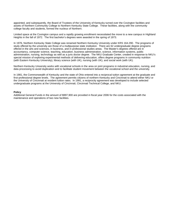appointed, and subsequently, the Board of Trustees of the University of Kentucky turned over the Covington facilities and assets of Northern Community College to Northern Kentucky State College. These facilities, along with the community college faculty and students, formed the nucleus of Northern.

Limited space at the Covington campus and a rapidly growing enrollment necessitated the move to a new campus in Highland Heights in the fall of 1972. The first bachelor's degrees were awarded in the spring of 1973.

In 1976, Northern Kentucky State College was renamed Northern Kentucky University under KRS 164.290. The programs of study offered by the university are those of a multipurpose state institution. There are 62 undergraduate degree programs offered in the arts and sciences, in business, and in professional studies areas. The Master's degrees offered are in accountancy, computer science, teaching, education, business administration, science, information systems, public administration, nursing, technology as well as a juris doctor degree. The NKU Graduate Center, created in response to NKU's special mission of exploring experimental methods of delivering education, offers degree programs in community nutrition (with Eastern Kentucky University), library science (with UK), nursing (with UK), and social work (with UK).

Northern Kentucky University works with vocational schools in the area on joint programs in industrial education, nursing, and data processing to avoid duplication and to facilitate student movement between the vocational school and the university.

In 1981, the Commonwealth of Kentucky and the state of Ohio entered into a reciprocal tuition agreement at the graduate and first-professional degree levels. The agreement permits citizens of northern Kentucky and Cincinnati to attend either NKU or the University of Cincinnati at resident tuition rates. In 1991, a reciprocity agreement was developed to include selected undergraduate programs at the University of Cincinnati, Cincinnati Technical College, and NKU.

#### **Policy**

Additional General Funds in the amount of \$997,900 are provided in fiscal year 2006 for the costs associated with the maintenance and operations of two new facilities.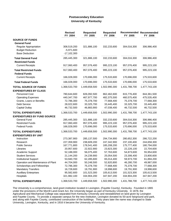## **University of Kentucky Postsecondary Education**

|                                                      | <b>Revised</b><br>FY 2004   | <b>Requested</b><br>FY 2005 | <b>Requested</b><br>FY 2006 | Recommended<br>FY 2005    | Recommended<br>FY 2006    |
|------------------------------------------------------|-----------------------------|-----------------------------|-----------------------------|---------------------------|---------------------------|
| <b>SOURCE OF FUNDS</b>                               |                             |                             |                             |                           |                           |
| <b>General Fund</b>                                  |                             |                             |                             |                           |                           |
| Regular Appropriation<br><b>Budget Reduction</b>     | 308,519,200<br>$-5,971,600$ | 321,886,100                 | 332,233,600                 | 304,016,300               | 306,986,400               |
| <b>Base Deduction</b>                                | $-17,102,300$               |                             |                             |                           |                           |
|                                                      |                             |                             |                             |                           |                           |
| <b>Total General Fund</b><br><b>Restricted Funds</b> | 285,445,300                 | 321,886,100                 | 332,233,600                 | 304,016,300               | 306,986,400               |
| <b>Current Receipts</b>                              | 917,060,400                 | 957,076,400                 | 995,223,100                 | 957,076,400               | 995,223,100               |
| <b>Total Restricted Funds</b>                        | 917,060,400                 | 957,076,400                 | 995,223,100                 | 957,076,400               | 995,223,100               |
| <b>Federal Funds</b>                                 |                             |                             |                             |                           |                           |
| <b>Current Receipts</b>                              | 166,028,000                 | 170,696,000                 | 175,533,600                 | 170,696,000               | 175,533,600               |
| <b>Total Federal Funds</b>                           | 166,028,000                 | 170,696,000                 | 175,533,600                 | 170,696,000               | 175,533,600               |
| <b>TOTAL SOURCE OF FUNDS</b>                         | 1,368,533,700               | 1,449,658,500               | 1,502,990,300               | 1,431,788,700             | 1,477,743,100             |
| <b>EXPENDITURES BY CLASS</b>                         |                             |                             |                             |                           |                           |
| <b>Personnel Cost</b>                                | 780,644,600                 | 826,092,500                 | 862,462,600                 | 815,776,400               | 844,361,500               |
| <b>Operating Expenses</b>                            | 440,347,700                 | 467,977,700                 | 482,375,500                 | 460,575,400               | 475,535,400               |
| Grants, Loans or Benefits                            | 72,786,300                  | 75,378,700                  | 77,668,400                  | 75,378,700                | 77,668,300                |
| <b>Debt Service</b>                                  | 28,022,600                  | 33,325,700                  | 33,445,400                  | 33,325,700                | 33,445,400                |
| <b>Capital Outlay</b>                                | 46,732,500                  | 46,883,900                  | 47,038,400                  | 46,732,500                | 46,732,500                |
| <b>TOTAL EXPENDITURES</b>                            | 1,368,533,700               | 1,449,658,500               | 1,502,990,300               | 1,431,788,700             | 1,477,743,100             |
| <b>EXPENDITURES BY FUND SOURCE</b>                   |                             |                             |                             |                           |                           |
| <b>General Fund</b>                                  | 285,445,300                 | 321,886,100                 | 332,233,600                 | 304,016,300               | 306,986,400               |
| <b>Restricted Funds</b>                              | 917,060,400                 | 957,076,400                 | 995,223,100                 | 957,076,400               | 995,223,100               |
| <b>Federal Funds</b>                                 | 166,028,000                 | 170,696,000                 | 175,533,600                 | 170,696,000               | 175,533,600               |
| <b>TOTAL EXPENDITURES</b>                            | 1,368,533,700               | 1,449,658,500               | 1,502,990,300               | 1,431,788,700             | 1,477,743,100             |
| <b>EXPENDITURES BY UNIT</b>                          |                             |                             |                             |                           |                           |
| Instruction                                          | 273,387,900                 | 285, 137, 500               | 294,734,900                 | 280,652,300               | 286,722,200               |
| Research                                             | 227,359,900                 | 238,609,200                 | 247,342,900                 | 237,100,400               | 244,658,300               |
| <b>Public Service</b>                                | 167,771,800                 | 178,541,400                 | 185,208,200                 | 175,777,400               | 180,794,000               |
| Libraries                                            | 20,957,600                  | 22,922,900                  | 23,823,300                  | 22,226,100                | 22,704,600                |
| Academic Support                                     | 52,188,000                  | 56,075,400                  | 57,763,600                  | 54,873,600                | 55,954,600                |
| Student Services                                     | 21,144,200                  | 24,239,900                  | 25,054,500                  | 23,306,400                | 23,800,600                |
| <b>Institutional Support</b>                         | 53,940,700                  | 62,285,600                  | 65,014,400                  | 59,973,700                | 61,894,200                |
| Operation and Maintenance of Plant                   | 44,704,000                  | 50,248,500                  | 52,820,800                  | 46,280,700                | 49,987,000                |
| Scholarships and Fellowships                         | 72,786,300                  | 75,378,700                  | 77,668,400                  | 75,378,700                | 77,668,300                |
| <b>Mandatory Transfers</b>                           | 16,728,600<br>95,582,600    | 19,791,900<br>101,523,300   | 19,998,600<br>105,613,500   | 19,791,900<br>101,523,300 | 19,998,600<br>105,613,500 |
| <b>Auxilliary Enterprises</b><br>Hospitals           | 321,982,100                 | 334,904,200                 | 347,947,200                 | 334,904,200               | 347,947,200               |
| <b>TOTAL EXPENDITURES</b>                            | 1,368,533,700               | 1,449,658,500               | 1,502,990,300               | 1,431,788,700             | 1,477,743,100             |

The University is a comprehensive, land-grant institution located in Lexington, (Fayette County), Kentucky. Founded in 1865 under the provisions of the Morrill Land-Grant Act, the University began as part of Kentucky University. In 1878, the Agricultural and Mechanical College was separated from Kentucky University and reestablished on land given by Lexington and Fayette County. To provide a separate campus for the new institution, Lexington donated its 50-acre fairground and park, and along with Fayette County, contributed construction of the buildings. Thirty years later the name was changed to State University, Lexington, Kentucky, and in 1916 it became the University of Kentucky.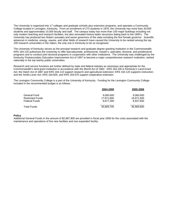The University is organized into 17 colleges and graduate schools plus extension programs, and operates a Community College located in Lexington, Kentucky. From an enrollment of 273 students in 1876, the University has more than 30,000 students and approximately 10,000 faculty and staff. The campus today has more than 100 major buildings including not only modern teaching and research facilities, but also renovated history-laden structures dating back to the 1800's. The University has produced two Nobel Laureates and seven governors of the state including the first female governor. Scientific advances in medicine, energy, equine, and other fields of research have caused the University to be ranked among the top 100 research universities in the nation, the only one in Kentucky to be so recognized.

The University of Kentucky serves as the principal research and graduate degree granting institution in the Commonwealth. KRS 164.125 authorizes the University to offer baccalaureate, professional, master's, specialist, doctoral, and postdoctoral programs and to conduct joint doctoral programs in cooperation with other institutions. The University was challenged by the Kentucky Postsecondary Education Improvement Act of 1997 to become a major comprehensive research institution, ranked nationally in the top twenty public universities.

Research and service functions are further defined by state and federal statutes as necessary and appropriate for the Commonwealth's land-grant institution in accordance with the Morrill Act of 1862. KRS 164.100 is Kentucky's Land-Grant Act; the Hatch Act of 1887 and KRS 164.110 support research and agricultural extension; KRS 164.120 supports instruction; and the Smith-Lever Act, KRS 164.605, and KRS 164.675 support cooperative extension.

The Lexington Community College is a part of the University of Kentucky. Funding for the Lexington Community College included in the recommended budget is as follows:

|                         | 2004-2005  | 2005-2006  |
|-------------------------|------------|------------|
| General Fund            | 9,060,600  | 9,060,600  |
| <b>Restricted Funds</b> | 17.871.800 | 18,971,600 |
| Federal Funds           | 8.877.300  | 8,937,600  |
| Total Funds             | 35,809,700 | 36,969,800 |

#### **Policy**

Additional General Funds in the amount of \$2,887,900 are provided in fiscal year 2006 for the costs associated with the maintenance and operations of five new facilities and one expanded facility.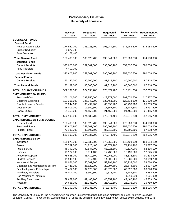## **University of Louisville Postsecondary Education**

|                                                              | <b>Revised</b><br>FY 2004 | Requested<br>FY 2005     | <b>Requested</b><br>FY 2006 | Recommended<br>FY 2005   | Recommended<br>FY 2006   |
|--------------------------------------------------------------|---------------------------|--------------------------|-----------------------------|--------------------------|--------------------------|
| <b>SOURCE OF FUNDS</b><br><b>General Fund</b>                |                           |                          |                             |                          |                          |
| Regular Appropriation                                        | 174,950,000               | 186,128,700              | 196,044,500                 | 172,263,200              | 174,188,800              |
| <b>Budget Reduction</b>                                      | $-3,377,700$              |                          |                             |                          |                          |
| <b>Base Deduction</b>                                        | $-3,162,400$              |                          |                             |                          |                          |
| <b>Total General Fund</b>                                    | 168,409,900               | 186,128,700              | 196,044,500                 | 172,263,200              | 174,188,800              |
| <b>Restricted Funds</b>                                      |                           |                          |                             |                          |                          |
| <b>Current Receipts</b>                                      | 325,006,800               | 357,507,500              | 390,008,200                 | 357,507,500              | 390,008,200              |
| <b>Fund Transfers</b>                                        | $-4,400,000$              |                          |                             |                          |                          |
| <b>Total Restricted Funds</b>                                | 320,606,800               | 357,507,500              | 390,008,200                 | 357,507,500              | 390,008,200              |
| <b>Federal Funds</b>                                         |                           |                          |                             |                          |                          |
| <b>Current Receipts</b>                                      | 73,182,300                | 80,500,500               | 87,818,700                  | 80,500,500               | 87,818,700               |
| <b>Total Federal Funds</b>                                   | 73,182,300                | 80,500,500               | 87,818,700                  | 80,500,500               | 87,818,700               |
| <b>TOTAL SOURCE OF FUNDS</b><br><b>EXPENDITURES BY CLASS</b> | 562,199,000               | 624,136,700              | 673,871,400                 | 610,271,200              | 652,015,700              |
| <b>Personnel Cost</b>                                        | 363,101,500               | 398,950,600              | 429,972,600                 | 392,070,500              | 417,257,700              |
| <b>Operating Expenses</b>                                    | 107,396,600               | 125,940,700              | 139,451,300                 | 120,518,300              | 131,870,100              |
| Grants, Loans or Benefits                                    | 55,244,600                | 60,439,900               | 65,635,200                  | 60,439,900               | 65,635,200               |
| <b>Debt Service</b>                                          | 15,001,100                | 17,350,300               | 17,357,100                  | 15,787,300               | 15,797,500               |
| <b>Capital Outlay</b>                                        | 21,455,200                | 21,455,200               | 21,455,200                  | 21,455,200               | 21,455,200               |
| <b>TOTAL EXPENDITURES</b>                                    | 562,199,000               | 624,136,700              | 673,871,400                 | 610,271,200              | 652,015,700              |
| <b>EXPENDITURES BY FUND SOURCE</b>                           |                           |                          |                             |                          |                          |
| <b>General Fund</b>                                          | 168,409,900               | 186,128,700              | 196,044,500                 | 172,263,200              | 174,188,800              |
| <b>Restricted Funds</b>                                      | 320,606,800               | 357,507,500              | 390,008,200                 | 357,507,500              | 390,008,200              |
| <b>Federal Funds</b>                                         | 73,182,300                | 80,500,500               | 87,818,700                  | 80,500,500               | 87,818,700               |
| <b>TOTAL EXPENDITURES</b>                                    | 562,199,000               | 624,136,700              | 673,871,400                 | 610,271,200              | 652,015,700              |
| <b>EXPENDITURES BY UNIT</b>                                  |                           |                          |                             |                          |                          |
| Instruction                                                  | 135,978,200               | 157,833,600              | 176,253,300                 | 148,408,000              | 158,394,100              |
| Research                                                     | 67,799,700                | 74,726,400               | 80,371,700                  | 74,231,900               | 79,377,200               |
| <b>Public Service</b>                                        | 45,390,200                | 49,847,700               | 53,225,800                  | 49,517,000               | 52,895,100               |
| Libraries                                                    | 15,122,000                | 16,611,100               | 17,736,800                  | 16,499,800               | 17,625,500               |
| Academic Support                                             | 78,688,200                | 86,410,100               | 92,266,000                  | 85,838,300               | 91,694,300               |
| <b>Student Services</b>                                      | 11,946,100                | 13,117,400               | 14,006,200                  | 13,030,900               | 13,919,700               |
| <b>Institutional Support</b>                                 | 46,051,300                | 50,567,300               | 53,994,100                  | 50,233,500               | 53,660,300               |
| Operation and Maintenance of Plant                           | 23,445,200                | 26,520,300               | 28,997,600                  | 25,574,500               | 28,827,600               |
| Scholarships and Fellowships                                 | 58,457,900                | 62,626,000               | 66,870,000                  | 62,626,000               | 66,870,000               |
| <b>Mandatory Transfers</b>                                   | 15,001,100                | 18,360,800               | 19,378,200                  | 15,784,800               | 15,582,400               |
| Non-Mandatory Transfers                                      |                           |                          |                             | 1,010,500                | 2,021,000                |
| <b>Auxilliary Enterprises</b><br>Hospitals                   | 39,652,800<br>24,666,300  | 42,480,100<br>25,035,900 | 45,359,100<br>25,412,600    | 42,480,100<br>25,035,900 | 45,359,100<br>25,789,400 |
|                                                              |                           |                          |                             |                          |                          |
| <b>TOTAL EXPENDITURES</b>                                    | 562,199,000               | 624,136,700              | 673,871,400                 | 610,271,200              | 652,015,700              |

The University of Louisville (the "University") is an urban university that has had close historical and legal ties with Louisville-Jefferson County. The University was founded in 1798 as the Jefferson Seminary, later known as Louisville College, and 1846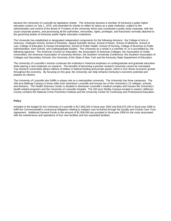became the University of Louisville by legislative charter. The University became a member of Kentucky's public higher education system on July 1, 1970, and amended its charter to reflect its status as a state institution, subject to the administration and control of the Board of Trustees of the University which was constituted a public body corporate, with the usual corporate powers, and processing all the authorities, immunities, rights, privileges, and franchises normally attached to the governing bodies of Kentucky public higher education institutions.

The University has established or designated independent components for the following divisions: the College of Arts & Sciences, Graduate School, School of Dentistry, Speed Scientific School, School of Music, School of Medicine, School of Law, College of Education & Human Development, School of Public Health, School of Nursing, College of Business & Public Administration, Kent School, and Undergraduate Studies. The University as a whole is a member of, or is accredited by, the following agencies: The American Council on Education, the Association of American Colleges, the Association of Urban Universities, the American Association of University Women, the Southern University Conference, the Southern Association of Colleges and Secondary Schools, the University of the State of New York and the Kentucky State Department of Education.

The University of Louisville's mission continues the institution's historical emphasis on undergraduate and graduate education while placing a new emphasis on research. The benefits of becoming a premier research university cannot be overstated. Top research universities attract millions of dollars in federal funding and private grants, which in turn drives economic growth throughout the economy. By focusing on this goal, the University can help enhance Kentucky's economic potential and prepare its citizens.

The University of Louisville also fulfills a unique role as a metropolitan university. The University has three campuses. The 169 acre Belknap Campus is three miles from downtown Louisville and houses ten of the University's 13 colleges, schools, and divisions. The Health Sciences Center is situated in downtown Louisville's medical complex and houses the University's health-related programs and the University of Louisville Hospital. The 243 acre Shelby Campus located in eastern Jefferson County contains the National Crime Prevention Institute and the University Center for Continuing and Professional Education.

#### **Policy**

Included in the budget for the University of Louisville is \$17,693,200 in fiscal year 2004 and \$18,070,100 in fiscal year 2006 to fulfill the Commonwealth's contractual obligation relating to indigent care furnished through the Quality and Charity Care Trust Agreement. Additional General Funds in the amount of \$1,508,400 are provided in fiscal year 2006 for the costs associated with the maintenance and operations of four new facilities and two expanded facilities.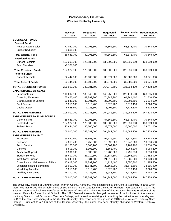## **Western Kentucky University Postsecondary Education**

|                                              | <b>Revised</b><br>FY 2004 | <b>Requested</b><br>FY 2005 | <b>Requested</b><br>FY 2006 | FY 2005     | Recommended Recommended<br>FY 2006 |
|----------------------------------------------|---------------------------|-----------------------------|-----------------------------|-------------|------------------------------------|
| <b>SOURCE OF FUNDS</b>                       |                           |                             |                             |             |                                    |
| <b>General Fund</b><br>Regular Appropriation | 72,040,100                | 80,095,500                  | 87,862,600                  | 68,878,400  | 70,348,900                         |
| <b>Budget Reduction</b>                      | $-3,396,400$              |                             |                             |             |                                    |
| <b>Total General Fund</b>                    | 68,643,700                | 80,095,500                  | 87,862,600                  | 68,878,400  | 70,348,900                         |
| <b>Restricted Funds</b>                      |                           |                             |                             |             |                                    |
| <b>Current Receipts</b>                      | 107,303,900               | 126,586,000                 | 138,009,000                 | 126,586,000 | 138,009,000                        |
| <b>Fund Transfers</b>                        | $-2,381,600$              |                             |                             |             |                                    |
| <b>Total Restricted Funds</b>                | 104,922,300               | 126,586,000                 | 138,009,000                 | 126,586,000 | 138,009,000                        |
| <b>Federal Funds</b>                         |                           |                             |                             |             |                                    |
| <b>Current Receipts</b>                      | 32,444,000                | 35,600,000                  | 39,071,000                  | 35,600,000  | 39,071,000                         |
| <b>Total Federal Funds</b>                   | 32,444,000                | 35,600,000                  | 39,071,000                  | 35,600,000  | 39,071,000                         |
| <b>TOTAL SOURCE OF FUNDS</b>                 | 206,010,000               | 242,281,500                 | 264,942,600                 | 231,064,400 | 247,428,900                        |
| <b>EXPENDITURES BY CLASS</b>                 |                           |                             |                             |             |                                    |
| <b>Personnel Cost</b>                        | 110,092,800               | 130,945,800                 | 143,256,000                 | 122,179,500 | 128,895,000                        |
| <b>Operating Expenses</b>                    | 55,466,400                | 67,392,200                  | 74,848,300                  | 64,941,400  | 71,710,600                         |
| Grants, Loans or Benefits                    | 30,548,600                | 32,901,600                  | 35,309,600                  | 32,901,600  | 35,294,600                         |
| <b>Debt Service</b>                          | 3,213,600                 | 3,316,400                   | 3,326,200                   | 3,316,400   | 3,326,200                          |
| <b>Capital Outlay</b>                        | 6,688,600                 | 7,725,500                   | 8,202,500                   | 7,725,500   | 8,202,500                          |
| <b>TOTAL EXPENDITURES</b>                    | 206,010,000               | 242,281,500                 | 264,942,600                 | 231,064,400 | 247,428,900                        |
| <b>EXPENDITURES BY FUND SOURCE</b>           |                           |                             |                             |             |                                    |
| <b>General Fund</b>                          | 68,643,700                | 80,095,500                  | 87,862,600                  | 68,878,400  | 70,348,900                         |
| <b>Restricted Funds</b>                      | 104,922,300               | 126,586,000                 | 138,009,000                 | 126,586,000 | 138,009,000                        |
| <b>Federal Funds</b>                         | 32,444,000                | 35,600,000                  | 39,071,000                  | 35,600,000  | 39,071,000                         |
| <b>TOTAL EXPENDITURES</b>                    | 206,010,000               | 242,281,500                 | 264,942,600                 | 231,064,400 | 247,428,900                        |
| <b>EXPENDITURES BY UNIT</b>                  |                           |                             |                             |             |                                    |
| Instruction                                  | 69,520,400                | 83,853,400                  | 92,736,500                  | 78,817,300  | 84,442,900                         |
| Research                                     | 7,815,400                 | 10,450,300                  | 10,999,500                  | 10,243,800  | 10,586,500                         |
| <b>Public Service</b>                        | 16,166,000                | 18,805,200                  | 20,802,200                  | 17,909,200  | 19,010,200                         |
| Libraries                                    | 5,801,000                 | 6,308,800                   | 6,653,400                   | 5,964,200   | 5,964,200                          |
| Academic Support                             | 6,591,000                 | 8,335,900                   | 10,286,000                  | 7,791,300   | 9,396,800                          |
| <b>Student Services</b>                      | 18,612,000                | 21,119,600                  | 22,584,800                  | 20,568,200  | 21,482,000                         |
| <b>Institutional Support</b>                 | 17,343,600                | 19,931,600                  | 21,312,600                  | 18,635,600  | 19,120,600                         |
| Operation and Maintenance of Plant           | 17,618,000                | 21,392,700                  | 24,127,400                  | 19,050,800  | 21,985,500                         |
| Scholarships and Fellowships                 | 28,019,000                | 31,541,500                  | 33,165,900                  | 31,541,500  | 33,165,900                         |
| <b>Mandatory Transfers</b>                   | 3,213,600                 | 3,316,400                   | 3,326,200                   | 3,316,400   | 3,326,200                          |
| <b>Auxilliary Enterprises</b>                | 15,310,000                | 17,226,100                  | 18,948,100                  | 17,226,100  | 18,948,100                         |
| <b>TOTAL EXPENDITURES</b>                    | 206,010,000               | 242,281,500                 | 264,942,600                 | 231,064,400 | 247,428,900                        |

The University, located at Bowling Green, Warren County, Kentucky, was established by the General Assembly in 1906 when there was authorized the establishment of two schools in the state for the training of teachers. On January 1, 1907, the Southern Normal School was transferred to the state of Kentucky. The President of that Institution became President of the Western Kentucky State Normal School. The 1922 General Assembly changed the name of the institution to the Western Kentucky State Normal School and Teachers College, and passed an enabling act permitting the institution to confer degrees. In 1930 the name was changed to the Western Kentucky State Teachers College and in 1948 to the Western Kentucky State College. Pursuant to a 1966 Act of the General Assembly, the name has been officially changed to Western Kentucky University.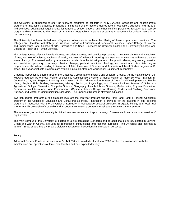The University is authorized to offer the following programs as set forth in KRS 164.295: associate and baccalaureate programs of instruction; graduate programs of instruction at the master's degree level in education, business, and the arts and sciences; educational requirements for teachers, school leaders, and other certified personnel; research and service programs directly related to the needs of its primary geographical area; and programs of a community college nature in its own community.

The University has been divided into colleges and other units to facilitate the offering of these programs and services. The colleges are: Gordon Ford College of Business; College of Education and Behavioral Sciences; Ogden College of Science and Engineering; Potter College of Arts, Humanities and Social Sciences; the Graduate College; the Community College, and College of Health and Human Services.

The undergraduate offerings include degrees, associate degrees, and certificate programs. The University offers the Bachelor of Arts, Bachelor of Science, Bachelor of Music, Bachelor of Science in Nursing, and Bachelor of Fine Arts with more than 80 areas of study. Preprofessional programs are also available in the following areas: chiropractic, dental, engineering, forestry, law, medicine, optometry, pharmacy, physical therapy, pediatric medicine, theology, and veterinary. Associate degree programs are also offered leading to Associate of Arts, Associate of Science, and Associate of Liberal Studies degrees in 19 areas. One-year certificate programs are available in Real Estate and Agricultural Equipment Technology.

Graduate instruction is offered through the Graduate College at the master's and specialist's levels. At the master's level, the following degrees are offered: Master of Business Administration; Master of Music; Master of Public Services - (Option In) Counseling, City and Regional Planning, and Master of Public Administration; Master of Arts - Child Development and Family Living, English, Folk Studies, Humanities, History, Sociology, Psychology, and Communications; Master of Science - Agriculture, Biology, Chemistry, Computer Science, Geography, Health, Library Science, Mathematics, Physical Education, Recreation, Institutional and Home Environment - (Option In) Interior Design and Housing, Textiles and Clothing, Foods and Nutrition, and Master of Communication Disorders. The Specialist Degree is offered in education.

Two non-degree programs at the graduate level are the fifth-year program and the Rank I and Rank II Teacher Certificate program in the College of Education and Behavioral Sciences. Instruction is provided for the students in joint doctoral programs in education with the University of Kentucky, in cooperative doctoral programs in aquatic biology and fossil fuel chemistry with University of Louisville and a cooperative master's degree in nursing at the University of Kentucky.

The academic year of the University is divided into two semesters of approximately 18 weeks each, and a summer session of eight weeks.

The main campus of the University is located on a site containing 180 acres and an additional 53 acres, located in Bowling Green and Warren County, are used for recreational, instructional, and research purposes. The University also operates a farm of 789 acres and has a 454 acre biological reserve for instructional and research purposes.

#### **Policy**

Additional General Funds in the amount of \$1,449,700 are provided in fiscal year 2006 for the costs associated with the maintenance and operations of three new facilities and one expanded facility.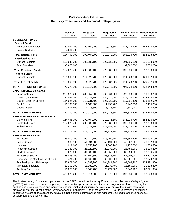## **Kentucky Community and Technical College System Postsecondary Education**

|                                    | <b>Revised</b><br>FY 2004 | <b>Requested</b><br>FY 2005 | <b>Requested</b><br>FY 2006 | FY 2005      | Recommended Recommended<br>FY 2006 |
|------------------------------------|---------------------------|-----------------------------|-----------------------------|--------------|------------------------------------|
| <b>SOURCE OF FUNDS</b>             |                           |                             |                             |              |                                    |
| <b>General Fund</b>                |                           |                             |                             |              |                                    |
| Regular Appropriation              | 189,097,700               | 199,404,200                 | 210,048,300                 | 183,224,700  | 184,823,800                        |
| <b>Budget Reduction</b>            | $-4,604,700$              |                             |                             |              |                                    |
| <b>Total General Fund</b>          | 184,493,000               | 199,404,200                 | 210,048,300                 | 183,224,700  | 184,823,800                        |
| <b>Restricted Funds</b>            |                           |                             |                             |              |                                    |
| <b>Current Receipts</b>            | 189,945,000               | 205,586,100                 | 222,238,000                 | 204,586,100  | 221,238,000                        |
| <b>Fund Transfers</b>              | $-5,865,600$              |                             |                             | $-9,000,000$ | $-3,500,000$                       |
| <b>Total Restricted Funds</b>      | 184,079,400               | 205,586,100                 | 222,238,000                 | 195,586,100  | 217,738,000                        |
| <b>Federal Funds</b>               |                           |                             |                             |              |                                    |
| <b>Current Receipts</b>            | 101,806,800               | 114,023,700                 | 129,987,000                 | 114,023,700  | 129,987,000                        |
| <b>Total Federal Funds</b>         | 101,806,800               | 114,023,700                 | 129,987,000                 | 114,023,700  | 129,987,000                        |
| <b>TOTAL SOURCE OF FUNDS</b>       | 470,379,200               | 519,014,000                 | 562,273,300                 | 492,834,500  | 532,548,800                        |
| <b>EXPENDITURES BY CLASS</b>       |                           |                             |                             |              |                                    |
| <b>Personnel Cost</b>              | 205,523,200               | 235,857,200                 | 263,064,500                 | 228,088,100  | 250,008,200                        |
| <b>Operating Expenses</b>          | 130,059,300               | 140,522,700                 | 146,576,600                 | 125,010,700  | 134,354,000                        |
| Grants, Loans or Benefits          | 114,025,000               | 119,731,500                 | 127,922,700                 | 119,951,400  | 126,862,500                        |
| Debt Service                       | 11,100,100                | 11,189,300                  | 11,233,400                  | 9,242,900    | 9,495,200                          |
| <b>Capital Outlay</b>              | 9,671,600                 | 11,713,300                  | 13,476,100                  | 10,541,400   | 11,828,900                         |
| <b>TOTAL EXPENDITURES</b>          | 470,379,200               | 519,014,000                 | 562,273,300                 | 492,834,500  | 532,548,800                        |
| <b>EXPENDITURES BY FUND SOURCE</b> |                           |                             |                             |              |                                    |
| <b>General Fund</b>                | 184,493,000               | 199,404,200                 | 210,048,300                 | 183,224,700  | 184,823,800                        |
| <b>Restricted Funds</b>            | 184,079,400               | 205,586,100                 | 222,238,000                 | 195,586,100  | 217,738,000                        |
| <b>Federal Funds</b>               | 101,806,800               | 114,023,700                 | 129,987,000                 | 114,023,700  | 129,987,000                        |
| <b>TOTAL EXPENDITURES</b>          | 470,379,200               | 519,014,000                 | 562,273,300                 | 492,834,500  | 532,548,800                        |
| <b>EXPENDITURES BY UNIT</b>        |                           |                             |                             |              |                                    |
| Instruction                        | 139,010,000               | 160,114,100                 | 179,460,200                 | 152,893,300  | 166,653,700                        |
| <b>Public Service</b>              | 50,586,500                | 51,394,600                  | 52,191,500                  | 40,967,500   | 46,037,300                         |
| Libraries                          | 911,600                   | 1,555,900                   | 1,860,200                   | 1,177,500    | 1,388,500                          |
| Academic Support                   | 23,280,000                | 26,023,100                  | 29,233,900                  | 25,456,200   | 28,100,200                         |
| <b>Student Services</b>            | 28,278,600                | 31,085,100                  | 33,657,000                  | 30,394,900   | 32,306,500                         |
| <b>Institutional Support</b>       | 58,895,700                | 62,654,800                  | 65,816,100                  | 62,002,900   | 64,597,400                         |
| Operation and Maintenance of Plant | 55,474,700                | 61,165,100                  | 63,208,200                  | 55,201,000   | 57,179,200                         |
| Scholarships and Fellowships       | 85,971,200                | 94,782,300                  | 104,841,800                 | 94,502,200   | 104,281,600                        |
| <b>Mandatory Transfers</b>         | 11,100,100                | 11,189,300                  | 11,233,400                  | 11,189,300   | 11,233,400                         |
| <b>Auxilliary Enterprises</b>      | 16,870,800                | 19,049,700                  | 20,771,000                  | 19,049,700   | 20,771,000                         |
| <b>TOTAL EXPENDITURES</b>          | 470,379,200               | 519,014,000                 | 562,273,300                 | 492,834,500  | 532,548,800                        |

The Postsecondary Education Improvement Act of 1997 created the Kentucky Community and Technical College System (KCTCS) with a mission "to be the primary provider of two-year transfer and technical programs, workforce training for existing and new businesses and industries, and remedial and continuing education to improve the quality of life and employability of the citizens of the Commonwealth of Kentucky." One of the goals of KCTCS is to develop a "seamless, integrated system of postsecondary education that is strategically planned and adequately funded to enhance economic development and quality of life."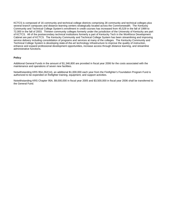KCTCS is composed of 16 community and technical college districts comprising 28 community and technical colleges plus several branch campuses and distance learning centers strategically located across the Commonwealth. The Kentucky Community and Technical College System's enrollment in credit courses has increased from 45,529 in the fall of 1999 to 72,000 in the fall of 2003. Thirteen community colleges formerly under the jurisdiction of the University of Kentucky are part of KCTCS. All of the postsecondary technical institutions formerly a part of Kentucky Tech in the Workforce Development Cabinet are part of KCTCS. The Kentucky Community and Technical College System has been streamlining and improving service delivery including consolidation of programs and services at many of the colleges. The Kentucky Community and Technical College System is developing state-of-the-art technology infrastructure to improve the quality of instruction, enhance and expand professional development opportunities, increase access through distance learning, and streamline administrative functions.

## **Policy**

Additional General Funds in the amount of \$1,346,800 are provided in fiscal year 2006 for the costs associated with the maintenance and operations of seven new facilities.

Notwithstanding KRS 95A.262(14), an additional \$1,000,000 each year from the Firefighter's Foundation Program Fund is authorized to be expended on firefighter training, equipment, and support activities.

Notwithstanding KRS Chapter 95A, \$9,000,000 in fiscal year 2005 and \$3,500,000 in fiscal year 2006 shall be transferred to the General Fund.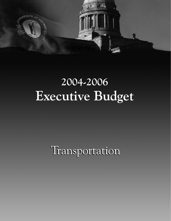

# 2004-2006 Executive Budget

Transportation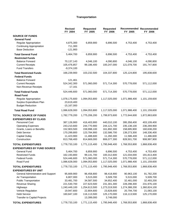## **Transportation**

|                                                                                   | <b>Revised</b><br>FY 2004          | <b>Requested</b><br>FY 2005 | <b>Requested</b><br>FY 2006 | FY 2005       | Recommended Recommended<br>FY 2006 |
|-----------------------------------------------------------------------------------|------------------------------------|-----------------------------|-----------------------------|---------------|------------------------------------|
| <b>SOURCE OF FUNDS</b><br><b>General Fund</b>                                     |                                    |                             |                             |               |                                    |
| Regular Appropriation<br><b>Continuing Appropriation</b><br><b>Base Deduction</b> | 4,875,300<br>711,300<br>$-121,900$ | 6,859,900                   | 6,896,500                   | 4,753,400     | 4,753,400                          |
| <b>Total General Fund</b>                                                         | 5,464,700                          | 6,859,900                   | 6,896,500                   | 4,753,400     | 4,753,400                          |
| <b>Restricted Funds</b>                                                           |                                    |                             |                             |               |                                    |
| <b>Balance Forward</b>                                                            | 70,137,143                         | 4,046,100                   | 4,090,800                   | 4,046,100     | 4,090,800                          |
| <b>Current Receipts</b><br><b>Fund Transfers</b>                                  | 105,476,857<br>$-9,374,100$        | 99,186,400                  | 100,247,000                 | 121,078,700   | 191,747,800                        |
| <b>Total Restricted Funds</b>                                                     | 166,239,900                        | 103,232,500                 | 104,337,800                 | 125,124,800   | 195,838,600                        |
| <b>Federal Funds</b>                                                              |                                    |                             |                             |               |                                    |
| <b>Balance Forward</b>                                                            | 121,461                            |                             |                             |               |                                    |
| <b>Current Receipts</b>                                                           | 524,342,300                        | 571,060,000                 | 571,714,300                 | 570,778,000   | 571,112,000                        |
| Non-Revenue Receipts                                                              | $-17,161$                          |                             |                             |               |                                    |
| <b>Total Federal Funds</b>                                                        | 524,446,600                        | 571,060,000                 | 571,714,300                 | 570,778,000   | 571,112,000                        |
| <b>Road Fund</b>                                                                  |                                    |                             |                             |               |                                    |
| Regular Appropriation                                                             | 1,078,175,600                      | 1,094,053,800               | 1,117,025,000               | 1,071,988,400 | 1,101,159,600                      |
| Surplus Expenditure Plan                                                          | 23,619,400                         |                             |                             |               |                                    |
| <b>Budget Reduction</b>                                                           | $-15,167,000$                      |                             |                             |               |                                    |
| <b>Total Road Fund</b>                                                            | 1,086,628,000                      | 1,094,053,800               | 1,117,025,000               | 1,071,988,400 | 1,101,159,600                      |
| <b>TOTAL SOURCE OF FUNDS</b>                                                      | 1,782,779,200                      | 1,775,206,200               | 1,799,973,600               | 1,772,644,600 | 1,872,863,600                      |
| <b>EXPENDITURES BY CLASS</b>                                                      |                                    |                             |                             |               |                                    |
| Personnel Cost                                                                    | 387,126,900                        | 416,403,900                 | 440,010,100                 | 395,358,400   | 403,109,400                        |
| <b>Operating Expenses</b>                                                         | 243,210,600                        | 244,770,900                 | 244,121,700                 | 235,138,100   | 236,269,900                        |
| Grants, Loans or Benefits                                                         | 152,903,500                        | 159,998,100                 | 161,892,300                 | 158,695,900   | 160,638,200                        |
| Debt Service                                                                      | 170,299,800                        | 123,784,900                 | 132,586,700                 | 139,273,300   | 148,336,400                        |
| Capital Outlay                                                                    | 11,423,900                         | 11,488,600                  | 11,260,300                  | 11,586,400    | 11,486,600                         |
| Construction                                                                      | 813,768,400                        | 814,669,000                 | 806,077,300                 | 828,501,700   | 908,997,900                        |
| <b>TOTAL EXPENDITURES</b>                                                         | 1,778,733,100                      | 1,771,115,400               | 1,795,948,400               | 1,768,553,800 | 1,868,838,400                      |
| <b>EXPENDITURES BY FUND SOURCE</b>                                                |                                    |                             |                             |               |                                    |
| General Fund                                                                      | 5,464,700                          | 6,859,900                   | 6,896,500                   | 4,753,400     | 4,753,400                          |
| <b>Restricted Funds</b>                                                           | 162,193,800                        | 99,141,700                  | 100,312,600                 | 121,034,000   | 191,813,400                        |
| <b>Federal Funds</b>                                                              | 524,446,600                        | 571,060,000                 | 571,714,300                 | 570,778,000   | 571,112,000                        |
| Road Fund                                                                         | 1,086,628,000                      | 1,094,053,800               | 1,117,025,000               | 1,071,988,400 | 1,101,159,600                      |
| <b>TOTAL EXPENDITURES</b>                                                         | 1,778,733,100                      | 1,771,115,400               | 1,795,948,400               | 1,768,553,800 | 1,868,838,400                      |
| <b>EXPENDITURES BY UNIT</b>                                                       |                                    |                             |                             |               |                                    |
| General Administration and Support                                                | 95,669,900                         | 96,458,800                  | 98,418,900                  | 90,963,100    | 91,782,200                         |
| Air Transportation                                                                | 6,807,000                          | 5,515,000                   | 5,509,700                   | 5,515,000     | 5,509,700                          |
| <b>Public Transportation</b>                                                      | 33,481,700                         | 34,587,500                  | 34,652,400                  | 32,481,000    | 32,493,200                         |
| <b>Revenue Sharing</b>                                                            | 221,530,700                        | 227,623,500                 | 231,301,300                 | 228,298,300   | 231,976,100                        |
| Highways                                                                          | 1,240,449,100                      | 1,254,613,500               | 1,273,319,500               | 1,274,388,200 | 1,360,824,100                      |
| Vehicle Regulation                                                                | 19,947,600                         | 22,804,600                  | 23,828,600                  | 20,794,700    | 21,083,100                         |
| Debt Service<br><b>Transfer to Capital Projects</b>                               | 160,847,100                        | 116,113,500<br>13,399,000   | 125,170,000<br>3,748,000    | 116,113,500   | 125,170,000                        |
| <b>TOTAL EXPENDITURES</b>                                                         | 1,778,733,100                      | 1,771,115,400               | 1,795,948,400               | 1,768,553,800 | 1,868,838,400                      |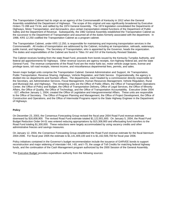The Transportation Cabinet had its origin as an agency of the Commonwealth of Kentucky in 1912 when the General Assembly established the Department of Highways. The scope of this original unit was significantly broadened by Executive Orders 72-288 and 73-54, and ratified by the 1974 General Assembly. The 1974 legislation consolidated the Departments of Highways, Motor Transportation, and Aeronautics, plus certain transportation-related functions of the Department of Public Safety and the Department of Revenue. Subsequently, the 1982 General Assembly established the Transportation Cabinet as the successor to the Department of Transportation and assumed all of the duties formerly associated with the department. In 1998, KRS 12.250 codified the Transportation Cabinet as a program cabinet.

The Transportation Cabinet, under KRS 12.250, is responsible for maintaining and improving transportation services in the Commonwealth. All modes of transportation are addressed by the Cabinet, including air transportation, railroads, waterways, public transit, and highways. The Secretary of Transportation, who is appointed by the Governor, heads the organization. The duties and responsibilities of the Cabinet are found in Titles XV and XVI of the Kentucky Revised Statutes.

The Cabinet receives funding from the state Road Fund, proceeds from bonds issued by the Kentucky Turnpike Authority, and federal aid apportionments for highways. Other revenue sources are agency receipts, non-highway federal aid, and the state General Fund. The revenue components of the Road Fund are the motor fuels tax, motor vehicle usage taxes, license and privilege taxes, toll road receipts, interest income, and miscellaneous departmental fees, permits, and sales.

Seven major budget units comprise the Transportation Cabinet: General Administration and Support, Air Transportation, Public Transportation, Revenue Sharing, Highways, Vehicle Regulation, and Debt Service. Organizationally, the agency is divided into six departments and fourteen offices. The departments, each headed by a commissioner directly responsible to the Secretary, are Administrative Services, Fiscal Management, Human Resources Management, Vehicle Regulation, Rural and Municipal Aid, and Highways. The remaining units are the Office of Public Affairs, the Office of Transportation Operations Center, the Office of Policy and Budget, the Office of Transportation Delivery, Office of Legal Services, the Office of Minority Affairs, the Office of Quality, the Office of Technology, and the Office of Transportation Accountability. Executive Order 2004 - 027, effective January 1, 2004, created the Office of Legislative and Intergovernmental Affairs. These units are responsible to the Office of Secretary. The Office of Program Planning and Management, the Office of Project Development, the Office of Construction and Operations, and the Office of Intermodal Programs report to the State Highway Engineer in the Department of Highways.

## **Policy**

On December 23, 2003, the Consensus Forecasting Group revised the fiscal year 2004 Road Fund revenue estimate downward by \$16,608,900. The revised Road Fund estimate totaled \$1,122,601,600. On January 5, 2004, the Road Fund Budget Reduction Order 04-01 was entered reducing appropriations by \$15,308,900 and effectuating fund transfers to the Road Fund totaling \$1,300,000. These reductions were largely accommodated by using vacancy credits and other administrative freezes and savings measures.

On January 12, 2004, the Consensus Forecasting Group established the Road Fund revenue estimate for the fiscal biennium 2004-2006. For fiscal year 2005 the estimate is \$1,141,409,100 and it is \$1,162,506,700 for fiscal year 2006.

Policy initiatives contained in the Governor's budget recommendation include the issuance of GARVEE bonds to support reconstruction and major widening of interstate I-64, I-65, and I-75, the usage of Toll Credits for matching federal highway funds, and the continuation of the Cash Management program authorized by the 2000 Session of the General Assembly.

The Executive Budget provides expenditure authority from the following sources: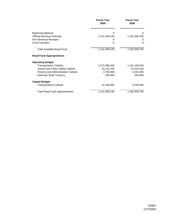|                                           | <b>Fiscal Year</b><br>2005 | <b>Fiscal Year</b><br>2006 |
|-------------------------------------------|----------------------------|----------------------------|
| <b>Beginning Balance</b>                  | $\Omega$                   | 0                          |
| <b>Official Revenue Estimate</b>          | 1,141,409,100              | 1,162,506,700              |
| Non-Revenue Receipts                      | O                          | 0                          |
| <b>Fund Transfers</b>                     | 0                          | 0                          |
| Total Available Road Fund                 | 1,141,409,100              | 1,162,506,700              |
| <b>Road Fund Appropriations</b>           |                            |                            |
| <b>Operating Budget</b>                   |                            |                            |
| <b>Transportation Cabinet</b>             | 1,071,988,400              | 1,101,159,600              |
| Justice and Public Safety Cabinet         | 52,215,700                 | 52,518,100                 |
| <b>Finance and Administration Cabinet</b> | 4,756,000                  | 4,331,000                  |
| Kentucky State Treasury                   | 250,000                    | 250,000                    |
| <b>Capital Budget</b>                     |                            |                            |
| <b>Transportation Cabinet</b>             | 12,199,000                 | 4,248,000                  |
| <b>Total Road Fund Appropriations</b>     | 1,141,409,100              | 1,162,506,700              |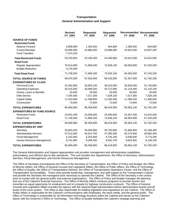## **General Administration and Support Transportation**

|                                    | <b>Revised</b><br>FY 2004 | <b>Requested</b><br>FY 2005 | <b>Requested</b><br>FY 2006 | Recommended<br>FY 2005 | Recommended<br>FY 2006 |
|------------------------------------|---------------------------|-----------------------------|-----------------------------|------------------------|------------------------|
| <b>SOURCE OF FUNDS</b>             |                           |                             |                             |                        |                        |
| <b>Restricted Funds</b>            |                           |                             |                             |                        |                        |
| <b>Balance Forward</b>             | 6,608,900                 | 1,309,400                   | 604,800                     | 1,309,400              | 604,800                |
| <b>Current Receipts</b>            | 26,006,000                | 23,886,000                  | 23,886,000                  | 23,602,600             | 23,937,200             |
| <b>Fund Transfers</b>              | $-7,374,100$              |                             |                             |                        |                        |
| <b>Total Restricted Funds</b>      | 25,240,800                | 25,195,400                  | 24,490,800                  | 24,912,000             | 24,542,000             |
| <b>Road Fund</b>                   |                           |                             |                             |                        |                        |
| <b>Regular Appropriation</b>       | 75,914,900                | 71,868,200                  | 73,928,100                  | 66,655,900             | 67,240,200             |
| <b>Budget Reduction</b>            | $-4,176,400$              |                             |                             |                        |                        |
| <b>Total Road Fund</b>             | 71,738,500                | 71,868,200                  | 73,928,100                  | 66,655,900             | 67,240,200             |
| <b>TOTAL SOURCE OF FUNDS</b>       | 96,979,300                | 97,063,600                  | 98,418,900                  | 91,567,900             | 91,782,200             |
| <b>EXPENDITURES BY CLASS</b>       |                           |                             |                             |                        |                        |
| Personnel Cost                     | 31,392,900                | 33,853,100                  | 36,016,000                  | 30,839,400             | 31,740,800             |
| <b>Operating Expenses</b>          | 45,415,600                | 43,698,200                  | 43,712,900                  | 41,118,400             | 41,125,100             |
| Grants, Loans or Benefits          | 29,000                    | 29,000                      | 29,000                      | 29,000                 | 29,000                 |
| <b>Debt Service</b>                | 7,335,500                 | 7,317,300                   | 7,328,100                   | 7,317,300              | 7,328,100              |
| <b>Capital Outlay</b>              | 11,423,900                | 11,488,600                  | 11,260,300                  | 11,586,400             | 11,486,600             |
| Construction                       | 73,000                    | 72,600                      | 72,600                      | 72,600                 | 72,600                 |
| <b>TOTAL EXPENDITURES</b>          | 95,669,900                | 96,458,800                  | 98,418,900                  | 90,963,100             | 91,782,200             |
| <b>EXPENDITURES BY FUND SOURCE</b> |                           |                             |                             |                        |                        |
| <b>Restricted Funds</b>            | 23,931,400                | 24,590,600                  | 24,490,800                  | 24,307,200             | 24,542,000             |
| Road Fund                          | 71,738,500                | 71,868,200                  | 73,928,100                  | 66,655,900             | 67,240,200             |
| <b>TOTAL EXPENDITURES</b>          | 95,669,900                | 96,458,800                  | 98,418,900                  | 90,963,100             | 91,782,200             |
| <b>EXPENDITURES BY UNIT</b>        |                           |                             |                             |                        |                        |
| Secretary                          | 33,853,200                | 35,000,800                  | 35,750,800                  | 31,984,800             | 32,188,400             |
| <b>Administrative Services</b>     | 47,012,900                | 46,914,700                  | 47,390,300                  | 45,275,900             | 45,682,400             |
| <b>Fiscal Management</b>           | 6,102,000                 | 6,253,900                   | 6,725,100                   | 5,638,500              | 5,773,300              |
| Human Resource Management          | 8,701,800                 | 8,289,400                   | 8,552,700                   | 8,063,900              | 8,138,100              |
| <b>TOTAL EXPENDITURES</b>          | 95,669,900                | 96,458,800                  | 98,418,900                  | 90,963,100             | 91,782,200             |

The General Administration and Support appropriation unit provides management and administrative capabilities, policymaking, and efficient day-to-day operations. This unit includes four departments: the Office of Secretary, Administrative Services, Fiscal Management, and Human Resources Management.

The Office of Secretary encompasses the Office of the Secretary of Transportation, the Office of Policy and Budget, the Office of Minority Affairs, the Office of General Counsel and Legislative Affairs, the Office of Public Affairs, the Office of Technology, the Office of Quality, the Office of Transportation Delivery, the Office of Transportation Operations Center, and the Office of Transportation Accountability. These units provide leadership, management, and staff support to the Transportation Cabinet and provide the Secretary the managerial tools necessary to operate the Cabinet. The Office of the Secretary is the central point of contact with the general public and external organizations. The Office of Policy and Budget manages the planning and use of the Cabinet's financial resources. The Office of Minority Affairs conducts programs to provide women and minorities an equal opportunity for employment and to compete for highway construction contracts. The Office of General Counsel and Legislative Affairs provides the agency with the required legal representation before administrative boards and all levels of the court system. This office is also responsible for drafting legislation and regulations for the Cabinet. The Office of Public Affairs is responsible for the Cabinet's communications with employees, the news media, and the general public. The Office of Technology is responsible for all information technology functions within the Cabinet and serves as the Cabinet's liaison with the Governor's Office of Technology. The Office of Quality facilitates the Cabinet's strategic planning and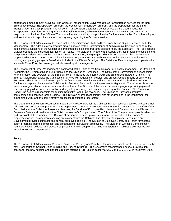performance measurement activities. The Office of Transportation Delivery facilitates transportation services for the Non-Emergency Medical Transportation program, the Vocational Rehabilitation program, and the Department for the Blind Transportation Services program. The Office of Transportation Operations Center serves as the clearinghouse for transportation operations including traffic and travel information, vehicle enforcement communications, and emergency response coordination. The Office of Transportation Accountability is to provide the Cabinet a mechanism for both employees and Kentuckians to report incidences of wrongdoing regarding the Cabinet's service.

The Department of Administrative Services includes Administration, Toll Facilities, Property and Supply Services, and Fleet Management. The Administration program area is directed by the Commissioner of Administrative Services to perform the administrative functions of the Cabinet and implement policies and programs as set forth by the Secretary. The Toll Facilities Division operates the collection facilities on toll roads. The Division of Property and Supply Services provide the supplies and equipment needed to operate the Cabinet's offices, laboratories, and garages. This Division maintains the Cabinet's real property, which totals some 1,100 buildings located throughout the state. Debt service on the new transportation office building and parking garage in Frankfort is included in the Division's budget. The Division of Fleet Management operates the statewide Motor Pool, the passenger vehicles used by all state agencies.

The Department of Fiscal Management is composed of the Office of the Commissioner of Fiscal Management, the Division of Accounts, the Division of Road Fund Audits, and the Division of Purchases. The Office of the Commissioner is responsible for the direction and oversight of the three divisions. It includes the Internal Audit Branch and External Audit Branch. The Internal Audit Branch audits the Cabinet's compliance with regulations, policies, and procedures and reports directly to the Secretary. The External Audit Branch performs financial and compliance audits of contractors doing business with the Cabinet and reports directly to the Division of Professional Services in the Department of Highways. These protocols assure maximum organizational independence for the auditors. The Division of Accounts is a service program providing general accounting, payroll, accounts receivable and payable processing, and financial reporting for the Cabinet. The Division of Road Fund Audits is responsible for auditing Kentucky Road Fund revenues. The Division of Purchases procures commodities and services for the Cabinet. This Division shares responsibility with other divisions in the Department for supporting MARS and the administrative processes relating to procurement.

The Department of Human Resources Management is responsible for the Cabinet's human resources policies and personnel utilization and development programs. The Department of Human Resources Management is composed of the Office of the Commissioner, the Division of Personnel Services, the Division of Employee Recruitment and Development, the Division of Employee Safety and Health, and the Division of Worker's Compensation. The Office of the Commissioner provides direction and oversight of the Divisions. The Division of Personnel Services provides personnel services for all the Cabinet's employees, as well as applicants seeking employment with the Cabinet. The Division of Employee Recruitment and Development provides computer and general employee training. The Division of Employee Safety and Health formulates safety programs, policies, practices, and procedures for all Cabinet employees. The Division of Worker's Compensation administers laws, policies, and procedures pursuant to KRS Chapter 342. The Transportation Cabinet is self-insured with regard to worker's compensation.

## **Policy**

The Department of Administrative Services, Division of Property and Supply, is the unit responsible for the debt service on the new Transportation Cabinet Office Building and Parking Structure. The Governor's recommended budget provides debt service for the new building and parking structure totaling \$7,317,300 in fiscal year 2005 and \$7,328,100 in fiscal year 2006.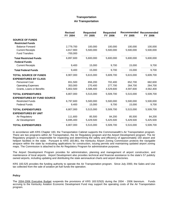## **Air Transportation Transportation**

|                                                                 | <b>Revised</b><br>FY 2004 | <b>Requested</b><br>FY 2005 | <b>Requested</b><br>FY 2006 | Recommended<br>FY 2005 | Recommended<br>FY 2006 |
|-----------------------------------------------------------------|---------------------------|-----------------------------|-----------------------------|------------------------|------------------------|
| <b>SOURCE OF FUNDS</b>                                          |                           |                             |                             |                        |                        |
| <b>Restricted Funds</b>                                         |                           |                             |                             |                        |                        |
| <b>Balance Forward</b>                                          | 2,779,700                 | 100,000                     | 100,000                     | 100,000                | 100,000                |
| <b>Current Receipts</b>                                         | 4,817,900                 | 5,500,000                   | 5,500,000                   | 5,500,000              | 5,500,000              |
| <b>Fund Transfers</b>                                           | $-700,000$                |                             |                             |                        |                        |
| <b>Total Restricted Funds</b><br><b>Federal Funds</b>           | 6,897,600                 | 5,600,000                   | 5,600,000                   | 5,600,000              | 5,600,000              |
| <b>Current Receipts</b>                                         | 9,400                     | 15,000                      | 9,700                       | 15,000                 | 9,700                  |
| <b>Total Federal Funds</b>                                      | 9,400                     | 15,000                      | 9,700                       | 15,000                 | 9,700                  |
| <b>TOTAL SOURCE OF FUNDS</b><br><b>EXPENDITURES BY CLASS</b>    | 6,907,000                 | 5,615,000                   | 5,609,700                   | 5,615,000              | 5,609,700              |
| <b>Personnel Cost</b>                                           | 651.500                   | 656,200                     | 702,400                     | 652,700                | 682,600                |
| <b>Operating Expenses</b>                                       | 353,000                   | 270.400                     | 277,700                     | 264.700                | 264,700                |
| Grants, Loans or Benefits                                       | 5,802,500                 | 4,588,400                   | 4,529,600                   | 4,597,600              | 4,562,400              |
| <b>TOTAL EXPENDITURES</b><br><b>EXPENDITURES BY FUND SOURCE</b> | 6,807,000                 | 5,515,000                   | 5,509,700                   | 5,515,000              | 5,509,700              |
| <b>Restricted Funds</b>                                         | 6,797,600                 | 5,500,000                   | 5,500,000                   | 5,500,000              | 5,500,000              |
| <b>Federal Funds</b>                                            | 9,400                     | 15,000                      | 9,700                       | 15,000                 | 9,700                  |
| <b>TOTAL EXPENDITURES</b><br><b>EXPENDITURES BY UNIT</b>        | 6,807,000                 | 5,515,000                   | 5,509,700                   | 5,515,000              | 5,509,700              |
| Air Regulatory                                                  | 111,600                   | 85,500                      | 84,200                      | 85,500                 | 84,200                 |
| Air Development                                                 | 6,695,400                 | 5,429,500                   | 5,425,500                   | 5,429,500              | 5,425,500              |
| <b>TOTAL EXPENDITURES</b>                                       | 6,807,000                 | 5,515,000                   | 5,509,700                   | 5,515,000              | 5,509,700              |

In accordance with KRS Chapter 183, the Transportation Cabinet supports the Commonwealth's Air Transportation program. There are two programs within Air Transportation, the Air Regulatory program and the Airport Development program. The Air Regulatory program is responsible for inspecting and determining the safety and efficiency of approximately 150 airport and heliport facilities in the state. Pursuant to KRS 183.861, the Kentucky Airport Zoning Commission protects the navigable airspace within the state by evaluating applications for construction, issuing permits and maintaining updated airport zoning maps. The Commission is attached to the Air Regulatory Program for administrative purposes.

The Airport Development Program provides for administration, planning and management of airport construction, and maintenance of local airports. Airport Development also provides technical and financial assistance to the state's 57 publicly owned airports, including updating and distributing the state aeronautical charts and airport directories.

KRS 183.525 provides the funding authority to operate the Air Transportation program. Since July 2000, the Sales and Use tax collected from the sale of aviation jet fuel funds the operation.

## **Policy**

The 2004-2006 Executive Budget suspends the provisions of KRS 183.525(5) during the 2004 - 2006 biennium. Funds accruing to the Kentucky Aviation Economic Development Fund may support the operating costs of the Air Transportation program.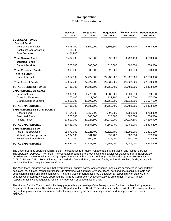## **Public Transportation Transportation**

|                                                                                   | <b>Revised</b><br>FY 2004          | <b>Requested</b><br>FY 2005 | <b>Requested</b><br>FY 2006 | <b>Recommended</b><br>FY 2005 | Recommended<br>FY 2006 |
|-----------------------------------------------------------------------------------|------------------------------------|-----------------------------|-----------------------------|-------------------------------|------------------------|
| <b>SOURCE OF FUNDS</b><br><b>General Fund</b>                                     |                                    |                             |                             |                               |                        |
| Regular Appropriation<br><b>Continuing Appropriation</b><br><b>Base Deduction</b> | 4,875,300<br>711,300<br>$-121,900$ | 6,859,900                   | 6,896,500                   | 4,753,400                     | 4,753,400              |
| <b>Total General Fund</b><br><b>Restricted Funds</b>                              | 5,464,700                          | 6,859,900                   | 6,896,500                   | 4,753,400                     | 4,753,400              |
| <b>Current Receipts</b>                                                           | 500,000                            | 500,000                     | 525,000                     | 500,000                       | 508,900                |
| <b>Total Restricted Funds</b><br><b>Federal Funds</b>                             | 500,000                            | 500,000                     | 525,000                     | 500,000                       | 508,900                |
| <b>Current Receipts</b>                                                           | 27,517,000                         | 27,227,600                  | 27,230,900                  | 27,227,600                    | 27,230,900             |
| <b>Total Federal Funds</b>                                                        | 27,517,000                         | 27,227,600                  | 27,230,900                  | 27,227,600                    | 27,230,900             |
| <b>TOTAL SOURCE OF FUNDS</b>                                                      | 33,481,700                         | 34,587,500                  | 34,652,400                  | 32,481,000                    | 32,493,200             |
| <b>EXPENDITURES BY CLASS</b><br><b>Personnel Cost</b>                             |                                    |                             |                             |                               |                        |
| <b>Operating Expenses</b>                                                         | 5,596,100<br>275,400               | 1,776,300<br>121,000        | 1,882,300<br>112,100        | 1,339,200<br>127,000          | 1,359,100<br>127,000   |
| Grants, Loans or Benefits                                                         | 27,610,200                         | 32,690,200                  | 32,658,000                  | 31,014,800                    | 31,007,100             |
| <b>TOTAL EXPENDITURES</b>                                                         | 33,481,700                         | 34,587,500                  | 34,652,400                  | 32,481,000                    | 32,493,200             |
| <b>EXPENDITURES BY FUND SOURCE</b><br><b>General Fund</b>                         | 5,464,700                          | 6,859,900                   | 6,896,500                   | 4,753,400                     | 4,753,400              |
| <b>Restricted Funds</b>                                                           | 500,000                            | 500,000                     | 525,000                     | 500,000                       | 508,900                |
| <b>Federal Funds</b>                                                              | 27,517,000                         | 27,227,600                  | 27,230,900                  | 27,227,600                    | 27,230,900             |
| <b>TOTAL EXPENDITURES</b><br><b>EXPENDITURES BY UNIT</b>                          | 33,481,700                         | 34,587,500                  | 34,652,400                  | 32,481,000                    | 32,493,200             |
| <b>Public Transportation</b>                                                      | 28,077,600                         | 33,126,400                  | 33,129,700                  | 31,398,200                    | 31,401,500             |
| Multi-Modal Transportation                                                        | 4,904,100                          | 961,100                     | 997,700                     | 582,800                       | 582,800                |
| Human Services Delivery                                                           | 500,000                            | 500,000                     | 525,000                     | 500,000                       | 508,900                |
| <b>TOTAL EXPENDITURES</b>                                                         | 33,481,700                         | 34,587,500                  | 34,652,400                  | 32,481,000                    | 32,493,200             |

The three programs operating within Public Transportation are Public Transportation, Multi-Modal, and Human Services Transportation Delivery. The Public Transportation program offers technical and financial assistance to public transportation providers and the Metropolitan Planning Organizations throughout the state through the federal programs: Sections 5303, 5309, 5310, and 5311. Federal funds, combined with General Fund, restricted funds, and local matching funds, allow public transit authorities to acquire buses and vans.

The Multi-Modal program assures that environmental, energy, safety, and economic impacts are considered in transportation decisions. Multi-Modal responsibilities include statewide rail planning, ferry operations, park and ride planning, bicycle and pedestrian planning and implementation. The Multi-Modal program acquired the additional responsibility of statewide rail activities when Kentucky voters abolished the Railroad Commission by a constitutional amendment in 2000. These responsibilities include regulating rail carriers operating on 2,800 miles of track.

The Human Service Transportation Delivery program is a partnership of the Transportation Cabinet, the Medicaid program, Department of Vocational Rehabilitation, and Department for the Blind. This partnership is the result of an Empower Kentucky project that provides non-emergency medical transportation; jobs access transportation, and transportation to day care facilities.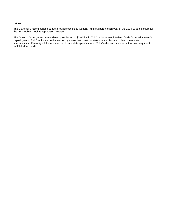#### **Policy**

The Governor's recommended budget provides continued General Fund support in each year of the 2004-2006 biennium for the non-public school transportation program.

The Governor's budget recommendation provides up to \$3 million in Toll Credits to match federal funds for transit system's capital grants. Toll Credits are credits earned by states that construct state roads with state dollars to interstate specifications. Kentucky's toll roads are built to interstate specifications. Toll Credits substitute for actual cash required to match federal funds.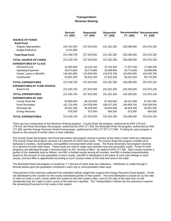## **Revenue Sharing Transportation**

|                                    | <b>Revised</b><br>FY 2004 | Requested<br>FY 2005 | <b>Requested</b><br>FY 2006 | Recommended<br>FY 2005 | Recommended<br>FY 2006 |
|------------------------------------|---------------------------|----------------------|-----------------------------|------------------------|------------------------|
| <b>SOURCE OF FUNDS</b>             |                           |                      |                             |                        |                        |
| <b>Road Fund</b>                   |                           |                      |                             |                        |                        |
| Regular Appropriation              | 224,762,500               | 227,623,500          | 231,301,300                 | 228,298,300            | 231,976,100            |
| <b>Budget Reduction</b>            | $-3,231,800$              |                      |                             |                        |                        |
| <b>Total Road Fund</b>             | 221,530,700               | 227,623,500          | 231,301,300                 | 228,298,300            | 231,976,100            |
| <b>TOTAL SOURCE OF FUNDS</b>       | 221,530,700               | 227,623,500          | 231,301,300                 | 228,298,300            | 231,976,100            |
| <b>EXPENDITURES BY CLASS</b>       |                           |                      |                             |                        |                        |
| <b>Personnel Cost</b>              | 16,593,900                | 18,242,100           | 19.703.300                  | 17.037.500             | 17,058,200             |
| <b>Operating Expenses</b>          | 30,673,800                | 29,774,800           | 29,099,900                  | 29,774,800             | 29,099,900             |
| Grants, Loans or Benefits          | 119,461,800               | 122,690,500          | 124,675,700                 | 123,054,500            | 125,039,700            |
| Construction                       | 54,801,200                | 56,916,100           | 57,822,400                  | 58,431,500             | 60,778,300             |
| <b>TOTAL EXPENDITURES</b>          | 221,530,700               | 227,623,500          | 231.301.300                 | 228.298.300            | 231,976,100            |
| <b>EXPENDITURES BY FUND SOURCE</b> |                           |                      |                             |                        |                        |
| Road Fund                          | 221,530,700               | 227,623,500          | 231,301,300                 | 228,298,300            | 231,976,100            |
| <b>TOTAL EXPENDITURES</b>          | 221,530,700               | 227,623,500          | 231,301,300                 | 228,298,300            | 231,976,100            |
| <b>EXPENDITURES BY UNIT</b>        |                           |                      |                             |                        |                        |
| County Road Aid                    | 83,850,500                | 86,165,600           | 87,565,600                  | 86,421,800             | 87,821,800             |
| <b>Rural Secondary</b>             | 101,720,400               | 104,528,900          | 106,227,200                 | 104,839,700            | 106,538,000            |
| Municipal Aid                      | 35,281,300                | 36,255,500           | 36,844,500                  | 36,363,300             | 36,952,300             |
| <b>Energy Recovery</b>             | 678,500                   | 673,500              | 664,000                     | 673,500                | 664,000                |
| <b>TOTAL EXPENDITURES</b>          | 221,530,700               | 227,623,500          | 231,301,300                 | 228,298,300            | 231,976,100            |

There are four components of the Revenue Sharing program: County Road Aid program, authorized by KRS 179.410- 179.415; the Rural Secondary Aid program, authorized by KRS 177.320; the Municipal Road Aid program, authorized by KRS 177.365; and the Energy Recovery Road Fund program, authorized by KRS 177.977-177.990. Funding for each program is based on the amount of certain taxes or fees collected.

The County Road Aid program and Rural Secondary Aid program receive a portion of the state's motor fuels tax collections. The County Road Aid program receives 18.3 percent of motor fuels taxes. The County Road Aid program includes all of Kentucky's counties, municipalities, and qualified unincorporated urban areas. The Rural Secondary Aid program receives 22.2 percent of motor fuels taxes. These funds are used to repair and maintain rural and secondary roads. Funds for both programs are allocated through a formula known as the "formula of fifths," as stated in KRS 177.360. Each county receives a portion of the statewide total as follows: one-fifth is divided evenly among all counties, one-fifth is divided proportionately based on the amount of rural population in each county, one-fifth is distributed on the basis of rural road mileage in each county, and two-fifths is apportioned according to each county's share of the total land area in the state.

The Municipal Road Aid program is funded by 7.7 percent of motor fuels tax collections. Distribution is made through a formula based upon the population contained in each city or unincorporated urban area.

Forty percent of the revenues collected from extended vehicle weight fees support the Energy Recovery Road System. Funds are distributed to the counties for the county-maintained portion of that system. The fund distribution is based on (1) the ratio of miles of roads in each county within this system to the total system miles, and (2) the ratio of the total tons of coal transported over the roads in each county to the total tons reported. The Transportation Cabinet has the authority to expend the remaining 60 percent on the roads in the system.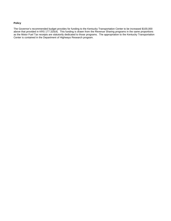#### **Policy**

The Governor's recommended budget provides for funding to the Kentucky Transportation Center to be increased \$100,000 above that provided in KRS 177.320(4). This funding is drawn from the Revenue Sharing programs in the same proportions as the Motor Fuel Tax receipts are statutorily dedicated to those programs. The appropriation to the Kentucky Transportation Center is contained in the Department of Highways Research program.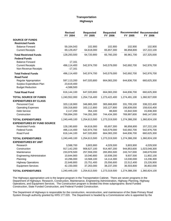## **Highways Transportation**

|                                    | <b>Revised</b><br>FY 2004 | Requested<br>FY 2005 | <b>Requested</b><br>FY 2006 | FY 2005       | Recommended Recommended<br>FY 2006 |
|------------------------------------|---------------------------|----------------------|-----------------------------|---------------|------------------------------------|
| <b>SOURCE OF FUNDS</b>             |                           |                      |                             |               |                                    |
| <b>Restricted Funds</b>            |                           |                      |                             |               |                                    |
| <b>Balance Forward</b>             | 59,164,043                | 102,900              | 102,900                     | 102,900       | 102,900                            |
| <b>Current Receipts</b>            | 69,129,457                | 64,618,000           | 65,657,300                  | 86,858,800    | 157,222,100                        |
| <b>Total Restricted Funds</b>      | 128,293,500               | 64,720,900           | 65,760,200                  | 86,961,700    | 157,325,000                        |
| <b>Federal Funds</b>               |                           |                      |                             |               |                                    |
| <b>Balance Forward</b>             | 17,161                    |                      |                             |               |                                    |
| <b>Current Receipts</b>            | 496,114,400               | 542,974,700          | 543,579,000                 | 542,692,700   | 542,976,700                        |
| Non-Revenue Receipts               | $-17,161$                 |                      |                             |               |                                    |
| <b>Total Federal Funds</b>         | 496,114,400               | 542,974,700          | 543,579,000                 | 542,692,700   | 542,976,700                        |
| <b>Road Fund</b>                   |                           |                      |                             |               |                                    |
| Regular Appropriation              | 597,113,200               | 647,020,800          | 664,083,200                 | 644,836,700   | 660,625,300                        |
| Surplus Expenditure Plan           | 23,619,400                |                      |                             |               |                                    |
| <b>Budget Reduction</b>            | $-4,588,500$              |                      |                             |               |                                    |
| <b>Total Road Fund</b>             | 616,144,100               | 647,020,800          | 664,083,200                 | 644,836,700   | 660,625,300                        |
| <b>TOTAL SOURCE OF FUNDS</b>       | 1,240,552,000             | 1,254,716,400        | 1,273,422,400               | 1,274,491,100 | 1,360,927,000                      |
| <b>EXPENDITURES BY CLASS</b>       |                           |                      |                             |               |                                    |
| <b>Personnel Cost</b>              | 320,118,900               | 346,865,300          | 365,668,800                 | 331,709,100   | 338,222,400                        |
| <b>Operating Expenses</b>          | 159,318,800               | 163,112,800          | 163,127,800                 | 156,839,000   | 158,616,400                        |
| <b>Debt Service</b>                | 2,117,200                 | 354,100              | 88,600                      | 15,842,500    | 15,838,300                         |
| Construction                       | 758,894,200               | 744,281,300          | 744,434,300                 | 769,997,600   | 848,147,000                        |
| <b>TOTAL EXPENDITURES</b>          | 1,240,449,100             | 1,254,613,500        | 1,273,319,500               | 1,274,388,200 | 1,360,824,100                      |
| <b>EXPENDITURES BY FUND SOURCE</b> |                           |                      |                             |               |                                    |
| <b>Restricted Funds</b>            | 128,190,600               | 64,618,000           | 65,657,300                  | 86,858,800    | 157,222,100                        |
| <b>Federal Funds</b>               | 496,114,400               | 542,974,700          | 543,579,000                 | 542,692,700   | 542,976,700                        |
| Road Fund                          | 616,144,100               | 647,020,800          | 664,083,200                 | 644,836,700   | 660,625,300                        |
| <b>TOTAL EXPENDITURES</b>          | 1,240,449,100             | 1,254,613,500        | 1,273,319,500               | 1,274,388,200 | 1,360,824,100                      |
| <b>EXPENDITURES BY UNIT</b>        |                           |                      |                             |               |                                    |
| Research                           | 3,588,700                 | 3,803,900            | 4,029,500                   | 3,803,900     | 4,029,500                          |
| Construction                       | 917,142,200               | 908,627,100          | 914,487,200                 | 944,853,600   | 1,023,048,300                      |
| Maintenance                        | 233,978,500               | 257,559,200          | 265,955,500                 | 243,747,000   | 248,679,000                        |
| <b>Engineering Administration</b>  | 10,644,900                | 10,040,800           | 10,939,200                  | 9,937,500     | 11,802,100                         |
| Planning                           | 10,296,000                | 13,568,100           | 14,114,300                  | 13,030,000    | 13,236,300                         |
| <b>Highway Operations</b>          | 22,648,800                | 23,751,400           | 25,556,600                  | 22,512,400    | 23,226,900                         |
| <b>Equipment Services</b>          | 42,150,000                | 37,263,000           | 38,237,200                  | 36,503,800    | 36,802,000                         |
| <b>TOTAL EXPENDITURES</b>          | 1,240,449,100             | 1,254,613,500        | 1,273,319,500               | 1,274,388,200 | 1,360,824,100                      |

The Highways appropriation unit is the largest program in the Transportation Cabinet. There are seven programs in the Department of Highways: Research, Construction, Maintenance, Engineering Administration, Highway Planning, Highway Operations, and Equipment Services. The Construction program is divided into three subprograms: Bond Funded Construction, State Funded Construction, and Federal Funded Construction.

The Department of Highways is responsible for the construction, reconstruction, and maintenance of the State Primary Road System through authority granted by KRS 177.020. The Department is headed by a Commissioner who is appointed by the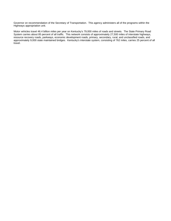Governor on recommendation of the Secretary of Transportation. This agency administers all of the programs within the Highways appropriation unit.

Motor vehicles travel 46.4 billion miles per year on Kentucky's 79,000 miles of roads and streets. The State Primary Road System carries about 85 percent of all traffic. This network consists of approximately 27,500 miles of interstate highways, resource recovery roads, parkways, economic development roads, primary, secondary, rural, and unclassified roads, and approximately 9,000 state maintained bridges. Kentucky's interstate system, consisting of 762 miles, carries 25 percent of all travel.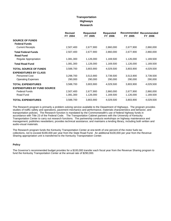## **Highways Research Transportation**

|                                    | <b>Revised</b><br>FY 2004 | <b>Requested</b><br>FY 2005 | <b>Requested</b><br>FY 2006 | <b>Recommended</b><br>FY 2005 | Recommended<br>FY 2006 |
|------------------------------------|---------------------------|-----------------------------|-----------------------------|-------------------------------|------------------------|
| <b>SOURCE OF FUNDS</b>             |                           |                             |                             |                               |                        |
| <b>Federal Funds</b>               |                           |                             |                             |                               |                        |
| <b>Current Receipts</b>            | 2,507,400                 | 2,677,900                   | 2,860,000                   | 2,677,900                     | 2,860,000              |
| <b>Total Federal Funds</b>         | 2,507,400                 | 2,677,900                   | 2,860,000                   | 2,677,900                     | 2,860,000              |
| <b>Road Fund</b>                   |                           |                             |                             |                               |                        |
| Regular Appropriation              | 1,081,300                 | 1,126,000                   | 1,169,500                   | 1,126,000                     | 1,169,500              |
| <b>Total Road Fund</b>             | 1,081,300                 | 1,126,000                   | 1,169,500                   | 1,126,000                     | 1,169,500              |
| <b>TOTAL SOURCE OF FUNDS</b>       | 3,588,700                 | 3,803,900                   | 4,029,500                   | 3,803,900                     | 4,029,500              |
| <b>EXPENDITURES BY CLASS</b>       |                           |                             |                             |                               |                        |
| <b>Personnel Cost</b>              | 3,298,700                 | 3,513,900                   | 3,739,500                   | 3,513,900                     | 3,739,500              |
| <b>Operating Expenses</b>          | 290,000                   | 290,000                     | 290,000                     | 290,000                       | 290,000                |
| <b>TOTAL EXPENDITURES</b>          | 3,588,700                 | 3,803,900                   | 4,029,500                   | 3,803,900                     | 4,029,500              |
| <b>EXPENDITURES BY FUND SOURCE</b> |                           |                             |                             |                               |                        |
| <b>Federal Funds</b>               | 2,507,400                 | 2,677,900                   | 2,860,000                   | 2,677,900                     | 2,860,000              |
| Road Fund                          | 1,081,300                 | 1,126,000                   | 1,169,500                   | 1,126,000                     | 1,169,500              |
| <b>TOTAL EXPENDITURES</b>          | 3,588,700                 | 3,803,900                   | 4,029,500                   | 3,803,900                     | 4,029,500              |

The Research program is primarily a problem-solving service available to the Department of Highways. The program provides studies of traffic safety and operations, pavement mechanics and performance, materials characteristics and behavior, and transportation policies. The Research function is mandated by the Commonwealth's use of federal highway funds in accordance with Title 23 of the Federal Code. The Transportation Cabinet partners with the University of Kentucky Transportation Center to carry out research functions. The partnership conducts workshops on highway maintenance and management; publishes newsletters; provides technical assistance; and maintains a lending library, including both written and audio-visual materials.

The Research program funds the Kentucky Transportation Center at one-tenth of one percent of the motor fuels tax collections, not to exceed \$190,000 per year from the State Road Fund. An additional \$100,000 per year from the Revenue Sharing appropriation unit is transferred to the Kentucky Transportation Center.

#### **Policy**

The Governor's recommended budget provides for a \$100,000 transfer each fiscal year from the Revenue Sharing program to fund the Kentucky Transportation Center at the annual rate of \$290,000.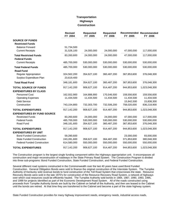## **Highways Construction Transportation**

|                                                | <b>Revised</b><br>FY 2004 | Requested<br>FY 2005 | <b>Requested</b><br>FY 2006 | Recommended<br>FY 2005 | Recommended<br>FY 2006 |
|------------------------------------------------|---------------------------|----------------------|-----------------------------|------------------------|------------------------|
| <b>SOURCE OF FUNDS</b>                         |                           |                      |                             |                        |                        |
| <b>Restricted Funds</b>                        |                           |                      |                             |                        |                        |
| <b>Balance Forward</b>                         | 51,734,500                |                      |                             |                        |                        |
| <b>Current Receipts</b>                        | 31,526,100                | 24,000,000           | 24,000,000                  | 47,000,000             | 117,000,000            |
| <b>Total Restricted Funds</b>                  | 83,260,600                | 24,000,000           | 24,000,000                  | 47,000,000             | 117,000,000            |
| <b>Federal Funds</b>                           |                           |                      |                             |                        |                        |
| <b>Current Receipts</b>                        | 485,700,000               | 530,000,000          | 530,000,000                 | 530,000,000            | 530,000,000            |
| <b>Total Federal Funds</b><br><b>Road Fund</b> | 485,700,000               | 530,000,000          | 530,000,000                 | 530,000,000            | 530,000,000            |
| Regular Appropriation                          | 324,562,200               | 354,627,100          | 360,487,200                 | 367,853,600            | 376,048,300            |
| Surplus Expenditure Plan                       | 23,619,400                |                      |                             |                        |                        |
| <b>Total Road Fund</b>                         | 348,181,600               | 354,627,100          | 360,487,200                 | 367,853,600            | 376,048,300            |
| <b>TOTAL SOURCE OF FUNDS</b>                   | 917,142,200               | 908,627,100          | 914,487,200                 | 944,853,600            | 1,023,048,300          |
| <b>EXPENDITURES BY CLASS</b>                   |                           |                      |                             |                        |                        |
| <b>Personnel Cost</b>                          | 162,552,900               | 164,888,900          | 170,546,500                 | 159,556,600            | 159,556,600            |
| <b>Operating Expenses</b>                      | 11,434,500                | 11,434,500           | 11,434,500                  | 11,434,500             | 11,434,500             |
| <b>Debt Service</b>                            |                           |                      |                             | 15,842,500             | 15,838,300             |
| Construction                                   | 743,154,800               | 732,303,700          | 732,506,200                 | 758,020,000            | 836,218,900            |
| <b>TOTAL EXPENDITURES</b>                      | 917,142,200               | 908,627,100          | 914,487,200                 | 944,853,600            | 1,023,048,300          |
| <b>EXPENDITURES BY FUND SOURCE</b>             |                           |                      |                             |                        |                        |
| <b>Restricted Funds</b>                        | 83,260,600                | 24,000,000           | 24,000,000                  | 47,000,000             | 117,000,000            |
| <b>Federal Funds</b>                           | 485,700,000               | 530,000,000          | 530,000,000                 | 530,000,000            | 530,000,000            |
| Road Fund                                      | 348,181,600               | 354,627,100          | 360,487,200                 | 367,853,600            | 376,048,300            |
| <b>TOTAL EXPENDITURES</b>                      | 917,142,200               | 908,627,100          | 914,487,200                 | 944,853,600            | 1,023,048,300          |
| <b>EXPENDITURES BY UNIT</b>                    |                           |                      |                             |                        |                        |
| <b>Bond Funded Construction</b>                | 59,280,600                |                      |                             | 23,000,000             | 93,000,000             |
| <b>State Funded Construction</b>               | 243,281,600               | 358,627,100          | 364,487,200                 | 371,853,600            | 380,048,300            |
| <b>Federal Funded Construction</b>             | 614,580,000               | 550,000,000          | 550,000,000                 | 550,000,000            | 550,000,000            |
| <b>TOTAL EXPENDITURES</b>                      | 917,142,200               | 908,627,100          | 914,487,200                 | 944,853,600            | 1,023,048,300          |

The Construction program is the largest single funding component within the Highways appropriation unit. It encompasses all construction and major reconstruction of roadways in the State Primary Road System. The Construction Program is divided into three sub-programs: Bond Funded Construction, State Funded Construction, and Federal Funded Construction.

Several different road systems constructed in the Commonwealth over the last 40 years have used Bond Funded Construction. General Obligation Bonds were sold to finance the original construction of the Interstate System. The Turnpike Authority of Kentucky sold revenue bonds to fund construction of the Toll Road System that crisscrosses the state. Resource Recovery Bonds were sold in the late 1970's for construction of the Resource Recovery Road System, a network of highways over which coal resources could be efficiently hauled. The Turnpike Authority sold bonds in 1984, 1987, 1990, 1993, 1995, and 1999 for projects identified as part of the Economic Development Road System. All of the roads constructed using proceeds from Turnpike Authority bonds are built by the Cabinet on behalf of the Authority, and then are leased to the Cabinet until the bonds are retired. At that time they are transferred to the Cabinet and become a part of the state highway system.

State Funded Construction provides for many highway improvement needs, emergency needs, industrial access roads,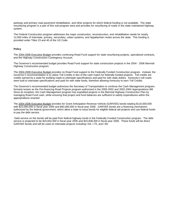parkway and primary road pavement rehabilitation, and other projects for which federal funding is not available. The state resurfacing program is a part of this sub-program area and provides for resurfacing of roads in the state maintained highway system.

The Federal Construction program addresses the major construction, reconstruction, and rehabilitation needs for nearly 12,000 miles of Interstate, primary, secondary, urban systems, and Appalachian routes across the state. This funding is provided under Titles 23 and 40 of the US Code.

#### **Policy**

The 2004-2006 Executive Budget provides continuing Road Fund support for state resurfacing projects, specialized contracts, and the Highway Construction Contingency Account.

The Governor's recommended budget provides Road Fund support for state construction projects in the 2004 - 2006 Biennial Highway Construction program.

The 2004-2006 Executive Budget provides no Road Fund support to the Federally Funded Construction program. Instead, the Governor's recommendation is to utilize Toll Credits in lieu of the cash match for federally funded projects. Toll credits are credits earned by a state for building roads to interstate specifications and paid for with state dollars. Kentucky's toll roads were built to interstate specifications and paid for with state funds, therefore allowing Kentucky to earn Toll Credits.

The Governor's recommended budget authorizes the Secretary of Transportation to continue the Cash Management program, formerly known as the Pre-financing Road Projects program authorized in the 2000-2002 and 2002-2004 Appropriations Bill. Since its inception, the Cash Management program has expedited projects in the Biennial Highway Construction Plan by managing Road Fund cash, while ensuring that project and fund balances are sufficient to satisfy expenditures within the appropriations enacted.

The 2004-2006 Executive Budget provides for Grant Anticipation Revenue Vehicle (GARVEE) bonds totaling \$116,000,000 with \$23,000,000 in fiscal year 2005 and \$93,000,000 in fiscal year 2006. GARVEE bonds are a financing mechanism authorized by the federal government, which allow a state to issue bonds for eligible federal aid projects and use federal funds to pay the debt service.

 Debt service on the bonds will be paid from federal highway funds in the Federally Funded Construction program. The debt service is projected to be \$15,842,500 in fiscal year 2005 and \$15,838,300 in fiscal year 2006. These funds will be direct GARVEE bonds and will be used on interstate projects including I-64, I-75, and I-65.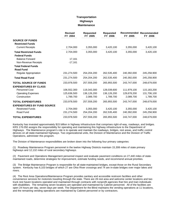## **Highways Maintenance Transportation**

|                                    | <b>Revised</b><br>FY 2004 | <b>Requested</b><br>FY 2005 | <b>Requested</b><br>FY 2006 | Recommended<br>FY 2005 | Recommended<br>FY 2006 |
|------------------------------------|---------------------------|-----------------------------|-----------------------------|------------------------|------------------------|
| <b>SOURCE OF FUNDS</b>             |                           |                             |                             |                        |                        |
| <b>Restricted Funds</b>            |                           |                             |                             |                        |                        |
| <b>Current Receipts</b>            | 2,704,000                 | 3,355,000                   | 3,420,100                   | 3,355,000              | 3,420,100              |
| <b>Total Restricted Funds</b>      | 2,704,000                 | 3,355,000                   | 3,420,100                   | 3,355,000              | 3,420,100              |
| <b>Federal Funds</b>               |                           |                             |                             |                        |                        |
| <b>Balance Forward</b>             | 17,161                    |                             |                             |                        |                        |
| Non-Revenue Receipts               | $-17,161$                 |                             |                             |                        |                        |
| <b>Total Federal Funds</b>         |                           |                             |                             |                        |                        |
| <b>Road Fund</b>                   |                           |                             |                             |                        |                        |
| Regular Appropriation              | 231,274,500               | 254,204,200                 | 262,535,400                 | 240,392,000            | 245,258,900            |
| <b>Total Road Fund</b>             | 231,274,500               | 254,204,200                 | 262,535,400                 | 240,392,000            | 245,258,900            |
| <b>TOTAL SOURCE OF FUNDS</b>       | 233,978,500               | 257,559,200                 | 265,955,500                 | 243,747,000            | 248,679,000            |
| <b>EXPENDITURES BY CLASS</b>       |                           |                             |                             |                        |                        |
| <b>Personnel Cost</b>              | 106,552,300               | 119,343,300                 | 128,039,600                 | 111,979,100            | 115,183,200            |
| <b>Operating Expenses</b>          | 125,636,500               | 136,126,200                 | 136,126,200                 | 129,678,200            | 131,706,100            |
| Construction                       | 1,789,700                 | 2,089,700                   | 1,789,700                   | 2,089,700              | 1,789,700              |
| <b>TOTAL EXPENDITURES</b>          | 233,978,500               | 257,559,200                 | 265,955,500                 | 243,747,000            | 248,679,000            |
| <b>EXPENDITURES BY FUND SOURCE</b> |                           |                             |                             |                        |                        |
| <b>Restricted Funds</b>            | 2,704,000                 | 3,355,000                   | 3,420,100                   | 3,355,000              | 3,420,100              |
| Road Fund                          | 231,274,500               | 254,204,200                 | 262,535,400                 | 240,392,000            | 245,258,900            |
| <b>TOTAL EXPENDITURES</b>          | 233,978,500               | 257,559,200                 | 265,955,500                 | 243,747,000            | 248,679,000            |

Kentucky has invested approximately \$15 billion in highway infrastructure that comprises right-of-way, roadways, and bridges. KRS 176.050 assigns the responsibility for operating and maintaining this highway infrastructure to the Department of Highways. The Maintenance program's role is to operate and maintain the roadways, bridges, rest areas, and traffic control devices on all state-maintained highways. Two organizational units, the Division of Maintenance and the Division of Traffic Operations, administer this program.

The Division of Maintenance responsibilities are broken down into the following four primary categories:

(1) Roadway Maintenance Program personnel in the twelve Highway Districts maintain 15,308 miles of state primary highways and 12,132 miles of rural secondary highways.

(2) Pavement and Operations Management personnel inspect and evaluate pavement conditions on 27,440 miles of statemaintained roads, determine strategies for improvement, estimate funding needs, and recommend annual priorities.

(3) The Bridge Maintenance Program is responsible for all state-maintained bridges, except those on the Rural Secondary system. Kentucky has 6,103 bridges of which 27 are Ohio River crossings and 74 are in-state bridges over major lakes and rivers.

(4) The Rest Area Operations/Maintenance Program provides sanitary and accessible restroom facilities and other convenience services for motorists traveling through the state. There are 28 rest area and welcome center locations and two truck rest haven locations operated and maintained through contracts with nonprofit agencies that hire and train individuals with disabilities. The remaining seven locations are operated and maintained by Cabinet personnel. All of the facilities are open 24 hours per day, seven days per week. The Department for the Blind maintains the vending operations at 11 locations, and the remaining vending operations are maintained by Cabinet personnel or by contractors.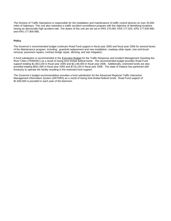The Division of Traffic Operations is responsible for the installation and maintenance of traffic control devices on over 25,000 miles of highways. This unit also maintains a traffic accident surveillance program with the objective of identifying locations having an abnormally high accident rate. The duties of this unit are set out in KRS 176.050, KRS 177.020, KRS 177.830-890, and KRS 177.905-990**.** 

#### **Policy**

The Governor's recommended budget continues Road Fund support in fiscal year 2005 and fiscal year 2006 for several facets of the Maintenance program, including: guardrail replacement and new installation, roadway slide repair, tree and brush removal, pavement repairs, contract bridge repair, ditching, and site mitigation.

A fund substitution is recommended in the Executive Budget for the Traffic Response and Incident Management Assisting the River Cities (TRIMARC) as a result of losing time limited federal funds. The recommended budget provides Road Fund support totaling \$1,953,100 in fiscal year 2005 and \$2,148,400 in fiscal year 2006. Additionally, restricted funds are also provided totaling \$651,000 in fiscal year 2005 and \$716,100 in fiscal year 2006. The state of Indiana has partnered with Kentucky to operate the facility resulting in the restricted fund support.

The Governor's budget recommendation provides a fund substitution for the Advanced Regional Traffic Interactive Management Information System (ARTIMIS) as a result of losing time limited federal funds. Road Fund support of \$1,500,000 is provided in each year of the biennium.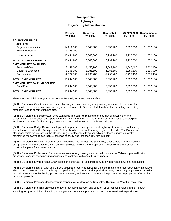## **Highways Engineering Administration Transportation**

|                                                 | <b>Revised</b><br>FY 2004 | <b>Requested</b><br>FY 2005 | <b>Requested</b><br>FY 2006 | Recommended<br>FY 2005 | Recommended<br>FY 2006 |
|-------------------------------------------------|---------------------------|-----------------------------|-----------------------------|------------------------|------------------------|
| <b>SOURCE OF FUNDS</b>                          |                           |                             |                             |                        |                        |
| <b>Road Fund</b>                                |                           |                             |                             |                        |                        |
| Regular Appropriation                           | 14,011,100                | 10,040,800                  | 10,939,200                  | 9,937,500              | 11,802,100             |
| <b>Budget Reduction</b>                         | $-3,366,200$              |                             |                             |                        |                        |
| <b>Total Road Fund</b>                          | 10,644,900                | 10,040,800                  | 10,939,200                  | 9,937,500              | 11,802,100             |
| <b>TOTAL SOURCE OF FUNDS</b>                    | 10,644,900                | 10,040,800                  | 10,939,200                  | 9,937,500              | 11,802,100             |
| <b>EXPENDITURES BY CLASS</b>                    |                           |                             |                             |                        |                        |
| Personnel Cost                                  | 7,141,300                 | 11,450,700                  | 12,349,100                  | 11,347,400             | 13,212,000             |
| <b>Operating Expenses</b>                       | 6,291,300                 | 1,385,500                   | 1,385,500                   | 1,385,500              | 1,385,500              |
| Construction                                    | $-2,787,700$              | $-2,795,400$                | $-2,795,400$                | $-2,795,400$           | $-2,795,400$           |
| <b>TOTAL EXPENDITURES</b>                       | 10,644,900                | 10,040,800                  | 10,939,200                  | 9,937,500              | 11,802,100             |
| <b>EXPENDITURES BY FUND SOURCE</b><br>Road Fund | 10,644,900                | 10,040,800                  | 10,939,200                  | 9,937,500              | 11,802,100             |
| <b>TOTAL EXPENDITURES</b>                       | 10,644,900                | 10,040,800                  | 10,939,200                  | 9,937,500              | 11,802,100             |

There are nine divisions organized under the State Highway Engineer's Office:

(1) The Division of Construction supervises highway construction projects, providing administrative support for central office and district construction projects. It also assists Division of Materials staff in sampling and testing materials used in construction projects.

(2) The Division of Materials establishes standards and controls relating to the quality of materials for the construction, maintenance, and operation of highways and bridges. The Division performs soil and geological engineering required for the design, construction, and maintenance of roads and bridges.

(3) The Division of Bridge Design develops and prepares contract plans for all highway structures, as well as any special structures that the Transportation Cabinet builds as part of Kentucky's system of roads. The Division is also responsible for overseeing the County Bridge Replacement Program, which replaces bridges on locally maintained roadways of less than 13-ton load capacity and less than 100 feet in length.

(4) The Division of Highway Design, in conjunction with the District Design Offices, is responsible for the required design activities of the Cabinet's Six-Year Plan projects, including the preparation, assembly and reproduction of construction plans for a project's award.

(5) The Division of Professional Services advertises for engineering services, administers the Cabinet's prequalification process for consultant engineering services, and contracts with consulting engineers.

(6) The Division of Environmental Analysis ensures the Cabinet is compliant with environmental laws and regulations.

(7) The Division of Right of Way and Utilities acquires property required for the construction and reconstruction of highways. This function involves obtaining title reports, performing appraisals and appraisal reviews, conducting negotiations, providing relocation assistance, facilitating property management, and initiating condemnation procedures on properties affected by proposed projects.

(8) The Division of Program Management is responsible for developing Kentucky's Biennial Six-Year Highway Plan.

(9) The Division of Planning provides the day-to-day administration and support for personnel involved in the Highway Planning Program activities, including management, clerical support, training, and other overhead expenditures.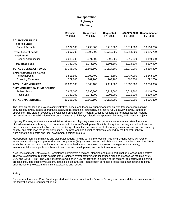## **Highways Planning Transportation**

|                                    | <b>Revised</b><br>FY 2004 | <b>Requested</b><br>FY 2005 | <b>Requested</b><br>FY 2006 | Recommended<br>FY 2005 | Recommended<br>FY 2006 |
|------------------------------------|---------------------------|-----------------------------|-----------------------------|------------------------|------------------------|
| <b>SOURCE OF FUNDS</b>             |                           |                             |                             |                        |                        |
| <b>Federal Funds</b>               |                           |                             |                             |                        |                        |
| <b>Current Receipts</b>            | 7,907,000                 | 10,296,800                  | 10,719,000                  | 10,014,800             | 10,116,700             |
| <b>Total Federal Funds</b>         | 7,907,000                 | 10,296,800                  | 10,719,000                  | 10,014,800             | 10,116,700             |
| <b>Road Fund</b>                   |                           |                             |                             |                        |                        |
| Regular Appropriation              | 2,389,000                 | 3,271,300                   | 3,395,300                   | 3,015,200              | 3,119,600              |
| <b>Total Road Fund</b>             | 2,389,000                 | 3,271,300                   | 3,395,300                   | 3,015,200              | 3,119,600              |
| <b>TOTAL SOURCE OF FUNDS</b>       | 10,296,000                | 13,568,100                  | 14,114,300                  | 13,030,000             | 13,236,300             |
| <b>EXPENDITURES BY CLASS</b>       |                           |                             |                             |                        |                        |
| Personnel Cost                     | 9,516,800                 | 12,800,400                  | 13,346,600                  | 12,437,300             | 12,643,600             |
| <b>Operating Expenses</b>          | 779,200                   | 767,700                     | 767,700                     | 592,700                | 592,700                |
| <b>TOTAL EXPENDITURES</b>          | 10,296,000                | 13,568,100                  | 14,114,300                  | 13,030,000             | 13,236,300             |
| <b>EXPENDITURES BY FUND SOURCE</b> |                           |                             |                             |                        |                        |
| <b>Federal Funds</b>               | 7,907,000                 | 10,296,800                  | 10,719,000                  | 10,014,800             | 10,116,700             |
| Road Fund                          | 2,389,000                 | 3,271,300                   | 3,395,300                   | 3,015,200              | 3,119,600              |
| <b>TOTAL EXPENDITURES</b>          | 10,296,000                | 13,568,100                  | 14,114,300                  | 13,030,000             | 13,236,300             |

The Division of Planning provides administrative, clerical and technical support and implements transportation planning activities statewide. It also coordinates statewide rail planning, carpooling, alternative fuel, bikeway, pedway, and ferry operations. The division oversees the Cabinet's Enhancement Program, which is responsible for beautification, historic preservation, and rehabilitation of the Commonwealth's highways, historic transportation facilities, and bikeway projects.

Highway Planning evaluates state-maintained streets and highways to ensure that available federal and state funds are utilized to maximum efficiency. In cooperation with the Area Development Districts, it acquires roadway centerline locations and associated data for all public roads in Kentucky. It maintains an inventory of all roadway classifications and prepares city, county, and state road maps for distribution. The program also furnishes statistics required by the Federal Highway Administration and state and local government decision-makers.

Metropolitan Planning maintains and distributes federal funding to nine Metropolitan Planning Organizations (MPOs) to implement continuing, comprehensive, and cooperative (3C) planning process, which is mandated by federal law. The MPOs study the impact of transportation operations in urbanized areas concerning congestion management, air quality, environmental issues, public involvement, land use and development, and public transportation.

Area Development Districts (ADD) Assistance administers a regional planning and public participation process in the state's 15 Area Development Districts as part of the Cabinet's overall statewide transportation planning process, as required by 23 USC and 23 CFR 450. The Cabinet contracts with each ADD for activities in support of the regional and statewide planning process, including public involvement, data collection, analysis, identification of needs, project recommendations, regional prioritization of projects, and technical assistance and review.

#### **Policy**

Both federal funds and Road Fund-supported match are included in the Governor's budget recommendation in anticipation of the federal highway reauthorization act.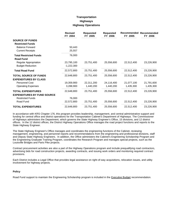## **Highways Highway Operations Transportation**

|                                    | <b>Revised</b><br>FY 2004 | <b>Requested</b><br>FY 2005 | <b>Requested</b><br>FY 2006 | Recommended<br>FY 2005 | Recommended<br>FY 2006 |
|------------------------------------|---------------------------|-----------------------------|-----------------------------|------------------------|------------------------|
| <b>SOURCE OF FUNDS</b>             |                           |                             |                             |                        |                        |
| <b>Restricted Funds</b>            |                           |                             |                             |                        |                        |
| <b>Balance Forward</b>             | 50,443                    |                             |                             |                        |                        |
| <b>Current Receipts</b>            | 25,557                    |                             |                             |                        |                        |
| <b>Total Restricted Funds</b>      | 76,000                    |                             |                             |                        |                        |
| <b>Road Fund</b>                   |                           |                             |                             |                        |                        |
| Regular Appropriation              | 23,795,100                | 23,751,400                  | 25,556,600                  | 22,512,400             | 23,226,900             |
| <b>Budget Reduction</b>            | $-1,222,300$              |                             |                             |                        |                        |
| <b>Total Road Fund</b>             | 22,572,800                | 23,751,400                  | 25,556,600                  | 22,512,400             | 23,226,900             |
| <b>TOTAL SOURCE OF FUNDS</b>       | 22,648,800                | 23,751,400                  | 25,556,600                  | 22,512,400             | 23,226,900             |
| <b>EXPENDITURES BY CLASS</b>       |                           |                             |                             |                        |                        |
| Personnel Cost                     | 19,359,900                | 22,311,200                  | 24,116,400                  | 21,077,100             | 21,791,600             |
| <b>Operating Expenses</b>          | 3,288,900                 | 1,440,200                   | 1,440,200                   | 1,435,300              | 1,435,300              |
| <b>TOTAL EXPENDITURES</b>          | 22,648,800                | 23,751,400                  | 25,556,600                  | 22,512,400             | 23,226,900             |
| <b>EXPENDITURES BY FUND SOURCE</b> |                           |                             |                             |                        |                        |
| <b>Restricted Funds</b>            | 76,000                    |                             |                             |                        |                        |
| Road Fund                          | 22,572,800                | 23,751,400                  | 25,556,600                  | 22,512,400             | 23,226,900             |
| <b>TOTAL EXPENDITURES</b>          | 22,648,800                | 23,751,400                  | 25,556,600                  | 22,512,400             | 23,226,900             |

In accordance with KRS Chapter 176, this program provides leadership, management, and central administrative support and funding for central office and district operations for the Transportation Cabinet's Department of Highways. The Commissioner of Highways administers the Department, which governs the State Highway Engineer's Office, 15 divisions, and 12 district offices. In the 12 district offices, the District Highway Operations Office manages the road project functions and reports to the State Highway Engineer.

The State Highway Engineer's Office manages and coordinates the engineering functions of the Cabinet, reviewing management, engineering, and personnel reports and recommendations from the engineering and professional divisions, staff and Deputy State Highway Engineers. In addition, the Office administers the Cabinet's Engineering Scholarship Program and the Engineering Graduate Training Program, coordinates the Research Program and manages special projects, such as the Louisville Bridges and Paris Pike projects.

Contract procurement activities are also a part of the Highway Operations program and include prequalifying road contractors, advertising bids for road construction projects, awarding contracts, and issuing work orders and monitoring required contract provisions.

Each District includes a Legal Office that provides legal assistance on right-of-way acquisitions, relocation issues, and utility involvement for highway projects.

#### **Policy**

Road Fund support to maintain the Engineering Scholarship program is included in the Executive Budget recommendation.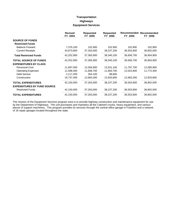## **Highways Equipment Services Transportation**

|                                    | <b>Revised</b><br>FY 2004 | <b>Requested</b><br>FY 2005 | Requested<br>FY 2006 | Recommended<br>FY 2005 | Recommended<br>FY 2006 |
|------------------------------------|---------------------------|-----------------------------|----------------------|------------------------|------------------------|
| <b>SOURCE OF FUNDS</b>             |                           |                             |                      |                        |                        |
| <b>Restricted Funds</b>            |                           |                             |                      |                        |                        |
| <b>Balance Forward</b>             | 7,379,100                 | 102,900                     | 102,900              | 102,900                | 102,900                |
| <b>Current Receipts</b>            | 34,873,800                | 37,263,000                  | 38,237,200           | 36,503,800             | 36,802,000             |
| <b>Total Restricted Funds</b>      | 42,252,900                | 37,365,900                  | 38,340,100           | 36,606,700             | 36,904,900             |
| <b>TOTAL SOURCE OF FUNDS</b>       | 42,252,900                | 37,365,900                  | 38,340,100           | 36,606,700             | 36,904,900             |
| <b>EXPENDITURES BY CLASS</b>       |                           |                             |                      |                        |                        |
| <b>Personnel Cost</b>              | 11,697,000                | 12,556,900                  | 13,531,100           | 11,797,700             | 12,095,900             |
| <b>Operating Expenses</b>          | 11,598,400                | 11,668,700                  | 11,683,700           | 12,022,800             | 11,772,300             |
| <b>Debt Service</b>                | 2,117,200                 | 354,100                     | 88,600               |                        |                        |
| Construction                       | 16,737,400                | 12,683,300                  | 12,933,800           | 12,683,300             | 12,933,800             |
| <b>TOTAL EXPENDITURES</b>          | 42,150,000                | 37,263,000                  | 38,237,200           | 36,503,800             | 36,802,000             |
| <b>EXPENDITURES BY FUND SOURCE</b> |                           |                             |                      |                        |                        |
| <b>Restricted Funds</b>            | 42,150,000                | 37,263,000                  | 38,237,200           | 36,503,800             | 36,802,000             |
| <b>TOTAL EXPENDITURES</b>          | 42,150,000                | 37,263,000                  | 38,237,200           | 36,503,800             | 36,802,000             |

The mission of the Equipment Services program area is to provide highway construction and maintenance equipment for use by the Department of Highways. The unit purchases and maintains all the Cabinet's trucks, heavy equipment, and various pieces of support machinery. This program provides its services through the central office garage in Frankfort and a network of 16 repair garages located throughout the state.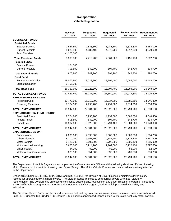## **Vehicle Regulation Transportation**

|                                    | <b>Revised</b><br>FY 2004 | <b>Requested</b><br>FY 2005 | <b>Requested</b><br>FY 2006 | Recommended<br>FY 2005 | Recommended<br>FY 2006 |
|------------------------------------|---------------------------|-----------------------------|-----------------------------|------------------------|------------------------|
| <b>SOURCE OF FUNDS</b>             |                           |                             |                             |                        |                        |
| <b>Restricted Funds</b>            |                           |                             |                             |                        |                        |
| <b>Balance Forward</b>             | 1,584,500                 | 2,533,800                   | 3,283,100                   | 2,533,800              | 3,283,100              |
| <b>Current Receipts</b>            | 5,023,500                 | 4,682,400                   | 4,678,700                   | 4,617,300              | 4,579,600              |
| <b>Fund Transfers</b>              | $-1,300,000$              |                             |                             |                        |                        |
| <b>Total Restricted Funds</b>      | 5,308,000                 | 7,216,200                   | 7,961,800                   | 7,151,100              | 7,862,700              |
| <b>Federal Funds</b>               |                           |                             |                             |                        |                        |
| <b>Balance Forward</b>             | 104,300                   |                             |                             |                        |                        |
| <b>Current Receipts</b>            | 701,500                   | 842,700                     | 894,700                     | 842,700                | 894,700                |
| <b>Total Federal Funds</b>         | 805,800                   | 842,700                     | 894,700                     | 842,700                | 894,700                |
| <b>Road Fund</b>                   |                           |                             |                             |                        |                        |
| Regular Appropriation              | 19,072,900                | 18,028,800                  | 18,794,400                  | 16,084,000             | 16,148,000             |
| <b>Budget Reduction</b>            | $-2,705,300$              |                             |                             |                        |                        |
| <b>Total Road Fund</b>             | 16,367,600                | 18,028,800                  | 18,794,400                  | 16,084,000             | 16,148,000             |
| <b>TOTAL SOURCE OF FUNDS</b>       | 22,481,400                | 26,087,700                  | 27,650,900                  | 24,077,800             | 24,905,400             |
| <b>EXPENDITURES BY CLASS</b>       |                           |                             |                             |                        |                        |
| Personnel Cost                     | 12,773,600                | 15,010,900                  | 16,037,300                  | 13,780,500             | 14,046,300             |
| <b>Operating Expenses</b>          | 7,174,000                 | 7,793,700                   | 7,791,300                   | 7,014,200              | 7,036,800              |
| <b>TOTAL EXPENDITURES</b>          | 19,947,600                | 22,804,600                  | 23,828,600                  | 20,794,700             | 21,083,100             |
| <b>EXPENDITURES BY FUND SOURCE</b> |                           |                             |                             |                        |                        |
| <b>Restricted Funds</b>            | 2,774,200                 | 3,933,100                   | 4,139,500                   | 3,868,000              | 4,040,400              |
| <b>Federal Funds</b>               | 805,800                   | 842,700                     | 894,700                     | 842,700                | 894,700                |
| Road Fund                          | 16,367,600                | 18,028,800                  | 18,794,400                  | 16,084,000             | 16,148,000             |
| <b>TOTAL EXPENDITURES</b>          | 19,947,600                | 22,804,600                  | 23,828,600                  | 20,794,700             | 21,083,100             |
| <b>EXPENDITURES BY UNIT</b>        |                           |                             |                             |                        |                        |
| Commissioner                       | 2,230,600                 | 2,396,600                   | 2,502,500                   | 1,866,700              | 1,884,200              |
| <b>Drivers Licensing</b>           | 8,700,700                 | 9,957,100                   | 10,381,200                  | 9,134,300              | 9,267,300              |
| <b>Motor Carriers</b>              | 2,420,200                 | 2,602,900                   | 2,798,300                   | 2,205,400              | 2,255,900              |
| Motor Vehicle Licensing            | 5,653,800                 | 6,914,700                   | 7,169,300                   | 6,720,100              | 6,797,500              |
| <b>Driver's Safety</b>             | 64,200                    | 82,000                      | 82,000                      | 82,000                 | 82,000                 |
| Motor Vehicle Commission           | 878,100                   | 851,300                     | 895,300                     | 786,200                | 796,200                |
| <b>TOTAL EXPENDITURES</b>          | 19,947,600                | 22,804,600                  | 23,828,600                  | 20,794,700             | 21,083,100             |

The Department of Vehicle Regulation encompasses the Commissioner's Office and the following divisions: Driver Licensing, Motor Carriers, Motor Vehicle Licensing, and Driver Safety. The Motor Vehicle Commission is also administratively attached to the Department.

Under KRS Chapters 186, 187, 189A, 281A, and KRS 159.051, the Division of Driver Licensing maintains driver history records for approximately 3 million drivers. The Division issues licenses to commercial drivers who meet statutory requirements. The Division also enforces driver license suspensions, revocations, and driver limitation programs. It operates State Traffic School programs and the Kentucky Motorcycle Safety program, both of which promote driver safety and education.

The Division of Motor Carriers collects and processes fuel and highway use tax from commercial motor carriers, as authorized under KRS Chapter 138. Under KRS Chapter 186, it assigns apportioned license plates to interstate Kentucky motor carriers.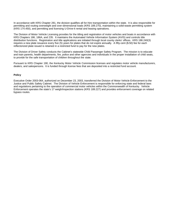In accordance with KRS Chapter 281, the division qualifies all for-hire transportation within the state. It is also responsible for permitting and routing overweight and over-dimensional loads (KRS 189.270), maintaining a solid-waste permitting system (KRS 174.450), and permitting and licensing U-Drive-It rental and leasing operations.

The Division of Motor Vehicle Licensing provides for the titling and registration of motor vehicles and boats in accordance with KRS Chapters 186, 186A, and 235. It maintains the Automated Vehicle Information System (AVIS) and controls title distribution functions. Registration and title applications are initiated through local county clerks' offices. KRS 186.240(3) requires a new plate issuance every five (5) years for plates that do not expire annually. A fifty-cent (\$.50) fee for each reflectorized plate issued is retained in a restricted fund to pay for the new plates.

The Division of Driver Safety conducts the Cabinet's statewide Child Passenger Safety Program. The mission is to educate and train parents, health departments, fire, police and other agencies and individuals in the proper installation of child seats, to provide for the safe transportation of children throughout the state.

Pursuant to KRS Chapter 190, the Kentucky Motor Vehicle Commission licenses and regulates motor vehicle manufacturers, dealers, and salespersons. It is funded through license fees that are deposited into a restricted fund account.

#### **Policy**

Executive Order 2003-064, authorized on December 23, 2003, transferred the Division of Motor Vehicle Enforcement to the Justice and Public Safety Cabinet. The Division of Vehicle Enforcement is responsible for enforcing state and federal laws and regulations pertaining to the operation of commercial motor vehicles within the Commonwealth of Kentucky. Vehicle Enforcement operates the state's 17 weigh/inspection stations (KRS 189.227) and provides enforcement coverage on related bypass routes.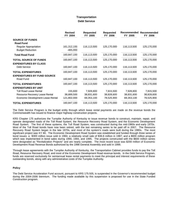### **Debt Service Transportation**

|                                                                 | <b>Revised</b><br>FY 2004 | <b>Requested</b><br>FY 2005 | <b>Requested</b><br>FY 2006 | Recommended<br>FY 2005 | Recommended<br>FY 2006 |
|-----------------------------------------------------------------|---------------------------|-----------------------------|-----------------------------|------------------------|------------------------|
| <b>SOURCE OF FUNDS</b><br><b>Road Fund</b>                      |                           |                             |                             |                        |                        |
| Regular Appropriation<br><b>Budget Reduction</b>                | 161,312,100<br>$-465,000$ | 116,113,500                 | 125,170,000                 | 116,113,500            | 125,170,000            |
| <b>Total Road Fund</b>                                          | 160,847,100               | 116,113,500                 | 125,170,000                 | 116,113,500            | 125,170,000            |
| <b>TOTAL SOURCE OF FUNDS</b><br><b>EXPENDITURES BY CLASS</b>    | 160,847,100               | 116,113,500                 | 125,170,000                 | 116,113,500            | 125,170,000            |
| <b>Debt Service</b>                                             | 160,847,100               | 116,113,500                 | 125,170,000                 | 116,113,500            | 125,170,000            |
| <b>TOTAL EXPENDITURES</b><br><b>EXPENDITURES BY FUND SOURCE</b> | 160,847,100               | 116,113,500                 | 125,170,000                 | 116,113,500            | 125,170,000            |
| Road Fund                                                       | 160,847,100               | 116,113,500                 | 125,170,000                 | 116,113,500            | 125,170,000            |
| <b>TOTAL EXPENDITURES</b><br><b>EXPENDITURES BY UNIT</b>        | 160,847,100               | 116,113,500                 | 125,170,000                 | 116,113,500            | 125,170,000            |
| <b>Toll Road Lease Rental</b>                                   | 155,600                   | 7,928,800                   | 7,815,500                   | 7,928,800              | 7,815,500              |
| Resource Recovery Lease Rental                                  | 38,889,500                | 38,831,600                  | 38,828,600                  | 38,831,600             | 38,828,600             |
| Economic Development Lease Rental                               | 121,802,000               | 69,353,100                  | 78,525,900                  | 69,353,100             | 78,525,900             |
| <b>TOTAL EXPENDITURES</b>                                       | 160,847,100               | 116,113,500                 | 125,170,000                 | 116,113,500            | 125,170,000            |

The Debt Service Program is the budget entity through which lease rental payments are made on the revenue bonds the Commonwealth has issued to finance major highway construction projects.

KRS Chapter 175 authorizes the Turnpike Authority of Kentucky to issue revenue bonds to construct, maintain, repair, and operate designated roads of the Toll Road System, the Resource Recovery Road System, and the Economic Development Road System. The first of these systems, the Toll Road System, was constructed during the mid-1960s and early 1970s. Most of the Toll Road bonds have now been retired, with the last remaining series to be paid off in 2007. The Resource Recovery Road System began in the late 1970s, and most of the system's roads were built during the 1980s. The most significant project was KY 80. The Economic Development Road System was established and funded through three series of bond issues: a \$300 million issue sold in 1984; a relatively small sale of \$36.6 million in 1987; and a \$600 million program which was implemented in bond sales during 1990, 1993, and 1995. The projects constructed with the \$600 million series were designated as "Revitalization Projects" and are nearly complete. The most recent issue was \$200 million of Economic Development Road Revenue Bonds authorized by the 1998 General Assembly and sold in 1999.

Through lease agreements with the Turnpike Authority of Kentucky, the Transportation Cabinet provides funds to pay the Toll Road, Resource Recovery Road, and most of the Economic Development Road revenue bonds. In the Debt Service Program, funds are reserved exclusively for semiannual lease rental payments to meet the principal and interest requirements of these outstanding bonds, along with any administrative costs of the Turnpike Authority.

#### **Policy**

The Debt Service Acceleration Fund account, pursuant to KRS 175.505, is suspended in the Governor's recommended budget during the 2004-2006 biennium. The funding made available by this suspension is proposed for use in the State Funded Construction program.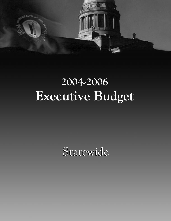

# **2004-2006 Executive Budget**

## Statewide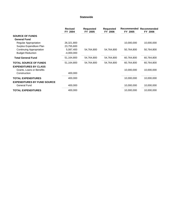#### **Statewide**

|                                                                 | <b>Revised</b><br>FY 2004 | <b>Requested</b><br>FY 2005 | <b>Requested</b><br>FY 2006 | Recommended<br>FY 2005 | Recommended<br>FY 2006 |
|-----------------------------------------------------------------|---------------------------|-----------------------------|-----------------------------|------------------------|------------------------|
| <b>SOURCE OF FUNDS</b>                                          |                           |                             |                             |                        |                        |
| <b>General Fund</b>                                             |                           |                             |                             |                        |                        |
| Regular Appropriation                                           | 26,321,800                |                             |                             | 10,000,000             | 10,000,000             |
| Surplus Expenditure Plan                                        | 23,755,600                |                             |                             |                        |                        |
| Continuing Appropriation                                        | 5,087,400                 | 54,764,800                  | 54,764,800                  | 50,764,800             | 50,764,800             |
| <b>Budget Reduction</b>                                         | $-4,000,000$              |                             |                             |                        |                        |
| <b>Total General Fund</b>                                       | 51,164,800                | 54,764,800                  | 54,764,800                  | 60,764,800             | 60,764,800             |
| <b>TOTAL SOURCE OF FUNDS</b><br><b>EXPENDITURES BY CLASS</b>    | 51,164,800                | 54,764,800                  | 54,764,800                  | 60,764,800             | 60,764,800             |
| Grants, Loans or Benefits                                       |                           |                             |                             | 10,000,000             | 10,000,000             |
| Construction                                                    | 400,000                   |                             |                             |                        |                        |
| <b>TOTAL EXPENDITURES</b><br><b>EXPENDITURES BY FUND SOURCE</b> | 400,000                   |                             |                             | 10,000,000             | 10,000,000             |
| General Fund                                                    | 400,000                   |                             |                             | 10,000,000             | 10,000,000             |
| <b>TOTAL EXPENDITURES</b>                                       | 400,000                   |                             |                             | 10,000,000             | 10,000,000             |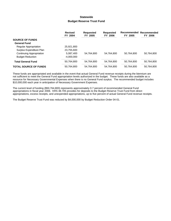## **Budget Reserve Trust Fund Statewide**

|                              | <b>Revised</b><br>FY 2004 | <b>Requested</b><br>FY 2005 | <b>Requested</b><br>FY 2006 | Recommended<br>FY 2005 | Recommended<br>FY 2006 |
|------------------------------|---------------------------|-----------------------------|-----------------------------|------------------------|------------------------|
| <b>SOURCE OF FUNDS</b>       |                           |                             |                             |                        |                        |
| <b>General Fund</b>          |                           |                             |                             |                        |                        |
| Regular Appropriation        | 25,921,800                |                             |                             |                        |                        |
| Surplus Expenditure Plan     | 23,755,600                |                             |                             |                        |                        |
| Continuing Appropriation     | 5,087,400                 | 54,764,800                  | 54,764,800                  | 50,764,800             | 50,764,800             |
| <b>Budget Reduction</b>      | $-4.000.000$              |                             |                             |                        |                        |
| <b>Total General Fund</b>    | 50,764,800                | 54,764,800                  | 54,764,800                  | 50,764,800             | 50,764,800             |
| <b>TOTAL SOURCE OF FUNDS</b> | 50,764,800                | 54,764,800                  | 54,764,800                  | 50,764,800             | 50,764,800             |

These funds are appropriated and available in the event that actual General Fund revenue receipts during the biennium are not sufficient to meet the General Fund appropriation levels authorized in the budget. These funds are also available as a resource for Necessary Governmental Expenses when there is no General Fund surplus. The recommended budget includes \$10,000,000 each year in anticipation of Necessary Government Expenses.

The current level of funding (\$50,764,800) represents approximately 0.7 percent of recommended General Fund appropriations in fiscal year 2006. KRS 48.705 provides for deposits to the Budget Reserve Trust Fund from direct appropriations, excess receipts, and unexpended appropriations, up to five percent of actual General Fund revenue receipts.

The Budget Reserve Trust Fund was reduced by \$4,000,000 by Budget Reduction Order 04-01.